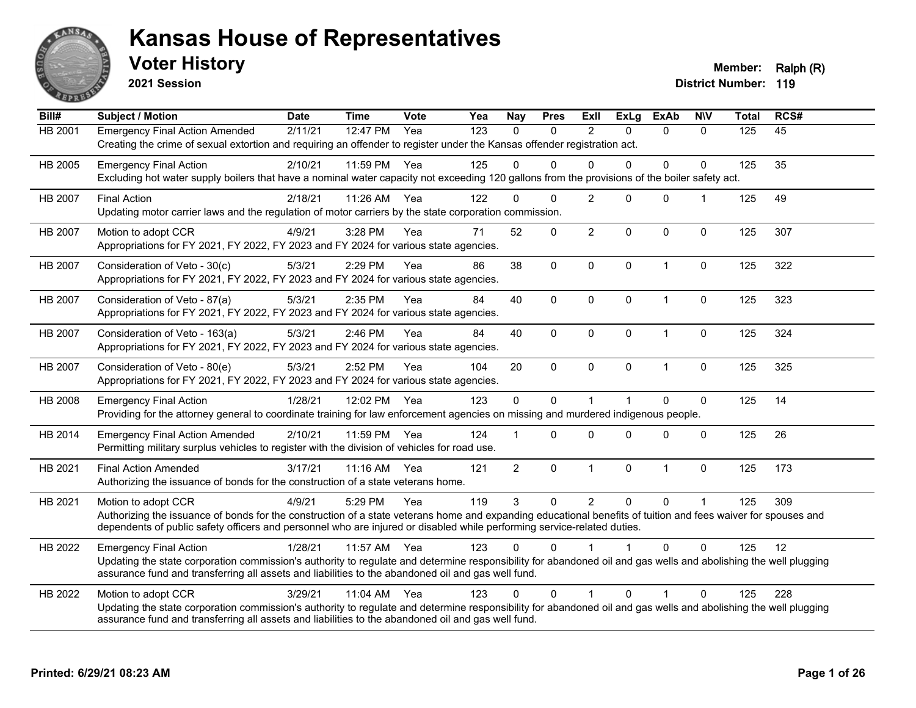

**2021 Session**

**Voter History Member: Ralph (R)** 

| Bill#          | Subject / Motion                                                                                                                                                                                                                                                                                                | <b>Date</b> | <b>Time</b>          | Vote | Yea | <b>Nay</b>     | <b>Pres</b>  | ExII                 | <b>ExLg</b>  | <b>ExAb</b>  | <b>N\V</b>           | <b>Total</b> | RCS# |
|----------------|-----------------------------------------------------------------------------------------------------------------------------------------------------------------------------------------------------------------------------------------------------------------------------------------------------------------|-------------|----------------------|------|-----|----------------|--------------|----------------------|--------------|--------------|----------------------|--------------|------|
| HB 2001        | <b>Emergency Final Action Amended</b><br>Creating the crime of sexual extortion and requiring an offender to register under the Kansas offender registration act.                                                                                                                                               | 2/11/21     | 12:47 PM             | Yea  | 123 | $\Omega$       | $\mathbf{0}$ | $\overline{2}$       | $\Omega$     | $\Omega$     | $\mathbf{0}$         | 125          | 45   |
| HB 2005        | <b>Emergency Final Action</b><br>Excluding hot water supply boilers that have a nominal water capacity not exceeding 120 gallons from the provisions of the boiler safety act.                                                                                                                                  | 2/10/21     | 11:59 PM             | Yea  | 125 | $\Omega$       | $\Omega$     | $\Omega$             | $\Omega$     | 0            | $\Omega$             | 125          | 35   |
| <b>HB 2007</b> | <b>Final Action</b><br>Updating motor carrier laws and the regulation of motor carriers by the state corporation commission.                                                                                                                                                                                    | 2/18/21     | 11:26 AM             | Yea  | 122 | $\Omega$       | $\Omega$     | $\overline{2}$       | $\Omega$     | $\mathbf 0$  | $\blacktriangleleft$ | 125          | 49   |
| HB 2007        | Motion to adopt CCR<br>Appropriations for FY 2021, FY 2022, FY 2023 and FY 2024 for various state agencies.                                                                                                                                                                                                     | 4/9/21      | 3:28 PM              | Yea  | 71  | 52             | $\mathbf 0$  | $\overline{2}$       | $\Omega$     | 0            | $\mathbf 0$          | 125          | 307  |
| <b>HB 2007</b> | Consideration of Veto - 30(c)<br>Appropriations for FY 2021, FY 2022, FY 2023 and FY 2024 for various state agencies.                                                                                                                                                                                           | 5/3/21      | 2:29 PM              | Yea  | 86  | 38             | $\mathbf 0$  | $\mathbf{0}$         | $\mathbf{0}$ | $\mathbf{1}$ | $\Omega$             | 125          | 322  |
| <b>HB 2007</b> | Consideration of Veto - 87(a)<br>Appropriations for FY 2021, FY 2022, FY 2023 and FY 2024 for various state agencies.                                                                                                                                                                                           | 5/3/21      | 2:35 PM              | Yea  | 84  | 40             | $\mathbf 0$  | $\mathbf 0$          | $\Omega$     | $\mathbf{1}$ | $\Omega$             | 125          | 323  |
| HB 2007        | Consideration of Veto - 163(a)<br>Appropriations for FY 2021, FY 2022, FY 2023 and FY 2024 for various state agencies.                                                                                                                                                                                          | 5/3/21      | 2:46 PM              | Yea  | 84  | 40             | 0            | $\mathbf 0$          | $\mathbf 0$  | $\mathbf{1}$ | $\pmb{0}$            | 125          | 324  |
| HB 2007        | Consideration of Veto - 80(e)<br>Appropriations for FY 2021, FY 2022, FY 2023 and FY 2024 for various state agencies.                                                                                                                                                                                           | 5/3/21      | 2:52 PM              | Yea  | 104 | 20             | $\Omega$     | $\mathbf{0}$         | $\Omega$     | $\mathbf{1}$ | $\Omega$             | 125          | 325  |
| HB 2008        | <b>Emergency Final Action</b><br>Providing for the attorney general to coordinate training for law enforcement agencies on missing and murdered indigenous people.                                                                                                                                              | 1/28/21     | 12:02 PM             | Yea  | 123 | $\mathbf 0$    | $\mathbf 0$  | $\overline{1}$       |              | 0            | $\Omega$             | 125          | 14   |
| HB 2014        | <b>Emergency Final Action Amended</b><br>Permitting military surplus vehicles to register with the division of vehicles for road use.                                                                                                                                                                           | 2/10/21     | 11:59 PM             | Yea  | 124 |                | $\Omega$     | $\Omega$             | $\Omega$     | $\Omega$     | $\mathbf 0$          | 125          | 26   |
| HB 2021        | <b>Final Action Amended</b><br>Authorizing the issuance of bonds for the construction of a state veterans home.                                                                                                                                                                                                 | 3/17/21     | $11:16$ AM           | Yea  | 121 | $\overline{2}$ | $\mathbf 0$  | $\mathbf{1}$         | $\mathbf 0$  | $\mathbf{1}$ | $\mathbf 0$          | 125          | 173  |
| HB 2021        | Motion to adopt CCR<br>Authorizing the issuance of bonds for the construction of a state veterans home and expanding educational benefits of tuition and fees waiver for spouses and<br>dependents of public safety officers and personnel who are injured or disabled while performing service-related duties. | 4/9/21      | 5:29 PM              | Yea  | 119 | 3              | $\Omega$     | $\overline{2}$       | $\Omega$     | $\Omega$     | $\overline{1}$       | 125          | 309  |
| HB 2022        | <b>Emergency Final Action</b><br>Updating the state corporation commission's authority to regulate and determine responsibility for abandoned oil and gas wells and abolishing the well plugging<br>assurance fund and transferring all assets and liabilities to the abandoned oil and gas well fund.          | 1/28/21     | 11:57 AM             | Yea  | 123 | 0              | $\Omega$     |                      |              | $\Omega$     | $\Omega$             | 125          | 12   |
| HB 2022        | Motion to adopt CCR<br>Updating the state corporation commission's authority to regulate and determine responsibility for abandoned oil and gas wells and abolishing the well plugging<br>assurance fund and transferring all assets and liabilities to the abandoned oil and gas well fund.                    | 3/29/21     | $11:04 \, \text{AM}$ | Yea  | 123 | $\Omega$       | $\Omega$     | $\blacktriangleleft$ | $\Omega$     | 1            | $\Omega$             | 125          | 228  |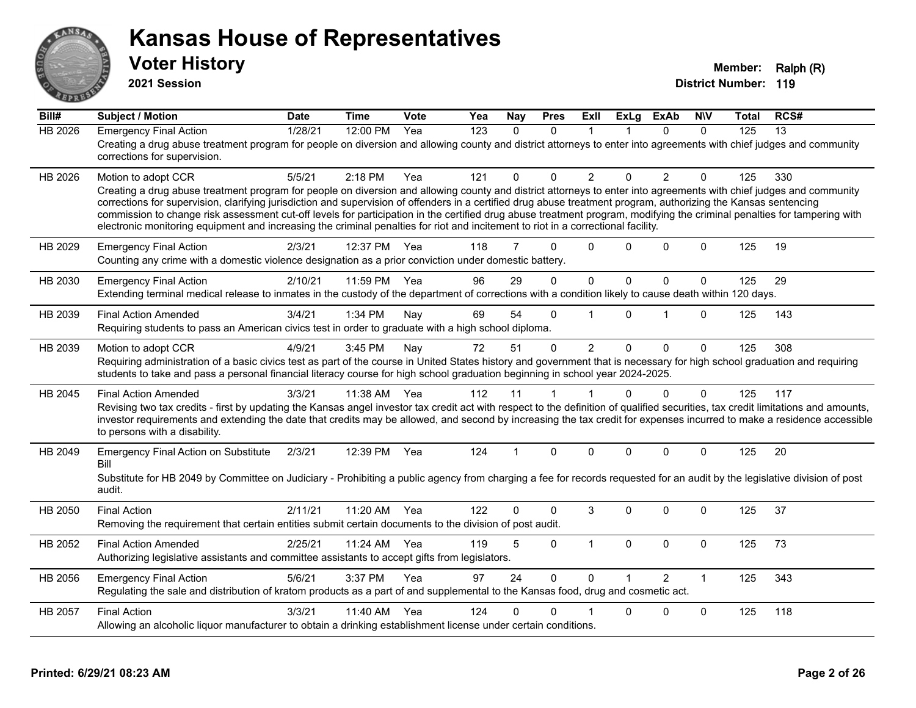

**2021 Session**

| Bill#          | <b>Subject / Motion</b>                                                                                                                                                                                                                                                                                                                      | <b>Date</b> | <b>Time</b> | Vote | Yea | Nay            | <b>Pres</b> | ExII           | <b>ExLg</b> | <b>ExAb</b>    | <b>N\V</b>   | <b>Total</b> | RCS# |
|----------------|----------------------------------------------------------------------------------------------------------------------------------------------------------------------------------------------------------------------------------------------------------------------------------------------------------------------------------------------|-------------|-------------|------|-----|----------------|-------------|----------------|-------------|----------------|--------------|--------------|------|
| <b>HB 2026</b> | <b>Emergency Final Action</b>                                                                                                                                                                                                                                                                                                                | 1/28/21     | 12:00 PM    | Yea  | 123 | $\Omega$       | $\Omega$    |                |             | $\Omega$       | $\Omega$     | 125          | 13   |
|                | Creating a drug abuse treatment program for people on diversion and allowing county and district attorneys to enter into agreements with chief judges and community<br>corrections for supervision.                                                                                                                                          |             |             |      |     |                |             |                |             |                |              |              |      |
| HB 2026        | Motion to adopt CCR                                                                                                                                                                                                                                                                                                                          | 5/5/21      | 2:18 PM     | Yea  | 121 | $\mathbf{0}$   | $\Omega$    | $\overline{2}$ | 0           | $\overline{2}$ | $\Omega$     | 125          | 330  |
|                | Creating a drug abuse treatment program for people on diversion and allowing county and district attorneys to enter into agreements with chief judges and community                                                                                                                                                                          |             |             |      |     |                |             |                |             |                |              |              |      |
|                | corrections for supervision, clarifying jurisdiction and supervision of offenders in a certified drug abuse treatment program, authorizing the Kansas sentencing<br>commission to change risk assessment cut-off levels for participation in the certified drug abuse treatment program, modifying the criminal penalties for tampering with |             |             |      |     |                |             |                |             |                |              |              |      |
|                | electronic monitoring equipment and increasing the criminal penalties for riot and incitement to riot in a correctional facility.                                                                                                                                                                                                            |             |             |      |     |                |             |                |             |                |              |              |      |
| HB 2029        | <b>Emergency Final Action</b>                                                                                                                                                                                                                                                                                                                | 2/3/21      | 12:37 PM    | Yea  | 118 | $\overline{7}$ | 0           | $\mathbf 0$    | 0           | $\mathbf 0$    | $\mathbf 0$  | 125          | 19   |
|                | Counting any crime with a domestic violence designation as a prior conviction under domestic battery.                                                                                                                                                                                                                                        |             |             |      |     |                |             |                |             |                |              |              |      |
| HB 2030        | <b>Emergency Final Action</b>                                                                                                                                                                                                                                                                                                                | 2/10/21     | 11:59 PM    | Yea  | 96  | 29             | 0           | $\mathbf 0$    | 0           | 0              | $\mathbf 0$  | 125          | 29   |
|                | Extending terminal medical release to inmates in the custody of the department of corrections with a condition likely to cause death within 120 days.                                                                                                                                                                                        |             |             |      |     |                |             |                |             |                |              |              |      |
| HB 2039        |                                                                                                                                                                                                                                                                                                                                              | 3/4/21      | 1:34 PM     |      | 69  | 54             | 0           |                | $\Omega$    |                | $\Omega$     | 125          | 143  |
|                | <b>Final Action Amended</b><br>Requiring students to pass an American civics test in order to graduate with a high school diploma.                                                                                                                                                                                                           |             |             | Nay  |     |                |             |                |             |                |              |              |      |
|                |                                                                                                                                                                                                                                                                                                                                              |             |             |      |     |                |             |                |             |                |              |              |      |
| HB 2039        | Motion to adopt CCR<br>Requiring administration of a basic civics test as part of the course in United States history and government that is necessary for high school graduation and requiring                                                                                                                                              | 4/9/21      | 3:45 PM     | Nay  | 72  | 51             | $\Omega$    | $\overline{2}$ | $\Omega$    | $\Omega$       | $\mathbf{0}$ | 125          | 308  |
|                | students to take and pass a personal financial literacy course for high school graduation beginning in school year 2024-2025.                                                                                                                                                                                                                |             |             |      |     |                |             |                |             |                |              |              |      |
| HB 2045        | <b>Final Action Amended</b>                                                                                                                                                                                                                                                                                                                  | 3/3/21      | 11:38 AM    | Yea  | 112 | 11             | 1           |                | $\Omega$    | $\mathbf 0$    | $\mathbf{0}$ | 125          | 117  |
|                | Revising two tax credits - first by updating the Kansas angel investor tax credit act with respect to the definition of qualified securities, tax credit limitations and amounts,                                                                                                                                                            |             |             |      |     |                |             |                |             |                |              |              |      |
|                | investor requirements and extending the date that credits may be allowed, and second by increasing the tax credit for expenses incurred to make a residence accessible                                                                                                                                                                       |             |             |      |     |                |             |                |             |                |              |              |      |
|                | to persons with a disability.                                                                                                                                                                                                                                                                                                                |             |             |      |     |                |             |                |             |                |              |              |      |
| HB 2049        | <b>Emergency Final Action on Substitute</b><br>Bill                                                                                                                                                                                                                                                                                          | 2/3/21      | 12:39 PM    | Yea  | 124 | 1              | $\Omega$    | $\Omega$       | 0           | $\Omega$       | $\Omega$     | 125          | 20   |
|                | Substitute for HB 2049 by Committee on Judiciary - Prohibiting a public agency from charging a fee for records requested for an audit by the legislative division of post                                                                                                                                                                    |             |             |      |     |                |             |                |             |                |              |              |      |
|                | audit.                                                                                                                                                                                                                                                                                                                                       |             |             |      |     |                |             |                |             |                |              |              |      |
| HB 2050        | <b>Final Action</b>                                                                                                                                                                                                                                                                                                                          | 2/11/21     | 11:20 AM    | Yea  | 122 | $\Omega$       | $\Omega$    | 3              | 0           | $\Omega$       | $\mathbf{0}$ | 125          | 37   |
|                | Removing the requirement that certain entities submit certain documents to the division of post audit.                                                                                                                                                                                                                                       |             |             |      |     |                |             |                |             |                |              |              |      |
| HB 2052        | <b>Final Action Amended</b>                                                                                                                                                                                                                                                                                                                  | 2/25/21     | 11:24 AM    | Yea  | 119 | 5              | 0           | $\mathbf 1$    | 0           | 0              | $\mathbf 0$  | 125          | 73   |
|                | Authorizing legislative assistants and committee assistants to accept gifts from legislators.                                                                                                                                                                                                                                                |             |             |      |     |                |             |                |             |                |              |              |      |
| HB 2056        | <b>Emergency Final Action</b>                                                                                                                                                                                                                                                                                                                | 5/6/21      | 3:37 PM     | Yea  | 97  | 24             | $\mathbf 0$ | $\Omega$       |             | $\overline{2}$ | $\mathbf{1}$ | 125          | 343  |
|                | Regulating the sale and distribution of kratom products as a part of and supplemental to the Kansas food, drug and cosmetic act.                                                                                                                                                                                                             |             |             |      |     |                |             |                |             |                |              |              |      |
| HB 2057        | <b>Final Action</b>                                                                                                                                                                                                                                                                                                                          | 3/3/21      | 11:40 AM    | Yea  | 124 | 0              | $\Omega$    |                | 0           | $\Omega$       | $\Omega$     | 125          | 118  |
|                | Allowing an alcoholic liquor manufacturer to obtain a drinking establishment license under certain conditions.                                                                                                                                                                                                                               |             |             |      |     |                |             |                |             |                |              |              |      |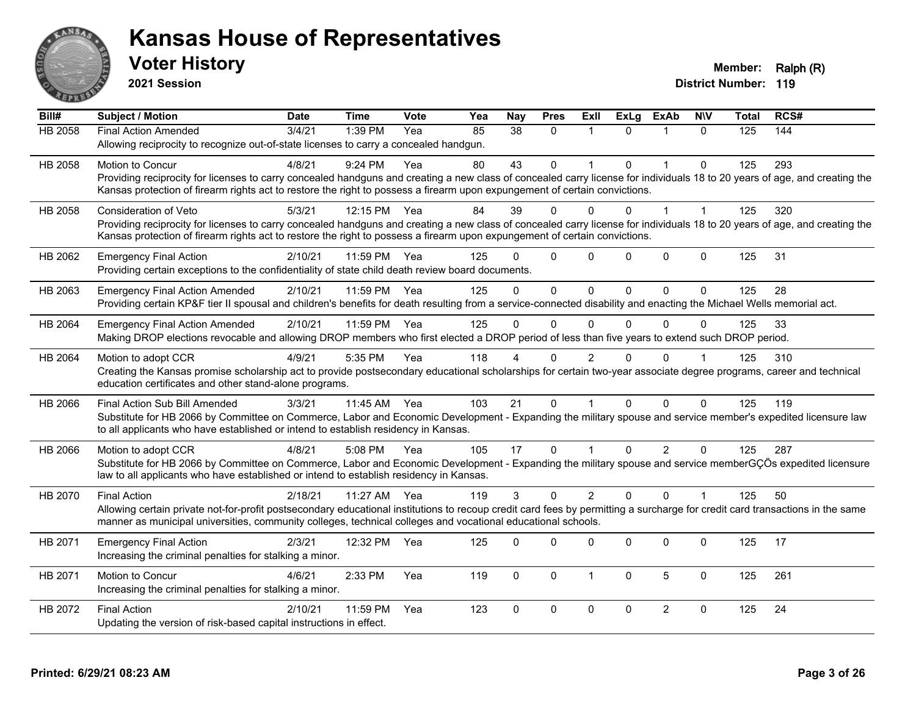

**2021 Session**

| Bill#          | Subject / Motion                                                                                                                                                             | <b>Date</b> | <b>Time</b> | <b>Vote</b> | Yea | <b>Nay</b> | <b>Pres</b>  | ExII           | <b>ExLg</b> | <b>ExAb</b>          | <b>NIV</b>   | Total | RCS# |
|----------------|------------------------------------------------------------------------------------------------------------------------------------------------------------------------------|-------------|-------------|-------------|-----|------------|--------------|----------------|-------------|----------------------|--------------|-------|------|
| <b>HB 2058</b> | <b>Final Action Amended</b>                                                                                                                                                  | 3/4/21      | 1:39 PM     | Yea         | 85  | 38         | $\Omega$     |                | $\Omega$    |                      | $\Omega$     | 125   | 144  |
|                | Allowing reciprocity to recognize out-of-state licenses to carry a concealed handgun.                                                                                        |             |             |             |     |            |              |                |             |                      |              |       |      |
| HB 2058        | <b>Motion to Concur</b>                                                                                                                                                      | 4/8/21      | $9:24$ PM   | Yea         | 80  | 43         | $\Omega$     |                | $\Omega$    | $\blacktriangleleft$ | $\Omega$     | 125   | 293  |
|                | Providing reciprocity for licenses to carry concealed handguns and creating a new class of concealed carry license for individuals 18 to 20 years of age, and creating the   |             |             |             |     |            |              |                |             |                      |              |       |      |
|                | Kansas protection of firearm rights act to restore the right to possess a firearm upon expungement of certain convictions.                                                   |             |             |             |     |            |              |                |             |                      |              |       |      |
| HB 2058        | <b>Consideration of Veto</b>                                                                                                                                                 | 5/3/21      | 12:15 PM    | Yea         | 84  | 39         | 0            | 0              | 0           |                      |              | 125   | 320  |
|                | Providing reciprocity for licenses to carry concealed handguns and creating a new class of concealed carry license for individuals 18 to 20 years of age, and creating the   |             |             |             |     |            |              |                |             |                      |              |       |      |
|                | Kansas protection of firearm rights act to restore the right to possess a firearm upon expungement of certain convictions.                                                   |             |             |             |     |            |              |                |             |                      |              |       |      |
| HB 2062        | <b>Emergency Final Action</b>                                                                                                                                                | 2/10/21     | 11:59 PM    | Yea         | 125 | ∩          | $\Omega$     | $\Omega$       | $\Omega$    | $\Omega$             | $\mathbf{0}$ | 125   | 31   |
|                | Providing certain exceptions to the confidentiality of state child death review board documents.                                                                             |             |             |             |     |            |              |                |             |                      |              |       |      |
| HB 2063        | <b>Emergency Final Action Amended</b>                                                                                                                                        | 2/10/21     | 11:59 PM    | Yea         | 125 | $\Omega$   | $\Omega$     | $\Omega$       | $\Omega$    | $\Omega$             | $\Omega$     | 125   | 28   |
|                | Providing certain KP&F tier II spousal and children's benefits for death resulting from a service-connected disability and enacting the Michael Wells memorial act.          |             |             |             |     |            |              |                |             |                      |              |       |      |
| HB 2064        | <b>Emergency Final Action Amended</b>                                                                                                                                        | 2/10/21     | 11:59 PM    | Yea         | 125 | $\Omega$   | $\mathbf{0}$ | $\mathbf{0}$   | $\Omega$    | $\Omega$             | 0            | 125   | 33   |
|                | Making DROP elections revocable and allowing DROP members who first elected a DROP period of less than five years to extend such DROP period.                                |             |             |             |     |            |              |                |             |                      |              |       |      |
| HB 2064        | Motion to adopt CCR                                                                                                                                                          | 4/9/21      | 5:35 PM     | Yea         | 118 |            | $\Omega$     | $\overline{c}$ |             | ∩                    |              | 125   | 310  |
|                | Creating the Kansas promise scholarship act to provide postsecondary educational scholarships for certain two-year associate degree programs, career and technical           |             |             |             |     |            |              |                |             |                      |              |       |      |
|                | education certificates and other stand-alone programs.                                                                                                                       |             |             |             |     |            |              |                |             |                      |              |       |      |
| HB 2066        | Final Action Sub Bill Amended                                                                                                                                                | 3/3/21      | 11:45 AM    | Yea         | 103 | 21         | $\Omega$     |                | $\Omega$    | $\Omega$             | $\Omega$     | 125   | 119  |
|                | Substitute for HB 2066 by Committee on Commerce, Labor and Economic Development - Expanding the military spouse and service member's expedited licensure law                 |             |             |             |     |            |              |                |             |                      |              |       |      |
|                | to all applicants who have established or intend to establish residency in Kansas.                                                                                           |             |             |             |     |            |              |                |             |                      |              |       |      |
| HB 2066        | Motion to adopt CCR                                                                                                                                                          | 4/8/21      | 5:08 PM     | Yea         | 105 | 17         | $\mathbf 0$  |                | $\Omega$    | $\overline{2}$       | $\mathbf{0}$ | 125   | 287  |
|                | Substitute for HB 2066 by Committee on Commerce, Labor and Economic Development - Expanding the military spouse and service memberGÇÖs expedited licensure                   |             |             |             |     |            |              |                |             |                      |              |       |      |
|                | law to all applicants who have established or intend to establish residency in Kansas.                                                                                       |             |             |             |     |            |              |                |             |                      |              |       |      |
| HB 2070        | <b>Final Action</b>                                                                                                                                                          | 2/18/21     | 11:27 AM    | Yea         | 119 | 3          | $\Omega$     | 2              | $\Omega$    | $\Omega$             |              | 125   | 50   |
|                | Allowing certain private not-for-profit postsecondary educational institutions to recoup credit card fees by permitting a surcharge for credit card transactions in the same |             |             |             |     |            |              |                |             |                      |              |       |      |
|                | manner as municipal universities, community colleges, technical colleges and vocational educational schools.                                                                 |             |             |             |     |            |              |                |             |                      |              |       |      |
| HB 2071        | <b>Emergency Final Action</b>                                                                                                                                                | 2/3/21      | 12:32 PM    | Yea         | 125 | $\Omega$   | $\mathbf 0$  | 0              | 0           | 0                    | $\mathbf 0$  | 125   | 17   |
|                | Increasing the criminal penalties for stalking a minor.                                                                                                                      |             |             |             |     |            |              |                |             |                      |              |       |      |
| HB 2071        | Motion to Concur                                                                                                                                                             | 4/6/21      | 2:33 PM     | Yea         | 119 | $\Omega$   | $\mathbf 0$  | $\overline{1}$ | $\Omega$    | 5                    | $\mathbf 0$  | 125   | 261  |
|                | Increasing the criminal penalties for stalking a minor.                                                                                                                      |             |             |             |     |            |              |                |             |                      |              |       |      |
| HB 2072        | <b>Final Action</b>                                                                                                                                                          | 2/10/21     | 11:59 PM    | Yea         | 123 | $\Omega$   | $\mathbf 0$  | $\mathbf 0$    | 0           | $\overline{2}$       | $\mathbf 0$  | 125   | 24   |
|                | Updating the version of risk-based capital instructions in effect.                                                                                                           |             |             |             |     |            |              |                |             |                      |              |       |      |
|                |                                                                                                                                                                              |             |             |             |     |            |              |                |             |                      |              |       |      |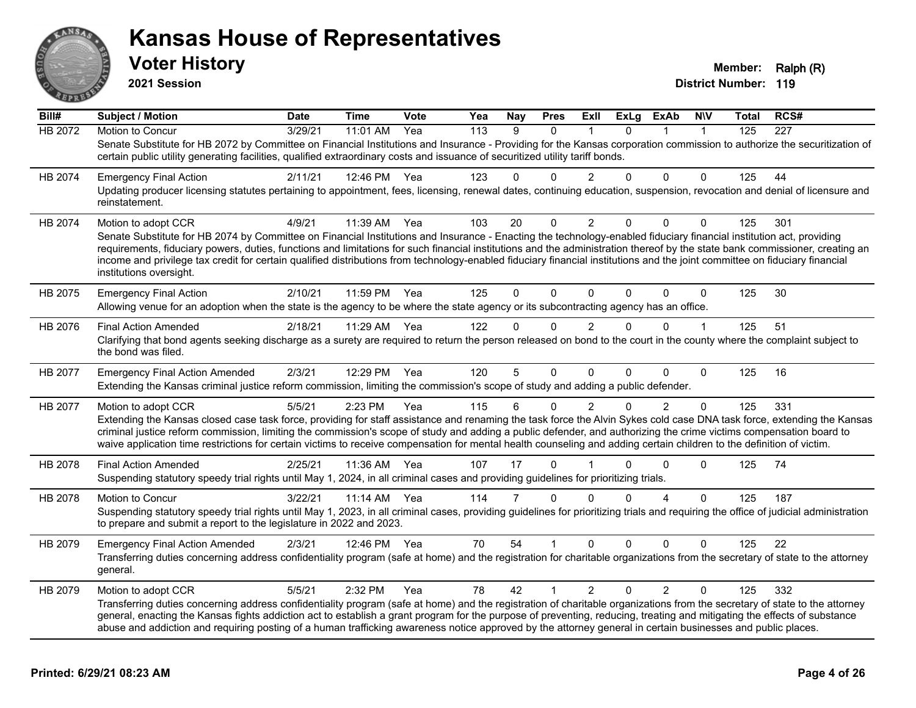

**2021 Session**

| Bill#          | Subject / Motion                                                                                                                                                                                                                                                                                                                                                                                                                                                                                                                                              | <b>Date</b> | <b>Time</b> | <b>Vote</b> | Yea | <b>Nay</b> | <b>Pres</b> | ExII           | <b>ExLg</b> | <b>ExAb</b>    | <b>NIV</b>   | Total | RCS#             |
|----------------|---------------------------------------------------------------------------------------------------------------------------------------------------------------------------------------------------------------------------------------------------------------------------------------------------------------------------------------------------------------------------------------------------------------------------------------------------------------------------------------------------------------------------------------------------------------|-------------|-------------|-------------|-----|------------|-------------|----------------|-------------|----------------|--------------|-------|------------------|
| <b>HB 2072</b> | Motion to Concur                                                                                                                                                                                                                                                                                                                                                                                                                                                                                                                                              | 3/29/21     | 11:01 AM    | Yea         | 113 | 9          | $\Omega$    |                | $\Omega$    |                | $\mathbf{1}$ | 125   | $\overline{227}$ |
|                | Senate Substitute for HB 2072 by Committee on Financial Institutions and Insurance - Providing for the Kansas corporation commission to authorize the securitization of<br>certain public utility generating facilities, qualified extraordinary costs and issuance of securitized utility tariff bonds.                                                                                                                                                                                                                                                      |             |             |             |     |            |             |                |             |                |              |       |                  |
| HB 2074        | <b>Emergency Final Action</b>                                                                                                                                                                                                                                                                                                                                                                                                                                                                                                                                 | 2/11/21     | 12:46 PM    | Yea         | 123 | 0          | $\Omega$    | $\overline{2}$ | $\Omega$    | $\Omega$       | 0            | 125   | 44               |
|                | Updating producer licensing statutes pertaining to appointment, fees, licensing, renewal dates, continuing education, suspension, revocation and denial of licensure and<br>reinstatement.                                                                                                                                                                                                                                                                                                                                                                    |             |             |             |     |            |             |                |             |                |              |       |                  |
| HB 2074        | Motion to adopt CCR                                                                                                                                                                                                                                                                                                                                                                                                                                                                                                                                           | 4/9/21      | 11:39 AM    | Yea         | 103 | 20         | $\Omega$    | 2              | $\Omega$    | $\Omega$       | $\mathbf{0}$ | 125   | 301              |
|                | Senate Substitute for HB 2074 by Committee on Financial Institutions and Insurance - Enacting the technology-enabled fiduciary financial institution act, providing<br>requirements, fiduciary powers, duties, functions and limitations for such financial institutions and the administration thereof by the state bank commissioner, creating an<br>income and privilege tax credit for certain qualified distributions from technology-enabled fiduciary financial institutions and the joint committee on fiduciary financial<br>institutions oversight. |             |             |             |     |            |             |                |             |                |              |       |                  |
| HB 2075        | <b>Emergency Final Action</b><br>Allowing venue for an adoption when the state is the agency to be where the state agency or its subcontracting agency has an office.                                                                                                                                                                                                                                                                                                                                                                                         | 2/10/21     | 11:59 PM    | Yea         | 125 | $\Omega$   | $\Omega$    | $\mathbf{0}$   | $\Omega$    | $\Omega$       | $\mathbf 0$  | 125   | 30               |
| HB 2076        | <b>Final Action Amended</b>                                                                                                                                                                                                                                                                                                                                                                                                                                                                                                                                   | 2/18/21     | 11:29 AM    | Yea         | 122 | 0          | $\Omega$    | $\overline{2}$ | $\Omega$    | $\Omega$       | 1            | 125   | 51               |
|                | Clarifying that bond agents seeking discharge as a surety are required to return the person released on bond to the court in the county where the complaint subject to<br>the bond was filed.                                                                                                                                                                                                                                                                                                                                                                 |             |             |             |     |            |             |                |             |                |              |       |                  |
| HB 2077        | <b>Emergency Final Action Amended</b>                                                                                                                                                                                                                                                                                                                                                                                                                                                                                                                         | 2/3/21      | 12:29 PM    | Yea         | 120 | 5          | $\mathbf 0$ | $\mathbf{0}$   | $\Omega$    | $\Omega$       | $\Omega$     | 125   | 16               |
|                | Extending the Kansas criminal justice reform commission, limiting the commission's scope of study and adding a public defender.                                                                                                                                                                                                                                                                                                                                                                                                                               |             |             |             |     |            |             |                |             |                |              |       |                  |
| HB 2077        | Motion to adopt CCR                                                                                                                                                                                                                                                                                                                                                                                                                                                                                                                                           | 5/5/21      | 2:23 PM     | Yea         | 115 | 6          | $\Omega$    | $\overline{2}$ | $\Omega$    | $\overline{2}$ | $\Omega$     | 125   | 331              |
|                | Extending the Kansas closed case task force, providing for staff assistance and renaming the task force the Alvin Sykes cold case DNA task force, extending the Kansas<br>criminal justice reform commission, limiting the commission's scope of study and adding a public defender, and authorizing the crime victims compensation board to<br>waive application time restrictions for certain victims to receive compensation for mental health counseling and adding certain children to the definition of victim.                                         |             |             |             |     |            |             |                |             |                |              |       |                  |
| HB 2078        | <b>Final Action Amended</b>                                                                                                                                                                                                                                                                                                                                                                                                                                                                                                                                   | 2/25/21     | 11:36 AM    | Yea         | 107 | 17         | $\Omega$    |                | n           | $\Omega$       | 0            | 125   | 74               |
|                | Suspending statutory speedy trial rights until May 1, 2024, in all criminal cases and providing guidelines for prioritizing trials.                                                                                                                                                                                                                                                                                                                                                                                                                           |             |             |             |     |            |             |                |             |                |              |       |                  |
| HB 2078        | Motion to Concur                                                                                                                                                                                                                                                                                                                                                                                                                                                                                                                                              | 3/22/21     | 11:14 AM    | Yea         | 114 | 7          | $\Omega$    | $\Omega$       | $\Omega$    | 4              | $\Omega$     | 125   | 187              |
|                | Suspending statutory speedy trial rights until May 1, 2023, in all criminal cases, providing guidelines for prioritizing trials and requiring the office of judicial administration<br>to prepare and submit a report to the legislature in 2022 and 2023.                                                                                                                                                                                                                                                                                                    |             |             |             |     |            |             |                |             |                |              |       |                  |
| HB 2079        | <b>Emergency Final Action Amended</b>                                                                                                                                                                                                                                                                                                                                                                                                                                                                                                                         | 2/3/21      | 12:46 PM    | Yea         | 70  | 54         |             | $\Omega$       | 0           | $\Omega$       | 0            | 125   | 22               |
|                | Transferring duties concerning address confidentiality program (safe at home) and the registration for charitable organizations from the secretary of state to the attorney<br>general.                                                                                                                                                                                                                                                                                                                                                                       |             |             |             |     |            |             |                |             |                |              |       |                  |
| HB 2079        | Motion to adopt CCR                                                                                                                                                                                                                                                                                                                                                                                                                                                                                                                                           | 5/5/21      | 2:32 PM     | Yea         | 78  | 42         | 1           | $\overline{2}$ | $\Omega$    | $\overline{2}$ | $\mathbf{0}$ | 125   | 332              |
|                | Transferring duties concerning address confidentiality program (safe at home) and the registration of charitable organizations from the secretary of state to the attorney<br>general, enacting the Kansas fights addiction act to establish a grant program for the purpose of preventing, reducing, treating and mitigating the effects of substance<br>abuse and addiction and requiring posting of a human trafficking awareness notice approved by the attorney general in certain businesses and public places.                                         |             |             |             |     |            |             |                |             |                |              |       |                  |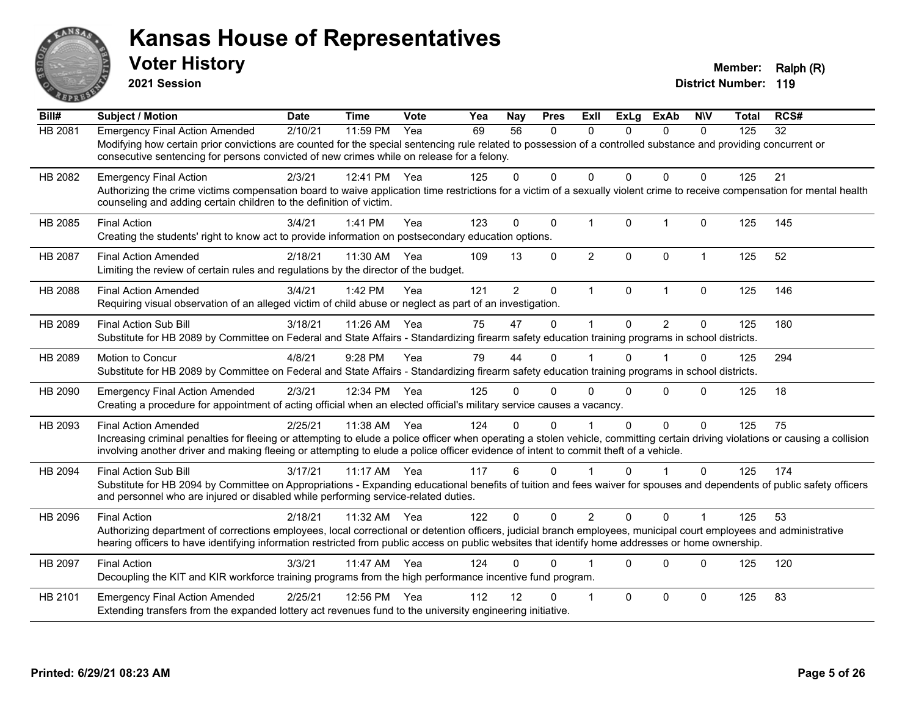

**2021 Session**

| Bill#          | <b>Subject / Motion</b>                                                                                                                                                                                                                                                                                                                                | <b>Date</b> | <b>Time</b> | Vote | Yea | Nay         | <b>Pres</b>  | <b>ExII</b>    | <b>ExLg</b>  | <b>ExAb</b>    | <b>NIV</b>           | <b>Total</b> | RCS# |
|----------------|--------------------------------------------------------------------------------------------------------------------------------------------------------------------------------------------------------------------------------------------------------------------------------------------------------------------------------------------------------|-------------|-------------|------|-----|-------------|--------------|----------------|--------------|----------------|----------------------|--------------|------|
| <b>HB 2081</b> | <b>Emergency Final Action Amended</b><br>Modifying how certain prior convictions are counted for the special sentencing rule related to possession of a controlled substance and providing concurrent or<br>consecutive sentencing for persons convicted of new crimes while on release for a felony.                                                  | 2/10/21     | 11:59 PM    | Yea  | 69  | 56          | $\mathbf{0}$ | $\Omega$       | $\Omega$     | $\Omega$       | $\mathbf{0}$         | 125          | 32   |
| HB 2082        | <b>Emergency Final Action</b><br>Authorizing the crime victims compensation board to waive application time restrictions for a victim of a sexually violent crime to receive compensation for mental health<br>counseling and adding certain children to the definition of victim.                                                                     | 2/3/21      | 12:41 PM    | Yea  | 125 | $\Omega$    | $\Omega$     | $\Omega$       | $\Omega$     | $\Omega$       | $\mathbf{0}$         | 125          | 21   |
| HB 2085        | <b>Final Action</b><br>Creating the students' right to know act to provide information on postsecondary education options.                                                                                                                                                                                                                             | 3/4/21      | 1:41 PM     | Yea  | 123 | $\mathbf 0$ | 0            | $\overline{1}$ | $\mathbf{0}$ | $\overline{1}$ | $\Omega$             | 125          | 145  |
| <b>HB 2087</b> | <b>Final Action Amended</b><br>Limiting the review of certain rules and regulations by the director of the budget.                                                                                                                                                                                                                                     | 2/18/21     | 11:30 AM    | Yea  | 109 | 13          | $\Omega$     | 2              | $\Omega$     | $\mathbf{0}$   | $\mathbf{1}$         | 125          | 52   |
| HB 2088        | <b>Final Action Amended</b><br>Requiring visual observation of an alleged victim of child abuse or neglect as part of an investigation.                                                                                                                                                                                                                | 3/4/21      | 1:42 PM     | Yea  | 121 | 2           | $\mathbf{0}$ | $\mathbf{1}$   | $\mathbf{0}$ | $\mathbf{1}$   | $\Omega$             | 125          | 146  |
| HB 2089        | <b>Final Action Sub Bill</b><br>Substitute for HB 2089 by Committee on Federal and State Affairs - Standardizing firearm safety education training programs in school districts.                                                                                                                                                                       | 3/18/21     | 11:26 AM    | Yea  | 75  | 47          | $\Omega$     |                | $\Omega$     | $\mathfrak{p}$ | $\Omega$             | 125          | 180  |
| HB 2089        | Motion to Concur<br>Substitute for HB 2089 by Committee on Federal and State Affairs - Standardizing firearm safety education training programs in school districts.                                                                                                                                                                                   | 4/8/21      | 9:28 PM     | Yea  | 79  | 44          | 0            |                | $\Omega$     |                | $\mathbf 0$          | 125          | 294  |
| HB 2090        | <b>Emergency Final Action Amended</b><br>Creating a procedure for appointment of acting official when an elected official's military service causes a vacancy.                                                                                                                                                                                         | 2/3/21      | 12:34 PM    | Yea  | 125 | 0           | $\Omega$     | 0              | $\Omega$     | $\Omega$       | $\mathbf{0}$         | 125          | 18   |
| HB 2093        | <b>Final Action Amended</b><br>Increasing criminal penalties for fleeing or attempting to elude a police officer when operating a stolen vehicle, committing certain driving violations or causing a collision<br>involving another driver and making fleeing or attempting to elude a police officer evidence of intent to commit theft of a vehicle. | 2/25/21     | 11:38 AM    | Yea  | 124 | 0           | $\Omega$     |                | $\Omega$     | $\Omega$       | $\mathbf 0$          | 125          | 75   |
| HB 2094        | <b>Final Action Sub Bill</b><br>Substitute for HB 2094 by Committee on Appropriations - Expanding educational benefits of tuition and fees waiver for spouses and dependents of public safety officers<br>and personnel who are injured or disabled while performing service-related duties.                                                           | 3/17/21     | $11:17$ AM  | Yea  | 117 | 6           | $\Omega$     |                | $\Omega$     |                | $\Omega$             | 125          | 174  |
| HB 2096        | <b>Final Action</b><br>Authorizing department of corrections employees, local correctional or detention officers, judicial branch employees, municipal court employees and administrative<br>hearing officers to have identifying information restricted from public access on public websites that identify home addresses or home ownership.         | 2/18/21     | 11:32 AM    | Yea  | 122 | $\Omega$    | $\Omega$     | $\overline{2}$ | $\Omega$     | $\Omega$       | $\blacktriangleleft$ | 125          | 53   |
| HB 2097        | <b>Final Action</b><br>Decoupling the KIT and KIR workforce training programs from the high performance incentive fund program.                                                                                                                                                                                                                        | 3/3/21      | 11:47 AM    | Yea  | 124 | $\Omega$    | 0            |                | $\Omega$     | $\Omega$       | $\mathbf{0}$         | 125          | 120  |
| HB 2101        | <b>Emergency Final Action Amended</b><br>Extending transfers from the expanded lottery act revenues fund to the university engineering initiative.                                                                                                                                                                                                     | 2/25/21     | 12:56 PM    | Yea  | 112 | 12          | 0            |                | $\Omega$     | $\Omega$       | $\mathbf 0$          | 125          | 83   |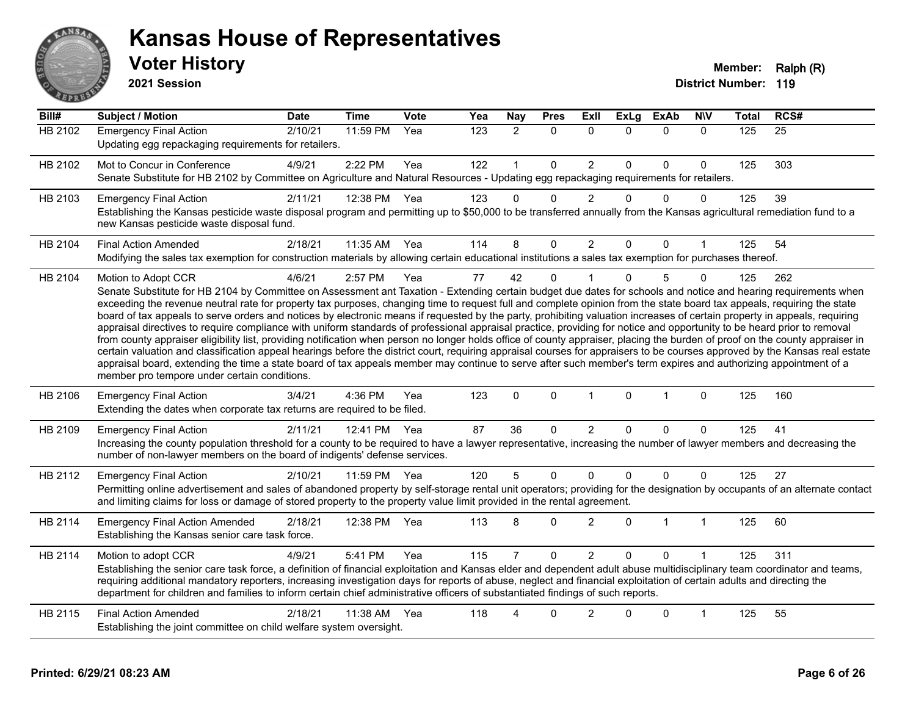

**2021 Session**

| Bill#          | <b>Subject / Motion</b>                                                                                                                                                                                                                                                                                                                                                                                                                                                                                                                                                                                                                                                                                                                                                                                                                                                                                                                                                                                                                                                                                                                                                                                                                                                                                     | <b>Date</b> | <b>Time</b>  | Vote | Yea | <b>Nay</b>     | <b>Pres</b>  | ExII           | <b>ExLg</b>  | <b>ExAb</b>  | <b>NIV</b>   | <b>Total</b> | RCS# |
|----------------|-------------------------------------------------------------------------------------------------------------------------------------------------------------------------------------------------------------------------------------------------------------------------------------------------------------------------------------------------------------------------------------------------------------------------------------------------------------------------------------------------------------------------------------------------------------------------------------------------------------------------------------------------------------------------------------------------------------------------------------------------------------------------------------------------------------------------------------------------------------------------------------------------------------------------------------------------------------------------------------------------------------------------------------------------------------------------------------------------------------------------------------------------------------------------------------------------------------------------------------------------------------------------------------------------------------|-------------|--------------|------|-----|----------------|--------------|----------------|--------------|--------------|--------------|--------------|------|
| <b>HB 2102</b> | <b>Emergency Final Action</b><br>Updating egg repackaging requirements for retailers.                                                                                                                                                                                                                                                                                                                                                                                                                                                                                                                                                                                                                                                                                                                                                                                                                                                                                                                                                                                                                                                                                                                                                                                                                       | 2/10/21     | 11:59 PM     | Yea  | 123 | $\overline{2}$ | $\mathbf{0}$ | $\Omega$       | $\Omega$     | $\Omega$     | $\Omega$     | 125          | 25   |
| HB 2102        | Mot to Concur in Conference<br>Senate Substitute for HB 2102 by Committee on Agriculture and Natural Resources - Updating egg repackaging requirements for retailers.                                                                                                                                                                                                                                                                                                                                                                                                                                                                                                                                                                                                                                                                                                                                                                                                                                                                                                                                                                                                                                                                                                                                       | 4/9/21      | 2:22 PM      | Yea  | 122 | $\mathbf{1}$   | $\Omega$     | $\overline{2}$ | $\mathbf{0}$ | $\Omega$     | 0            | 125          | 303  |
| HB 2103        | <b>Emergency Final Action</b><br>Establishing the Kansas pesticide waste disposal program and permitting up to \$50,000 to be transferred annually from the Kansas agricultural remediation fund to a<br>new Kansas pesticide waste disposal fund.                                                                                                                                                                                                                                                                                                                                                                                                                                                                                                                                                                                                                                                                                                                                                                                                                                                                                                                                                                                                                                                          | 2/11/21     | 12:38 PM     | Yea  | 123 | $\Omega$       | 0            | $\overline{2}$ | $\Omega$     | $\Omega$     | 0            | 125          | 39   |
| HB 2104        | <b>Final Action Amended</b><br>Modifying the sales tax exemption for construction materials by allowing certain educational institutions a sales tax exemption for purchases thereof.                                                                                                                                                                                                                                                                                                                                                                                                                                                                                                                                                                                                                                                                                                                                                                                                                                                                                                                                                                                                                                                                                                                       | 2/18/21     | 11:35 AM Yea |      | 114 | 8              | 0            | $\overline{2}$ | $\Omega$     | 0            | 1            | 125          | 54   |
| HB 2104        | Motion to Adopt CCR<br>Senate Substitute for HB 2104 by Committee on Assessment ant Taxation - Extending certain budget due dates for schools and notice and hearing requirements when<br>exceeding the revenue neutral rate for property tax purposes, changing time to request full and complete opinion from the state board tax appeals, requiring the state<br>board of tax appeals to serve orders and notices by electronic means if requested by the party, prohibiting valuation increases of certain property in appeals, requiring<br>appraisal directives to require compliance with uniform standards of professional appraisal practice, providing for notice and opportunity to be heard prior to removal<br>from county appraiser eligibility list, providing notification when person no longer holds office of county appraiser, placing the burden of proof on the county appraiser in<br>certain valuation and classification appeal hearings before the district court, requiring appraisal courses for appraisers to be courses approved by the Kansas real estate<br>appraisal board, extending the time a state board of tax appeals member may continue to serve after such member's term expires and authorizing appointment of a<br>member pro tempore under certain conditions. | 4/6/21      | 2:57 PM      | Yea  | 77  | 42             | $\Omega$     |                | $\Omega$     | 5            | 0            | 125          | 262  |
| HB 2106        | <b>Emergency Final Action</b><br>Extending the dates when corporate tax returns are required to be filed.                                                                                                                                                                                                                                                                                                                                                                                                                                                                                                                                                                                                                                                                                                                                                                                                                                                                                                                                                                                                                                                                                                                                                                                                   | 3/4/21      | 4:36 PM      | Yea  | 123 | $\mathbf{0}$   | $\mathbf{0}$ | $\mathbf{1}$   | $\mathbf{0}$ | $\mathbf{1}$ | $\Omega$     | 125          | 160  |
| HB 2109        | <b>Emergency Final Action</b><br>Increasing the county population threshold for a county to be required to have a lawyer representative, increasing the number of lawyer members and decreasing the<br>number of non-lawyer members on the board of indigents' defense services.                                                                                                                                                                                                                                                                                                                                                                                                                                                                                                                                                                                                                                                                                                                                                                                                                                                                                                                                                                                                                            | 2/11/21     | 12:41 PM Yea |      | 87  | 36             | $\Omega$     | $\overline{2}$ | $\Omega$     | $\Omega$     | 0            | 125          | 41   |
| HB 2112        | <b>Emergency Final Action</b><br>Permitting online advertisement and sales of abandoned property by self-storage rental unit operators; providing for the designation by occupants of an alternate contact<br>and limiting claims for loss or damage of stored property to the property value limit provided in the rental agreement.                                                                                                                                                                                                                                                                                                                                                                                                                                                                                                                                                                                                                                                                                                                                                                                                                                                                                                                                                                       | 2/10/21     | 11:59 PM     | Yea  | 120 | 5              | $\mathbf 0$  | $\Omega$       | $\Omega$     | $\Omega$     | 0            | 125          | 27   |
| HB 2114        | <b>Emergency Final Action Amended</b><br>Establishing the Kansas senior care task force.                                                                                                                                                                                                                                                                                                                                                                                                                                                                                                                                                                                                                                                                                                                                                                                                                                                                                                                                                                                                                                                                                                                                                                                                                    | 2/18/21     | 12:38 PM     | Yea  | 113 | 8              | 0            | $\overline{2}$ | $\Omega$     | $\mathbf{1}$ | $\mathbf{1}$ | 125          | 60   |
| HB 2114        | Motion to adopt CCR<br>Establishing the senior care task force, a definition of financial exploitation and Kansas elder and dependent adult abuse multidisciplinary team coordinator and teams,<br>requiring additional mandatory reporters, increasing investigation days for reports of abuse, neglect and financial exploitation of certain adults and directing the<br>department for children and families to inform certain chief administrative officers of substantiated findings of such reports.                                                                                                                                                                                                                                                                                                                                                                                                                                                                                                                                                                                                                                                                                                                                                                                                  | 4/9/21      | 5:41 PM      | Yea  | 115 | $\overline{7}$ | 0            | $\overline{2}$ | $\Omega$     | $\Omega$     |              | 125          | 311  |
| HB 2115        | <b>Final Action Amended</b><br>Establishing the joint committee on child welfare system oversight.                                                                                                                                                                                                                                                                                                                                                                                                                                                                                                                                                                                                                                                                                                                                                                                                                                                                                                                                                                                                                                                                                                                                                                                                          | 2/18/21     | 11:38 AM     | Yea  | 118 | 4              | $\Omega$     | $\overline{2}$ | U            | 0            | 1            | 125          | 55   |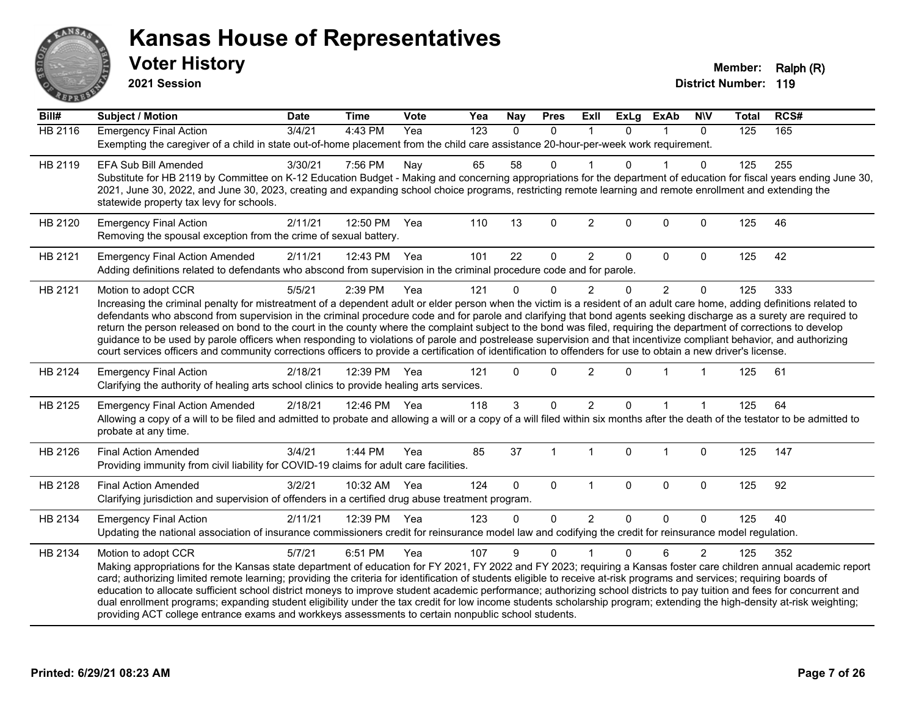

**2021 Session**

| Bill#          | <b>Subject / Motion</b>                                                                                                                                                                                                                                                                                                                                                                                                                                                                                                                                                                                                                                                                                                                                                                                                                                                                | <b>Date</b> | <b>Time</b>  | Vote | Yea              | <b>Nay</b> | <b>Pres</b>  | ExII           | <b>ExLg</b>  | <b>ExAb</b>    | <b>NIV</b>     | <b>Total</b> | RCS# |
|----------------|----------------------------------------------------------------------------------------------------------------------------------------------------------------------------------------------------------------------------------------------------------------------------------------------------------------------------------------------------------------------------------------------------------------------------------------------------------------------------------------------------------------------------------------------------------------------------------------------------------------------------------------------------------------------------------------------------------------------------------------------------------------------------------------------------------------------------------------------------------------------------------------|-------------|--------------|------|------------------|------------|--------------|----------------|--------------|----------------|----------------|--------------|------|
| <b>HB 2116</b> | <b>Emergency Final Action</b><br>Exempting the caregiver of a child in state out-of-home placement from the child care assistance 20-hour-per-week work requirement.                                                                                                                                                                                                                                                                                                                                                                                                                                                                                                                                                                                                                                                                                                                   | 3/4/21      | $4:43$ PM    | Yea  | $\overline{123}$ | $\Omega$   | $\mathbf{0}$ |                | $\Omega$     |                | $\Omega$       | 125          | 165  |
| HB 2119        | <b>EFA Sub Bill Amended</b><br>Substitute for HB 2119 by Committee on K-12 Education Budget - Making and concerning appropriations for the department of education for fiscal years ending June 30,<br>2021, June 30, 2022, and June 30, 2023, creating and expanding school choice programs, restricting remote learning and remote enrollment and extending the<br>statewide property tax levy for schools.                                                                                                                                                                                                                                                                                                                                                                                                                                                                          | 3/30/21     | 7:56 PM      | Nay  | 65               | 58         | 0            |                | U            |                | 0              | 125          | 255  |
| HB 2120        | <b>Emergency Final Action</b><br>Removing the spousal exception from the crime of sexual battery.                                                                                                                                                                                                                                                                                                                                                                                                                                                                                                                                                                                                                                                                                                                                                                                      | 2/11/21     | 12:50 PM     | Yea  | 110              | 13         | $\mathbf 0$  | $\overline{2}$ | $\mathbf 0$  | $\mathbf 0$    | $\mathbf 0$    | 125          | 46   |
| HB 2121        | <b>Emergency Final Action Amended</b><br>Adding definitions related to defendants who abscond from supervision in the criminal procedure code and for parole.                                                                                                                                                                                                                                                                                                                                                                                                                                                                                                                                                                                                                                                                                                                          | 2/11/21     | 12:43 PM Yea |      | 101              | 22         | $\mathbf 0$  | $\overline{2}$ | 0            | $\Omega$       | $\mathbf 0$    | 125          | 42   |
| HB 2121        | Motion to adopt CCR<br>Increasing the criminal penalty for mistreatment of a dependent adult or elder person when the victim is a resident of an adult care home, adding definitions related to<br>defendants who abscond from supervision in the criminal procedure code and for parole and clarifying that bond agents seeking discharge as a surety are required to<br>return the person released on bond to the court in the county where the complaint subject to the bond was filed, requiring the department of corrections to develop<br>guidance to be used by parole officers when responding to violations of parole and postrelease supervision and that incentivize compliant behavior, and authorizing<br>court services officers and community corrections officers to provide a certification of identification to offenders for use to obtain a new driver's license. | 5/5/21      | 2:39 PM      | Yea  | 121              | $\Omega$   | $\Omega$     | $\overline{2}$ | $\Omega$     | $\overline{2}$ | $\Omega$       | 125          | 333  |
| HB 2124        | <b>Emergency Final Action</b><br>Clarifying the authority of healing arts school clinics to provide healing arts services.                                                                                                                                                                                                                                                                                                                                                                                                                                                                                                                                                                                                                                                                                                                                                             | 2/18/21     | 12:39 PM     | Yea  | 121              | $\Omega$   | $\Omega$     | $\overline{2}$ | $\Omega$     |                |                | 125          | 61   |
| HB 2125        | <b>Emergency Final Action Amended</b><br>Allowing a copy of a will to be filed and admitted to probate and allowing a will or a copy of a will filed within six months after the death of the testator to be admitted to<br>probate at any time.                                                                                                                                                                                                                                                                                                                                                                                                                                                                                                                                                                                                                                       | 2/18/21     | 12:46 PM Yea |      | 118              | 3          | $\Omega$     | $\overline{2}$ | 0            |                |                | 125          | 64   |
| HB 2126        | <b>Final Action Amended</b><br>Providing immunity from civil liability for COVID-19 claims for adult care facilities.                                                                                                                                                                                                                                                                                                                                                                                                                                                                                                                                                                                                                                                                                                                                                                  | 3/4/21      | 1:44 PM      | Yea  | 85               | 37         |              | 1              | $\Omega$     | 1              | $\mathbf 0$    | 125          | 147  |
| HB 2128        | <b>Final Action Amended</b><br>Clarifying jurisdiction and supervision of offenders in a certified drug abuse treatment program.                                                                                                                                                                                                                                                                                                                                                                                                                                                                                                                                                                                                                                                                                                                                                       | 3/2/21      | 10:32 AM Yea |      | 124              | 0          | $\mathbf{0}$ | $\mathbf{1}$   | $\mathbf{0}$ | $\Omega$       | $\mathbf 0$    | 125          | 92   |
| HB 2134        | <b>Emergency Final Action</b><br>Updating the national association of insurance commissioners credit for reinsurance model law and codifying the credit for reinsurance model regulation.                                                                                                                                                                                                                                                                                                                                                                                                                                                                                                                                                                                                                                                                                              | 2/11/21     | 12:39 PM     | Yea  | 123              | $\Omega$   | $\mathbf 0$  | $\overline{2}$ | 0            | 0              | $\mathbf 0$    | 125          | 40   |
| HB 2134        | Motion to adopt CCR<br>Making appropriations for the Kansas state department of education for FY 2021, FY 2022 and FY 2023; requiring a Kansas foster care children annual academic report<br>card; authorizing limited remote learning; providing the criteria for identification of students eligible to receive at-risk programs and services; requiring boards of<br>education to allocate sufficient school district moneys to improve student academic performance; authorizing school districts to pay tuition and fees for concurrent and<br>dual enrollment programs; expanding student eligibility under the tax credit for low income students scholarship program; extending the high-density at-risk weighting;<br>providing ACT college entrance exams and workkeys assessments to certain nonpublic school students.                                                    | 5/7/21      | 6:51 PM      | Yea  | 107              | 9          | $\Omega$     |                | $\Omega$     | 6              | $\overline{2}$ | 125          | 352  |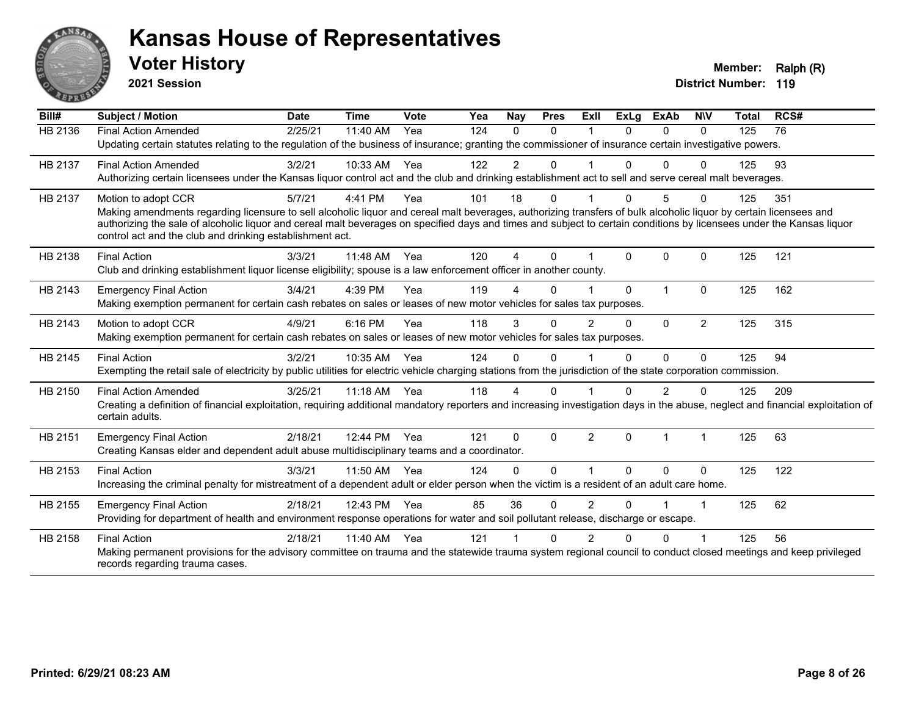

**2021 Session**

| Bill#   | <b>Subject / Motion</b>                                                                                                                                                                                                           | <b>Date</b> | <b>Time</b> | Vote | Yea | Nay            | <b>Pres</b> | ExIl           | <b>ExLg</b> | <b>ExAb</b>  | <b>NIV</b>           | <b>Total</b> | RCS# |
|---------|-----------------------------------------------------------------------------------------------------------------------------------------------------------------------------------------------------------------------------------|-------------|-------------|------|-----|----------------|-------------|----------------|-------------|--------------|----------------------|--------------|------|
| HB 2136 | <b>Final Action Amended</b>                                                                                                                                                                                                       | 2/25/21     | 11:40 AM    | Yea  | 124 | $\Omega$       | $\Omega$    |                | $\Omega$    | $\Omega$     | $\Omega$             | 125          | 76   |
|         | Updating certain statutes relating to the regulation of the business of insurance; granting the commissioner of insurance certain investigative powers.                                                                           |             |             |      |     |                |             |                |             |              |                      |              |      |
| HB 2137 | <b>Final Action Amended</b>                                                                                                                                                                                                       | 3/2/21      | 10:33 AM    | Yea  | 122 | $\overline{2}$ | 0           |                | 0           | $\Omega$     | $\Omega$             | 125          | 93   |
|         | Authorizing certain licensees under the Kansas liquor control act and the club and drinking establishment act to sell and serve cereal malt beverages.                                                                            |             |             |      |     |                |             |                |             |              |                      |              |      |
| HB 2137 | Motion to adopt CCR                                                                                                                                                                                                               | 5/7/21      | 4:41 PM     | Yea  | 101 | 18             | 0           |                | 0           | 5            | $\Omega$             | 125          | 351  |
|         | Making amendments regarding licensure to sell alcoholic liquor and cereal malt beverages, authorizing transfers of bulk alcoholic liquor by certain licensees and                                                                 |             |             |      |     |                |             |                |             |              |                      |              |      |
|         | authorizing the sale of alcoholic liquor and cereal malt beverages on specified days and times and subject to certain conditions by licensees under the Kansas liquor<br>control act and the club and drinking establishment act. |             |             |      |     |                |             |                |             |              |                      |              |      |
|         |                                                                                                                                                                                                                                   |             |             |      |     |                |             |                |             |              |                      |              |      |
| HB 2138 | <b>Final Action</b>                                                                                                                                                                                                               | 3/3/21      | 11:48 AM    | Yea  | 120 | 4              | $\Omega$    |                | $\Omega$    | $\Omega$     | $\Omega$             | 125          | 121  |
|         | Club and drinking establishment liquor license eligibility; spouse is a law enforcement officer in another county.                                                                                                                |             |             |      |     |                |             |                |             |              |                      |              |      |
| HB 2143 | <b>Emergency Final Action</b>                                                                                                                                                                                                     | 3/4/21      | 4:39 PM     | Yea  | 119 |                | $\Omega$    |                | $\Omega$    | $\mathbf{1}$ | $\Omega$             | 125          | 162  |
|         | Making exemption permanent for certain cash rebates on sales or leases of new motor vehicles for sales tax purposes.                                                                                                              |             |             |      |     |                |             |                |             |              |                      |              |      |
| HB 2143 | Motion to adopt CCR                                                                                                                                                                                                               | 4/9/21      | 6:16 PM     | Yea  | 118 | 3              | $\Omega$    | $\overline{2}$ | $\Omega$    | $\mathbf{0}$ | $\overline{2}$       | 125          | 315  |
|         | Making exemption permanent for certain cash rebates on sales or leases of new motor vehicles for sales tax purposes.                                                                                                              |             |             |      |     |                |             |                |             |              |                      |              |      |
| HB 2145 | <b>Final Action</b>                                                                                                                                                                                                               | 3/2/21      | 10:35 AM    | Yea  | 124 | $\Omega$       | $\Omega$    |                | $\Omega$    | 0            | $\Omega$             | 125          | 94   |
|         | Exempting the retail sale of electricity by public utilities for electric vehicle charging stations from the jurisdiction of the state corporation commission.                                                                    |             |             |      |     |                |             |                |             |              |                      |              |      |
| HB 2150 | <b>Final Action Amended</b>                                                                                                                                                                                                       | 3/25/21     | $11:18$ AM  | Yea  | 118 | 4              | 0           |                | U           | 2            | n                    | 125          | 209  |
|         | Creating a definition of financial exploitation, requiring additional mandatory reporters and increasing investigation days in the abuse, neglect and financial exploitation of                                                   |             |             |      |     |                |             |                |             |              |                      |              |      |
|         | certain adults.                                                                                                                                                                                                                   |             |             |      |     |                |             |                |             |              |                      |              |      |
| HB 2151 | <b>Emergency Final Action</b>                                                                                                                                                                                                     | 2/18/21     | 12:44 PM    | Yea  | 121 | $\Omega$       | $\Omega$    | $\overline{2}$ | $\Omega$    | 1            | $\blacktriangleleft$ | 125          | 63   |
|         | Creating Kansas elder and dependent adult abuse multidisciplinary teams and a coordinator.                                                                                                                                        |             |             |      |     |                |             |                |             |              |                      |              |      |
| HB 2153 | <b>Final Action</b>                                                                                                                                                                                                               | 3/3/21      | 11:50 AM    | Yea  | 124 | 0              | $\Omega$    |                | $\Omega$    | $\Omega$     | $\mathbf{0}$         | 125          | 122  |
|         | Increasing the criminal penalty for mistreatment of a dependent adult or elder person when the victim is a resident of an adult care home.                                                                                        |             |             |      |     |                |             |                |             |              |                      |              |      |
| HB 2155 | <b>Emergency Final Action</b>                                                                                                                                                                                                     | 2/18/21     | 12:43 PM    | Yea  | 85  | 36             | $\Omega$    | $\overline{2}$ | $\Omega$    |              | -1                   | 125          | 62   |
|         | Providing for department of health and environment response operations for water and soil pollutant release, discharge or escape.                                                                                                 |             |             |      |     |                |             |                |             |              |                      |              |      |
| HB 2158 | <b>Final Action</b>                                                                                                                                                                                                               | 2/18/21     | 11:40 AM    | Yea  | 121 |                | $\Omega$    | 2              | U           | $\Omega$     |                      | 125          | 56   |
|         | Making permanent provisions for the advisory committee on trauma and the statewide trauma system regional council to conduct closed meetings and keep privileged                                                                  |             |             |      |     |                |             |                |             |              |                      |              |      |
|         | records regarding trauma cases.                                                                                                                                                                                                   |             |             |      |     |                |             |                |             |              |                      |              |      |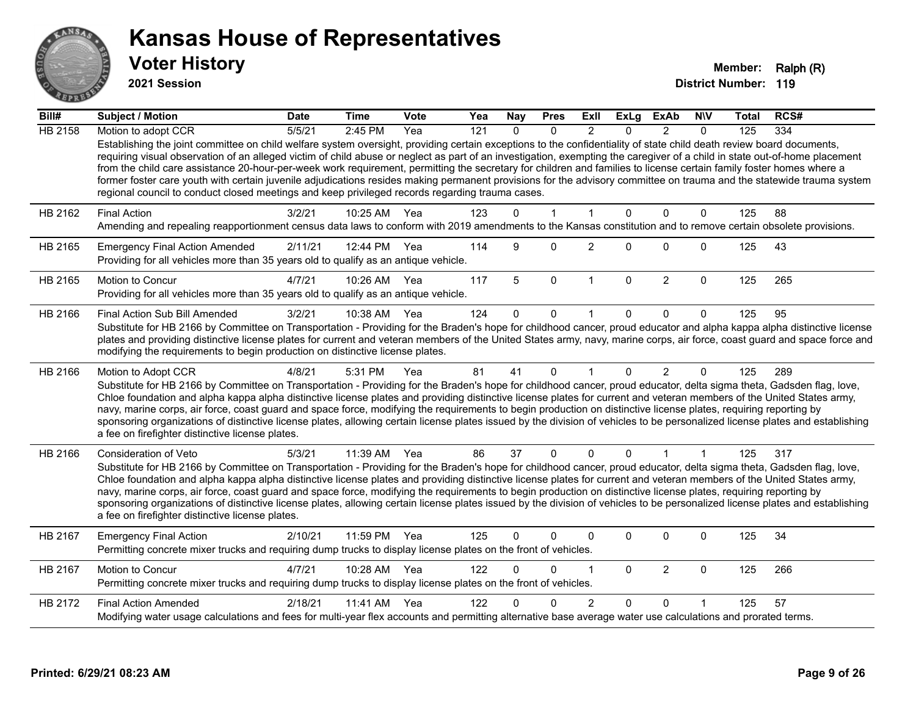

**2021 Session**

| $\overline{Bill#}$ | <b>Subject / Motion</b>                                                                                                                                                                                                                                                                                                                                                                                                                                                                                                                                                                                                                                                                                                                                                                               | <b>Date</b> | <b>Time</b>  | <b>Vote</b> | Yea | <b>Nay</b> | <b>Pres</b> | Exll           | ExLg         | <b>ExAb</b>    | <b>NIV</b>   | Total | RCS# |
|--------------------|-------------------------------------------------------------------------------------------------------------------------------------------------------------------------------------------------------------------------------------------------------------------------------------------------------------------------------------------------------------------------------------------------------------------------------------------------------------------------------------------------------------------------------------------------------------------------------------------------------------------------------------------------------------------------------------------------------------------------------------------------------------------------------------------------------|-------------|--------------|-------------|-----|------------|-------------|----------------|--------------|----------------|--------------|-------|------|
| <b>HB 2158</b>     | Motion to adopt CCR                                                                                                                                                                                                                                                                                                                                                                                                                                                                                                                                                                                                                                                                                                                                                                                   | 5/5/21      | 2:45 PM      | Yea         | 121 | $\Omega$   | $\Omega$    | $\mathcal{P}$  | $\Omega$     | $\mathcal{P}$  | $\Omega$     | 125   | 334  |
|                    | Establishing the joint committee on child welfare system oversight, providing certain exceptions to the confidentiality of state child death review board documents,<br>requiring visual observation of an alleged victim of child abuse or neglect as part of an investigation, exempting the caregiver of a child in state out-of-home placement<br>from the child care assistance 20-hour-per-week work requirement, permitting the secretary for children and families to license certain family foster homes where a<br>former foster care youth with certain juvenile adjudications resides making permanent provisions for the advisory committee on trauma and the statewide trauma system<br>regional council to conduct closed meetings and keep privileged records regarding trauma cases. |             |              |             |     |            |             |                |              |                |              |       |      |
| HB 2162            | <b>Final Action</b>                                                                                                                                                                                                                                                                                                                                                                                                                                                                                                                                                                                                                                                                                                                                                                                   | 3/2/21      | 10:25 AM     | Yea         | 123 | $\Omega$   | 1           | $\mathbf{1}$   | $\Omega$     | $\mathbf{0}$   | $\mathbf{0}$ | 125   | 88   |
|                    | Amending and repealing reapportionment census data laws to conform with 2019 amendments to the Kansas constitution and to remove certain obsolete provisions.                                                                                                                                                                                                                                                                                                                                                                                                                                                                                                                                                                                                                                         |             |              |             |     |            |             |                |              |                |              |       |      |
| HB 2165            | <b>Emergency Final Action Amended</b><br>Providing for all vehicles more than 35 years old to qualify as an antique vehicle.                                                                                                                                                                                                                                                                                                                                                                                                                                                                                                                                                                                                                                                                          | 2/11/21     | 12:44 PM     | Yea         | 114 | 9          | $\Omega$    | $\overline{2}$ | $\Omega$     | $\Omega$       | $\mathbf 0$  | 125   | 43   |
| HB 2165            | <b>Motion to Concur</b><br>Providing for all vehicles more than 35 years old to qualify as an antique vehicle.                                                                                                                                                                                                                                                                                                                                                                                                                                                                                                                                                                                                                                                                                        | 4/7/21      | 10:26 AM     | Yea         | 117 | 5          | $\pmb{0}$   | $\mathbf{1}$   | $\mathbf 0$  | $\overline{2}$ | $\mathbf 0$  | 125   | 265  |
| HB 2166            | Final Action Sub Bill Amended                                                                                                                                                                                                                                                                                                                                                                                                                                                                                                                                                                                                                                                                                                                                                                         | 3/2/21      | 10:38 AM     | Yea         | 124 | 0          | 0           |                | 0            | $\Omega$       | $\Omega$     | 125   | 95   |
|                    | Substitute for HB 2166 by Committee on Transportation - Providing for the Braden's hope for childhood cancer, proud educator and alpha kappa alpha distinctive license<br>plates and providing distinctive license plates for current and veteran members of the United States army, navy, marine corps, air force, coast guard and space force and<br>modifying the requirements to begin production on distinctive license plates.                                                                                                                                                                                                                                                                                                                                                                  |             |              |             |     |            |             |                |              |                |              |       |      |
| HB 2166            | Motion to Adopt CCR                                                                                                                                                                                                                                                                                                                                                                                                                                                                                                                                                                                                                                                                                                                                                                                   | 4/8/21      | 5:31 PM      | Yea         | 81  | 41         | $\Omega$    |                | $\Omega$     | $\overline{2}$ | $\Omega$     | 125   | 289  |
|                    | Substitute for HB 2166 by Committee on Transportation - Providing for the Braden's hope for childhood cancer, proud educator, delta sigma theta, Gadsden flag, love,<br>Chloe foundation and alpha kappa alpha distinctive license plates and providing distinctive license plates for current and veteran members of the United States army,<br>navy, marine corps, air force, coast guard and space force, modifying the requirements to begin production on distinctive license plates, requiring reporting by<br>sponsoring organizations of distinctive license plates, allowing certain license plates issued by the division of vehicles to be personalized license plates and establishing<br>a fee on firefighter distinctive license plates.                                                |             |              |             |     |            |             |                |              |                |              |       |      |
| HB 2166            | Consideration of Veto                                                                                                                                                                                                                                                                                                                                                                                                                                                                                                                                                                                                                                                                                                                                                                                 | 5/3/21      | 11:39 AM     | Yea         | 86  | 37         | $\mathbf 0$ | $\mathbf{0}$   | $\Omega$     | $\mathbf 1$    | $\mathbf{1}$ | 125   | 317  |
|                    | Substitute for HB 2166 by Committee on Transportation - Providing for the Braden's hope for childhood cancer, proud educator, delta sigma theta, Gadsden flag, love,<br>Chloe foundation and alpha kappa alpha distinctive license plates and providing distinctive license plates for current and veteran members of the United States army,<br>navy, marine corps, air force, coast guard and space force, modifying the requirements to begin production on distinctive license plates, requiring reporting by<br>sponsoring organizations of distinctive license plates, allowing certain license plates issued by the division of vehicles to be personalized license plates and establishing<br>a fee on firefighter distinctive license plates.                                                |             |              |             |     |            |             |                |              |                |              |       |      |
| HB 2167            | <b>Emergency Final Action</b><br>Permitting concrete mixer trucks and requiring dump trucks to display license plates on the front of vehicles.                                                                                                                                                                                                                                                                                                                                                                                                                                                                                                                                                                                                                                                       | 2/10/21     | 11:59 PM     | Yea         | 125 | $\Omega$   | 0           | $\mathbf{0}$   | 0            | 0              | $\mathbf 0$  | 125   | 34   |
| HB 2167            | Motion to Concur<br>Permitting concrete mixer trucks and requiring dump trucks to display license plates on the front of vehicles.                                                                                                                                                                                                                                                                                                                                                                                                                                                                                                                                                                                                                                                                    | 4/7/21      | 10:28 AM     | Yea         | 122 | $\Omega$   | 0           | 1              | $\mathbf{0}$ | $\overline{2}$ | $\mathbf 0$  | 125   | 266  |
| HB 2172            | <b>Final Action Amended</b>                                                                                                                                                                                                                                                                                                                                                                                                                                                                                                                                                                                                                                                                                                                                                                           | 2/18/21     | 11:41 AM Yea |             | 122 | U          | 0           | $\overline{2}$ | $\Omega$     | $\Omega$       |              | 125   | 57   |
|                    | Modifying water usage calculations and fees for multi-year flex accounts and permitting alternative base average water use calculations and prorated terms.                                                                                                                                                                                                                                                                                                                                                                                                                                                                                                                                                                                                                                           |             |              |             |     |            |             |                |              |                |              |       |      |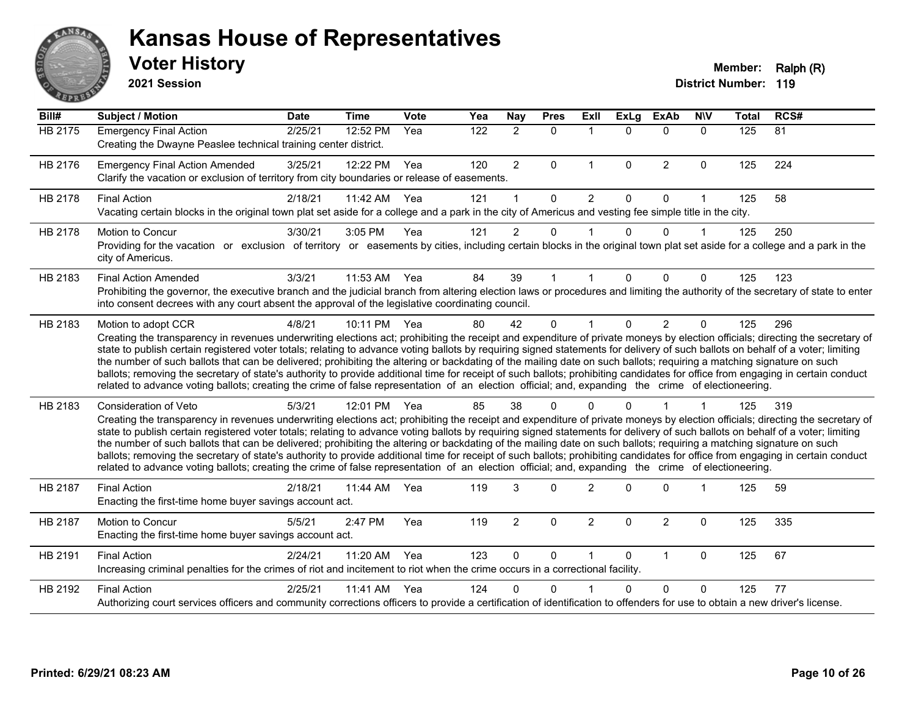

**2021 Session**

| Bill#          | <b>Subject / Motion</b>                                                                                                                                                                                                                                                                                                                                                                                                                                                                                                                                                                                                                                                                                                                                                                                                                                                                                    | <b>Date</b> | <b>Time</b> | Vote | Yea              | <b>Nay</b>     | <b>Pres</b> | ExIl           | <b>ExLg</b>  | <b>ExAb</b>    | <b>NIV</b>   | <b>Total</b> | RCS# |
|----------------|------------------------------------------------------------------------------------------------------------------------------------------------------------------------------------------------------------------------------------------------------------------------------------------------------------------------------------------------------------------------------------------------------------------------------------------------------------------------------------------------------------------------------------------------------------------------------------------------------------------------------------------------------------------------------------------------------------------------------------------------------------------------------------------------------------------------------------------------------------------------------------------------------------|-------------|-------------|------|------------------|----------------|-------------|----------------|--------------|----------------|--------------|--------------|------|
| <b>HB 2175</b> | <b>Emergency Final Action</b><br>Creating the Dwayne Peaslee technical training center district.                                                                                                                                                                                                                                                                                                                                                                                                                                                                                                                                                                                                                                                                                                                                                                                                           | 2/25/21     | 12:52 PM    | Yea  | $\overline{122}$ | $\overline{2}$ | $\Omega$    | $\mathbf 1$    | $\Omega$     | $\Omega$       | $\Omega$     | 125          | 81   |
| HB 2176        | <b>Emergency Final Action Amended</b><br>Clarify the vacation or exclusion of territory from city boundaries or release of easements.                                                                                                                                                                                                                                                                                                                                                                                                                                                                                                                                                                                                                                                                                                                                                                      | 3/25/21     | 12:22 PM    | Yea  | 120              | $\overline{2}$ | 0           | $\mathbf 1$    | $\Omega$     | $\overline{2}$ | $\mathbf 0$  | 125          | 224  |
| HB 2178        | <b>Final Action</b><br>Vacating certain blocks in the original town plat set aside for a college and a park in the city of Americus and vesting fee simple title in the city.                                                                                                                                                                                                                                                                                                                                                                                                                                                                                                                                                                                                                                                                                                                              | 2/18/21     | 11:42 AM    | Yea  | 121              | 1              | $\Omega$    | $\overline{2}$ | $\Omega$     | $\Omega$       | 1            | 125          | 58   |
| HB 2178        | Motion to Concur<br>Providing for the vacation or exclusion of territory or easements by cities, including certain blocks in the original town plat set aside for a college and a park in the<br>city of Americus.                                                                                                                                                                                                                                                                                                                                                                                                                                                                                                                                                                                                                                                                                         | 3/30/21     | 3:05 PM     | Yea  | 121              | $\overline{2}$ | 0           |                | $\Omega$     | $\Omega$       |              | 125          | 250  |
| HB 2183        | <b>Final Action Amended</b><br>Prohibiting the governor, the executive branch and the judicial branch from altering election laws or procedures and limiting the authority of the secretary of state to enter<br>into consent decrees with any court absent the approval of the legislative coordinating council.                                                                                                                                                                                                                                                                                                                                                                                                                                                                                                                                                                                          | 3/3/21      | 11:53 AM    | Yea  | 84               | 39             | 1           |                | 0            | $\Omega$       | $\Omega$     | 125          | 123  |
| HB 2183        | Motion to adopt CCR<br>Creating the transparency in revenues underwriting elections act; prohibiting the receipt and expenditure of private moneys by election officials; directing the secretary of<br>state to publish certain registered voter totals; relating to advance voting ballots by requiring signed statements for delivery of such ballots on behalf of a voter; limiting<br>the number of such ballots that can be delivered; prohibiting the altering or backdating of the mailing date on such ballots; requiring a matching signature on such<br>ballots; removing the secretary of state's authority to provide additional time for receipt of such ballots; prohibiting candidates for office from engaging in certain conduct<br>related to advance voting ballots; creating the crime of false representation of an election official; and, expanding the crime of electioneering.   | 4/8/21      | 10:11 PM    | Yea  | 80               | 42             | $\Omega$    |                | $\mathbf{0}$ | $\overline{2}$ | $\mathbf{0}$ | 125          | 296  |
| HB 2183        | Consideration of Veto<br>Creating the transparency in revenues underwriting elections act; prohibiting the receipt and expenditure of private moneys by election officials; directing the secretary of<br>state to publish certain registered voter totals; relating to advance voting ballots by requiring signed statements for delivery of such ballots on behalf of a voter; limiting<br>the number of such ballots that can be delivered; prohibiting the altering or backdating of the mailing date on such ballots; requiring a matching signature on such<br>ballots; removing the secretary of state's authority to provide additional time for receipt of such ballots; prohibiting candidates for office from engaging in certain conduct<br>related to advance voting ballots; creating the crime of false representation of an election official; and, expanding the crime of electioneering. | 5/3/21      | 12:01 PM    | Yea  | 85               | 38             | $\Omega$    |                | U            |                |              | 125          | 319  |
| HB 2187        | <b>Final Action</b><br>Enacting the first-time home buyer savings account act.                                                                                                                                                                                                                                                                                                                                                                                                                                                                                                                                                                                                                                                                                                                                                                                                                             | 2/18/21     | 11:44 AM    | Yea  | 119              | 3              | $\Omega$    | $\overline{2}$ | 0            | $\Omega$       |              | 125          | 59   |
| HB 2187        | Motion to Concur<br>Enacting the first-time home buyer savings account act.                                                                                                                                                                                                                                                                                                                                                                                                                                                                                                                                                                                                                                                                                                                                                                                                                                | 5/5/21      | 2:47 PM     | Yea  | 119              | $\overline{2}$ | $\Omega$    | $\overline{2}$ | $\Omega$     | $\overline{2}$ | $\mathbf{0}$ | 125          | 335  |
| HB 2191        | <b>Final Action</b><br>Increasing criminal penalties for the crimes of riot and incitement to riot when the crime occurs in a correctional facility.                                                                                                                                                                                                                                                                                                                                                                                                                                                                                                                                                                                                                                                                                                                                                       | 2/24/21     | 11:20 AM    | Yea  | 123              | $\Omega$       | $\Omega$    | 1              | $\Omega$     | $\mathbf{1}$   | $\Omega$     | 125          | 67   |
| HB 2192        | <b>Final Action</b><br>Authorizing court services officers and community corrections officers to provide a certification of identification to offenders for use to obtain a new driver's license.                                                                                                                                                                                                                                                                                                                                                                                                                                                                                                                                                                                                                                                                                                          | 2/25/21     | 11:41 AM    | Yea  | 124              | 0              | $\Omega$    |                | $\Omega$     | $\Omega$       | 0            | 125          | 77   |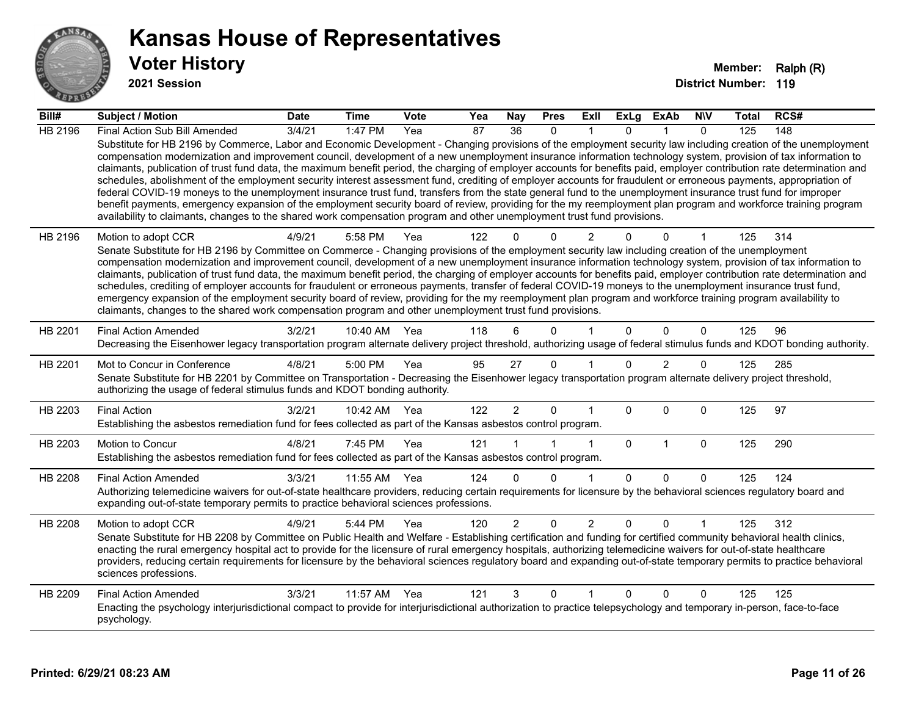

**2021 Session**

| Bill#          | <b>Subject / Motion</b>                                                                                                                                                                                                                                                                                                                                                                                                                                                                                                                                                                                                                                                                                                                                                                                                                                                                                                                                                                                                                                                                                                                           | <b>Date</b> | <b>Time</b>  | <b>Vote</b> | Yea | Nay             | <b>Pres</b> | ExII           | ExLg         | ExAb           | <b>NIV</b>   | <b>Total</b> | RCS# |
|----------------|---------------------------------------------------------------------------------------------------------------------------------------------------------------------------------------------------------------------------------------------------------------------------------------------------------------------------------------------------------------------------------------------------------------------------------------------------------------------------------------------------------------------------------------------------------------------------------------------------------------------------------------------------------------------------------------------------------------------------------------------------------------------------------------------------------------------------------------------------------------------------------------------------------------------------------------------------------------------------------------------------------------------------------------------------------------------------------------------------------------------------------------------------|-------------|--------------|-------------|-----|-----------------|-------------|----------------|--------------|----------------|--------------|--------------|------|
| <b>HB 2196</b> | Final Action Sub Bill Amended                                                                                                                                                                                                                                                                                                                                                                                                                                                                                                                                                                                                                                                                                                                                                                                                                                                                                                                                                                                                                                                                                                                     | 3/4/21      | 1:47 PM      | Yea         | 87  | $\overline{36}$ | $\Omega$    |                | $\Omega$     |                | $\Omega$     | 125          | 148  |
|                | Substitute for HB 2196 by Commerce, Labor and Economic Development - Changing provisions of the employment security law including creation of the unemployment<br>compensation modernization and improvement council, development of a new unemployment insurance information technology system, provision of tax information to<br>claimants, publication of trust fund data, the maximum benefit period, the charging of employer accounts for benefits paid, employer contribution rate determination and<br>schedules, abolishment of the employment security interest assessment fund, crediting of employer accounts for fraudulent or erroneous payments, appropriation of<br>federal COVID-19 moneys to the unemployment insurance trust fund, transfers from the state general fund to the unemployment insurance trust fund for improper<br>benefit payments, emergency expansion of the employment security board of review, providing for the my reemployment plan program and workforce training program<br>availability to claimants, changes to the shared work compensation program and other unemployment trust fund provisions. |             |              |             |     |                 |             |                |              |                |              |              |      |
| HB 2196        | Motion to adopt CCR<br>Senate Substitute for HB 2196 by Committee on Commerce - Changing provisions of the employment security law including creation of the unemployment<br>compensation modernization and improvement council, development of a new unemployment insurance information technology system, provision of tax information to<br>claimants, publication of trust fund data, the maximum benefit period, the charging of employer accounts for benefits paid, employer contribution rate determination and<br>schedules, crediting of employer accounts for fraudulent or erroneous payments, transfer of federal COVID-19 moneys to the unemployment insurance trust fund,<br>emergency expansion of the employment security board of review, providing for the my reemployment plan program and workforce training program availability to<br>claimants, changes to the shared work compensation program and other unemployment trust fund provisions.                                                                                                                                                                             | 4/9/21      | 5:58 PM      | Yea         | 122 |                 | $\Omega$    |                | 0            | $\Omega$       | 1            | 125          | 314  |
| HB 2201        | <b>Final Action Amended</b><br>Decreasing the Eisenhower legacy transportation program alternate delivery project threshold, authorizing usage of federal stimulus funds and KDOT bonding authority.                                                                                                                                                                                                                                                                                                                                                                                                                                                                                                                                                                                                                                                                                                                                                                                                                                                                                                                                              | 3/2/21      | 10:40 AM Yea |             | 118 |                 | $\Omega$    |                | $\mathbf{0}$ | $\mathbf{0}$   | $\mathbf{0}$ | 125          | 96   |
| HB 2201        | Mot to Concur in Conference<br>Senate Substitute for HB 2201 by Committee on Transportation - Decreasing the Eisenhower legacy transportation program alternate delivery project threshold,<br>authorizing the usage of federal stimulus funds and KDOT bonding authority.                                                                                                                                                                                                                                                                                                                                                                                                                                                                                                                                                                                                                                                                                                                                                                                                                                                                        | 4/8/21      | 5:00 PM      | Yea         | 95  | 27              | $\Omega$    |                | 0            | $\overline{2}$ | 0            | 125          | 285  |
| HB 2203        | <b>Final Action</b><br>Establishing the asbestos remediation fund for fees collected as part of the Kansas asbestos control program.                                                                                                                                                                                                                                                                                                                                                                                                                                                                                                                                                                                                                                                                                                                                                                                                                                                                                                                                                                                                              | 3/2/21      | 10:42 AM Yea |             | 122 | $\overline{2}$  | $\Omega$    |                | $\Omega$     | $\Omega$       | $\Omega$     | 125          | 97   |
| HB 2203        | Motion to Concur<br>Establishing the asbestos remediation fund for fees collected as part of the Kansas asbestos control program.                                                                                                                                                                                                                                                                                                                                                                                                                                                                                                                                                                                                                                                                                                                                                                                                                                                                                                                                                                                                                 | 4/8/21      | 7:45 PM      | Yea         | 121 |                 |             | $\overline{1}$ | $\mathbf{0}$ | $\overline{1}$ | $\mathbf 0$  | 125          | 290  |
| HB 2208        | <b>Final Action Amended</b><br>Authorizing telemedicine waivers for out-of-state healthcare providers, reducing certain requirements for licensure by the behavioral sciences regulatory board and<br>expanding out-of-state temporary permits to practice behavioral sciences professions.                                                                                                                                                                                                                                                                                                                                                                                                                                                                                                                                                                                                                                                                                                                                                                                                                                                       | 3/3/21      | 11:55 AM Yea |             | 124 | 0               | $\Omega$    | -1             | $\Omega$     | $\Omega$       | $\Omega$     | 125          | 124  |
| HB 2208        | Motion to adopt CCR<br>Senate Substitute for HB 2208 by Committee on Public Health and Welfare - Establishing certification and funding for certified community behavioral health clinics,<br>enacting the rural emergency hospital act to provide for the licensure of rural emergency hospitals, authorizing telemedicine waivers for out-of-state healthcare<br>providers, reducing certain requirements for licensure by the behavioral sciences regulatory board and expanding out-of-state temporary permits to practice behavioral<br>sciences professions.                                                                                                                                                                                                                                                                                                                                                                                                                                                                                                                                                                                | 4/9/21      | 5:44 PM      | Yea         | 120 | $\overline{2}$  | $\Omega$    | $\overline{2}$ | 0            | 0              |              | 125          | 312  |
| HB 2209        | <b>Final Action Amended</b><br>Enacting the psychology interjurisdictional compact to provide for interjurisdictional authorization to practice telepsychology and temporary in-person, face-to-face<br>psychology.                                                                                                                                                                                                                                                                                                                                                                                                                                                                                                                                                                                                                                                                                                                                                                                                                                                                                                                               | 3/3/21      | 11:57 AM     | Yea         | 121 | 3               | 0           |                | 0            | 0              | $\Omega$     | 125          | 125  |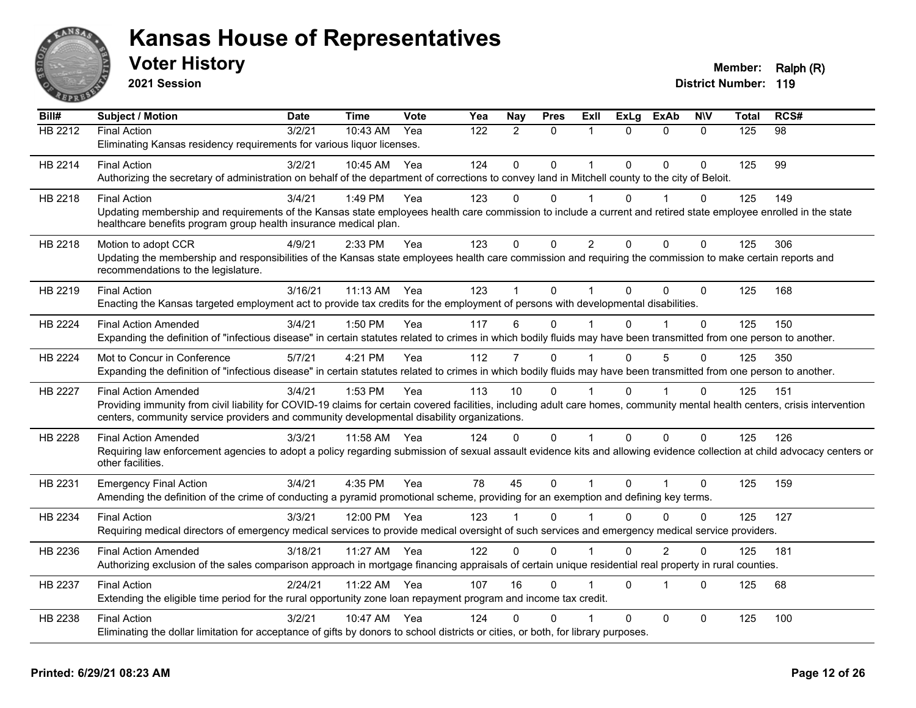

**2021 Session**

| Bill#          | <b>Subject / Motion</b>                                                                                                                                                      | <b>Date</b> | <b>Time</b>  | Vote | Yea | Nay            | <b>Pres</b> | Exll           | <b>ExLg</b> | <b>ExAb</b>    | <b>NIV</b>   | <b>Total</b> | RCS# |
|----------------|------------------------------------------------------------------------------------------------------------------------------------------------------------------------------|-------------|--------------|------|-----|----------------|-------------|----------------|-------------|----------------|--------------|--------------|------|
| HB 2212        | <b>Final Action</b>                                                                                                                                                          | 3/2/21      | $10:43$ AM   | Yea  | 122 | $\mathcal{P}$  | $\Omega$    | 1              | $\Omega$    | $\Omega$       | $\Omega$     | 125          | 98   |
|                | Eliminating Kansas residency requirements for various liquor licenses.                                                                                                       |             |              |      |     |                |             |                |             |                |              |              |      |
| HB 2214        | <b>Final Action</b>                                                                                                                                                          | 3/2/21      | 10:45 AM     | Yea  | 124 | $\Omega$       | $\Omega$    | 1              | $\Omega$    | $\Omega$       | $\Omega$     | 125          | 99   |
|                | Authorizing the secretary of administration on behalf of the department of corrections to convey land in Mitchell county to the city of Beloit.                              |             |              |      |     |                |             |                |             |                |              |              |      |
| HB 2218        | <b>Final Action</b>                                                                                                                                                          | 3/4/21      | 1:49 PM      | Yea  | 123 | $\Omega$       | $\Omega$    |                | $\Omega$    |                | $\mathbf{0}$ | 125          | 149  |
|                | Updating membership and requirements of the Kansas state employees health care commission to include a current and retired state employee enrolled in the state              |             |              |      |     |                |             |                |             |                |              |              |      |
|                | healthcare benefits program group health insurance medical plan.                                                                                                             |             |              |      |     |                |             |                |             |                |              |              |      |
| HB 2218        | Motion to adopt CCR                                                                                                                                                          | 4/9/21      | 2:33 PM      | Yea  | 123 | $\mathbf 0$    | $\mathbf 0$ | $\overline{2}$ | $\Omega$    | $\Omega$       | 0            | 125          | 306  |
|                | Updating the membership and responsibilities of the Kansas state employees health care commission and requiring the commission to make certain reports and                   |             |              |      |     |                |             |                |             |                |              |              |      |
|                | recommendations to the legislature.                                                                                                                                          |             |              |      |     |                |             |                |             |                |              |              |      |
| HB 2219        | <b>Final Action</b>                                                                                                                                                          | 3/16/21     | $11:13$ AM   | Yea  | 123 |                | $\Omega$    |                | $\Omega$    | $\Omega$       | $\Omega$     | 125          | 168  |
|                | Enacting the Kansas targeted employment act to provide tax credits for the employment of persons with developmental disabilities.                                            |             |              |      |     |                |             |                |             |                |              |              |      |
| HB 2224        | <b>Final Action Amended</b>                                                                                                                                                  | 3/4/21      | 1:50 PM      | Yea  | 117 | 6              | $\Omega$    |                | $\Omega$    |                | $\Omega$     | 125          | 150  |
|                | Expanding the definition of "infectious disease" in certain statutes related to crimes in which bodily fluids may have been transmitted from one person to another.          |             |              |      |     |                |             |                |             |                |              |              |      |
| HB 2224        | Mot to Concur in Conference                                                                                                                                                  | 5/7/21      | 4:21 PM      | Yea  | 112 | $\overline{7}$ | $\Omega$    |                | $\Omega$    | 5              | $\Omega$     | 125          | 350  |
|                | Expanding the definition of "infectious disease" in certain statutes related to crimes in which bodily fluids may have been transmitted from one person to another.          |             |              |      |     |                |             |                |             |                |              |              |      |
| <b>HB 2227</b> | <b>Final Action Amended</b>                                                                                                                                                  | 3/4/21      | 1:53 PM      | Yea  | 113 | 10             | $\Omega$    |                | $\Omega$    |                | $\Omega$     | 125          | 151  |
|                | Providing immunity from civil liability for COVID-19 claims for certain covered facilities, including adult care homes, community mental health centers, crisis intervention |             |              |      |     |                |             |                |             |                |              |              |      |
|                | centers, community service providers and community developmental disability organizations.                                                                                   |             |              |      |     |                |             |                |             |                |              |              |      |
| HB 2228        | <b>Final Action Amended</b>                                                                                                                                                  | 3/3/21      | 11:58 AM     | Yea  | 124 | $\Omega$       | $\Omega$    | $\mathbf 1$    | $\Omega$    | $\mathbf 0$    | $\Omega$     | 125          | 126  |
|                | Requiring law enforcement agencies to adopt a policy regarding submission of sexual assault evidence kits and allowing evidence collection at child advocacy centers or      |             |              |      |     |                |             |                |             |                |              |              |      |
|                | other facilities.                                                                                                                                                            |             |              |      |     |                |             |                |             |                |              |              |      |
| HB 2231        | <b>Emergency Final Action</b>                                                                                                                                                | 3/4/21      | 4:35 PM      | Yea  | 78  | 45             | $\mathbf 0$ | $\mathbf{1}$   | $\Omega$    | $\overline{1}$ | $\Omega$     | 125          | 159  |
|                | Amending the definition of the crime of conducting a pyramid promotional scheme, providing for an exemption and defining key terms.                                          |             |              |      |     |                |             |                |             |                |              |              |      |
| HB 2234        | <b>Final Action</b>                                                                                                                                                          | 3/3/21      | 12:00 PM Yea |      | 123 |                | $\Omega$    |                | U           | $\Omega$       | $\Omega$     | 125          | 127  |
|                | Requiring medical directors of emergency medical services to provide medical oversight of such services and emergency medical service providers.                             |             |              |      |     |                |             |                |             |                |              |              |      |
| HB 2236        | <b>Final Action Amended</b>                                                                                                                                                  | 3/18/21     | 11:27 AM     | Yea  | 122 | $\Omega$       | $\Omega$    |                | $\Omega$    | $\overline{2}$ | $\Omega$     | 125          | 181  |
|                | Authorizing exclusion of the sales comparison approach in mortgage financing appraisals of certain unique residential real property in rural counties.                       |             |              |      |     |                |             |                |             |                |              |              |      |
| HB 2237        | <b>Final Action</b>                                                                                                                                                          | 2/24/21     | 11:22 AM     | Yea  | 107 | 16             | $\Omega$    |                | $\Omega$    | $\overline{1}$ | $\Omega$     | 125          | 68   |
|                | Extending the eligible time period for the rural opportunity zone loan repayment program and income tax credit.                                                              |             |              |      |     |                |             |                |             |                |              |              |      |
|                |                                                                                                                                                                              | 3/2/21      | $10:47$ AM   | Yea  | 124 | 0              | $\Omega$    |                | $\Omega$    | $\Omega$       | $\mathbf{0}$ |              |      |
| HB 2238        | <b>Final Action</b><br>Eliminating the dollar limitation for acceptance of gifts by donors to school districts or cities, or both, for library purposes.                     |             |              |      |     |                |             |                |             |                |              | 125          | 100  |
|                |                                                                                                                                                                              |             |              |      |     |                |             |                |             |                |              |              |      |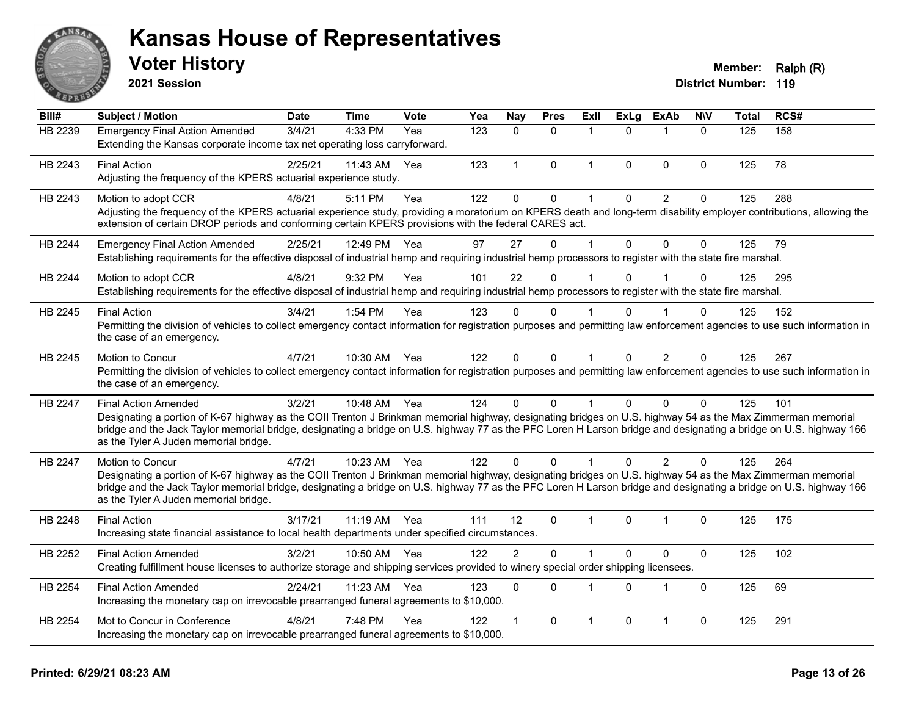

**2021 Session**

#### **Voter History Member: Ralph (R)**

| Bill#          | <b>Subject / Motion</b>                                                                                                                                                                                                                                                                                                                                                                                  | <b>Date</b> | <b>Time</b>  | <b>Vote</b> | Yea | <b>Nay</b>     | <b>Pres</b> | <b>Exll</b>    | <b>ExLg</b>  | <b>ExAb</b>    | <b>N\V</b>   | Total | RCS# |
|----------------|----------------------------------------------------------------------------------------------------------------------------------------------------------------------------------------------------------------------------------------------------------------------------------------------------------------------------------------------------------------------------------------------------------|-------------|--------------|-------------|-----|----------------|-------------|----------------|--------------|----------------|--------------|-------|------|
| HB 2239        | <b>Emergency Final Action Amended</b><br>Extending the Kansas corporate income tax net operating loss carryforward.                                                                                                                                                                                                                                                                                      | 3/4/21      | 4:33 PM      | Yea         | 123 | $\mathbf{0}$   | $\Omega$    | $\mathbf 1$    | $\Omega$     | $\mathbf{1}$   | $\mathbf{0}$ | 125   | 158  |
| HB 2243        | <b>Final Action</b><br>Adjusting the frequency of the KPERS actuarial experience study.                                                                                                                                                                                                                                                                                                                  | 2/25/21     | 11:43 AM     | Yea         | 123 | $\mathbf{1}$   | $\Omega$    | $\mathbf 1$    | $\Omega$     | $\mathbf{0}$   | $\Omega$     | 125   | 78   |
| HB 2243        | Motion to adopt CCR<br>Adjusting the frequency of the KPERS actuarial experience study, providing a moratorium on KPERS death and long-term disability employer contributions, allowing the<br>extension of certain DROP periods and conforming certain KPERS provisions with the federal CARES act.                                                                                                     | 4/8/21      | 5:11 PM      | Yea         | 122 | $\mathbf 0$    | $\mathbf 0$ | $\overline{1}$ | $\mathbf{0}$ | $\overline{2}$ | 0            | 125   | 288  |
| HB 2244        | <b>Emergency Final Action Amended</b><br>Establishing requirements for the effective disposal of industrial hemp and requiring industrial hemp processors to register with the state fire marshal.                                                                                                                                                                                                       | 2/25/21     | 12:49 PM     | Yea         | 97  | 27             | $\Omega$    | $\overline{1}$ | $\mathbf{0}$ | $\mathbf{0}$   | $\Omega$     | 125   | 79   |
| HB 2244        | Motion to adopt CCR<br>Establishing requirements for the effective disposal of industrial hemp and requiring industrial hemp processors to register with the state fire marshal.                                                                                                                                                                                                                         | 4/8/21      | 9:32 PM      | Yea         | 101 | 22             | $\Omega$    | 1              | $\Omega$     |                | $\Omega$     | 125   | 295  |
| HB 2245        | <b>Final Action</b><br>Permitting the division of vehicles to collect emergency contact information for registration purposes and permitting law enforcement agencies to use such information in<br>the case of an emergency.                                                                                                                                                                            | 3/4/21      | 1:54 PM      | Yea         | 123 | $\Omega$       | $\Omega$    | $\mathbf 1$    | O            |                | $\Omega$     | 125   | 152  |
| HB 2245        | Motion to Concur<br>Permitting the division of vehicles to collect emergency contact information for registration purposes and permitting law enforcement agencies to use such information in<br>the case of an emergency.                                                                                                                                                                               | 4/7/21      | 10:30 AM     | Yea         | 122 | $\mathbf{0}$   | $\mathbf 0$ | $\mathbf{1}$   | $\Omega$     | $\overline{2}$ | 0            | 125   | 267  |
| HB 2247        | <b>Final Action Amended</b><br>Designating a portion of K-67 highway as the COII Trenton J Brinkman memorial highway, designating bridges on U.S. highway 54 as the Max Zimmerman memorial<br>bridge and the Jack Taylor memorial bridge, designating a bridge on U.S. highway 77 as the PFC Loren H Larson bridge and designating a bridge on U.S. highway 166<br>as the Tyler A Juden memorial bridge. | 3/2/21      | 10:48 AM Yea |             | 124 | $\Omega$       | $\Omega$    | 1              | $\Omega$     | $\Omega$       | $\Omega$     | 125   | 101  |
| <b>HB 2247</b> | Motion to Concur<br>Designating a portion of K-67 highway as the COII Trenton J Brinkman memorial highway, designating bridges on U.S. highway 54 as the Max Zimmerman memorial<br>bridge and the Jack Taylor memorial bridge, designating a bridge on U.S. highway 77 as the PFC Loren H Larson bridge and designating a bridge on U.S. highway 166<br>as the Tyler A Juden memorial bridge.            | 4/7/21      | 10:23 AM Yea |             | 122 | $\Omega$       | $\Omega$    |                | $\Omega$     | 2              | $\Omega$     | 125   | 264  |
| HB 2248        | <b>Final Action</b><br>Increasing state financial assistance to local health departments under specified circumstances.                                                                                                                                                                                                                                                                                  | 3/17/21     | 11:19 AM Yea |             | 111 | 12             | $\Omega$    | $\mathbf 1$    | $\Omega$     | $\mathbf 1$    | 0            | 125   | 175  |
| HB 2252        | <b>Final Action Amended</b><br>Creating fulfillment house licenses to authorize storage and shipping services provided to winery special order shipping licensees.                                                                                                                                                                                                                                       | 3/2/21      | 10:50 AM     | Yea         | 122 | $\overline{2}$ | $\Omega$    | $\overline{1}$ | $\Omega$     | $\mathbf{0}$   | $\mathbf 0$  | 125   | 102  |
| HB 2254        | <b>Final Action Amended</b><br>Increasing the monetary cap on irrevocable prearranged funeral agreements to \$10,000.                                                                                                                                                                                                                                                                                    | 2/24/21     | 11:23 AM     | Yea         | 123 | $\mathbf{0}$   | $\Omega$    | 1              | $\Omega$     | $\mathbf{1}$   | $\Omega$     | 125   | 69   |
| HB 2254        | Mot to Concur in Conference<br>Increasing the monetary cap on irrevocable prearranged funeral agreements to \$10,000.                                                                                                                                                                                                                                                                                    | 4/8/21      | 7:48 PM      | Yea         | 122 |                | $\Omega$    | 1              | $\Omega$     | $\overline{1}$ | 0            | 125   | 291  |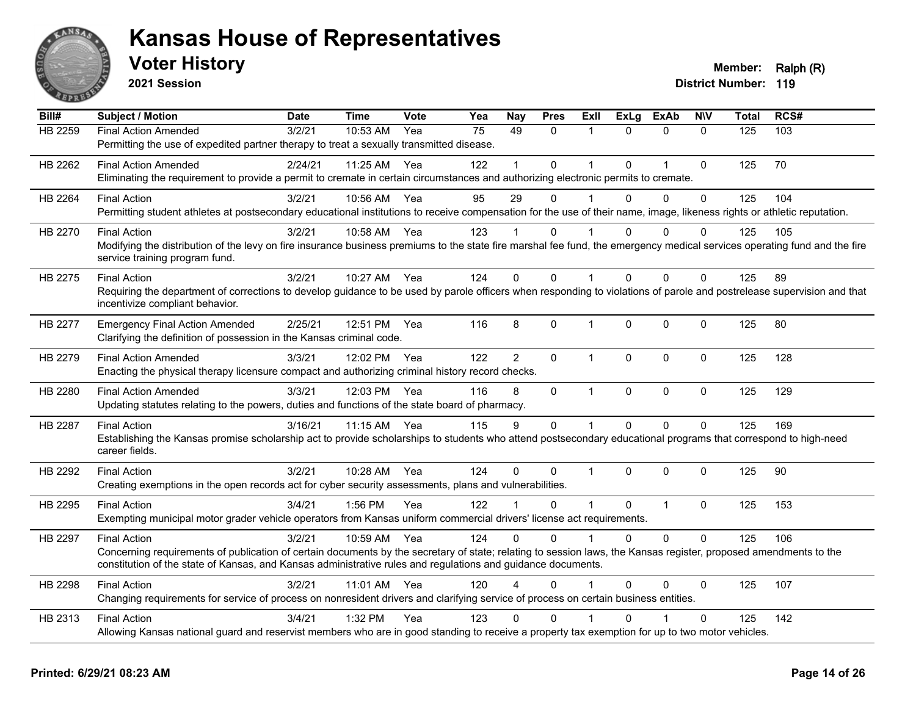

**2021 Session**

| Bill#          | <b>Subject / Motion</b>                                                                                                                                                                                   | <b>Date</b> | <b>Time</b> | <b>Vote</b> | Yea | Nay            | <b>Pres</b>  | ExII           | <b>ExLg</b>  | <b>ExAb</b>    | <b>NIV</b>   | <b>Total</b> | RCS# |
|----------------|-----------------------------------------------------------------------------------------------------------------------------------------------------------------------------------------------------------|-------------|-------------|-------------|-----|----------------|--------------|----------------|--------------|----------------|--------------|--------------|------|
| <b>HB 2259</b> | <b>Final Action Amended</b>                                                                                                                                                                               | 3/2/21      | 10:53 AM    | Yea         | 75  | 49             | 0            | 1              | $\Omega$     | $\mathbf{0}$   | $\mathbf{0}$ | 125          | 103  |
|                | Permitting the use of expedited partner therapy to treat a sexually transmitted disease.                                                                                                                  |             |             |             |     |                |              |                |              |                |              |              |      |
| HB 2262        | <b>Final Action Amended</b>                                                                                                                                                                               | 2/24/21     | 11:25 AM    | Yea         | 122 |                | 0            | 1              | 0            | $\overline{1}$ | $\mathbf 0$  | 125          | 70   |
|                | Eliminating the requirement to provide a permit to cremate in certain circumstances and authorizing electronic permits to cremate.                                                                        |             |             |             |     |                |              |                |              |                |              |              |      |
| HB 2264        | <b>Final Action</b>                                                                                                                                                                                       | 3/2/21      | 10:56 AM    | Yea         | 95  | 29             | $\Omega$     |                | $\Omega$     | $\Omega$       | $\Omega$     | 125          | 104  |
|                | Permitting student athletes at postsecondary educational institutions to receive compensation for the use of their name, image, likeness rights or athletic reputation.                                   |             |             |             |     |                |              |                |              |                |              |              |      |
| HB 2270        | <b>Final Action</b>                                                                                                                                                                                       | 3/2/21      | 10:58 AM    | Yea         | 123 |                | $\Omega$     |                | $\Omega$     | $\Omega$       | $\Omega$     | 125          | 105  |
|                | Modifying the distribution of the levy on fire insurance business premiums to the state fire marshal fee fund, the emergency medical services operating fund and the fire                                 |             |             |             |     |                |              |                |              |                |              |              |      |
|                | service training program fund.                                                                                                                                                                            |             |             |             |     |                |              |                |              |                |              |              |      |
| HB 2275        | <b>Final Action</b>                                                                                                                                                                                       | 3/2/21      | 10:27 AM    | Yea         | 124 | $\Omega$       | $\Omega$     | 1              | $\Omega$     | $\Omega$       | $\Omega$     | 125          | 89   |
|                | Requiring the department of corrections to develop guidance to be used by parole officers when responding to violations of parole and postrelease supervision and that<br>incentivize compliant behavior. |             |             |             |     |                |              |                |              |                |              |              |      |
|                |                                                                                                                                                                                                           |             |             |             |     |                |              |                |              |                |              |              |      |
| HB 2277        | <b>Emergency Final Action Amended</b>                                                                                                                                                                     | 2/25/21     | 12:51 PM    | Yea         | 116 | 8              | 0            | $\mathbf 1$    | $\mathbf{0}$ | $\mathbf 0$    | 0            | 125          | 80   |
|                | Clarifying the definition of possession in the Kansas criminal code.                                                                                                                                      |             |             |             |     |                |              |                |              |                |              |              |      |
| HB 2279        | <b>Final Action Amended</b>                                                                                                                                                                               | 3/3/21      | 12:02 PM    | Yea         | 122 | $\overline{2}$ | $\Omega$     | $\mathbf 1$    | $\Omega$     | $\mathbf{0}$   | $\mathbf{0}$ | 125          | 128  |
|                | Enacting the physical therapy licensure compact and authorizing criminal history record checks.                                                                                                           |             |             |             |     |                |              |                |              |                |              |              |      |
| HB 2280        | <b>Final Action Amended</b>                                                                                                                                                                               | 3/3/21      | 12:03 PM    | Yea         | 116 | 8              | 0            | $\mathbf{1}$   | 0            | $\mathbf 0$    | $\mathbf 0$  | 125          | 129  |
|                | Updating statutes relating to the powers, duties and functions of the state board of pharmacy.                                                                                                            |             |             |             |     |                |              |                |              |                |              |              |      |
| HB 2287        | <b>Final Action</b>                                                                                                                                                                                       | 3/16/21     | 11:15 AM    | Yea         | 115 | 9              | $\mathbf 0$  | $\mathbf{1}$   | $\Omega$     | $\Omega$       | $\mathbf 0$  | 125          | 169  |
|                | Establishing the Kansas promise scholarship act to provide scholarships to students who attend postsecondary educational programs that correspond to high-need                                            |             |             |             |     |                |              |                |              |                |              |              |      |
|                | career fields.                                                                                                                                                                                            |             |             |             |     |                |              |                |              |                |              |              |      |
| HB 2292        | <b>Final Action</b>                                                                                                                                                                                       | 3/2/21      | 10:28 AM    | Yea         | 124 | $\Omega$       | $\mathbf{0}$ | $\mathbf 1$    | $\Omega$     | $\mathbf{0}$   | $\Omega$     | 125          | 90   |
|                | Creating exemptions in the open records act for cyber security assessments, plans and vulnerabilities.                                                                                                    |             |             |             |     |                |              |                |              |                |              |              |      |
| HB 2295        | <b>Final Action</b>                                                                                                                                                                                       | 3/4/21      | 1:56 PM     | Yea         | 122 |                | 0            | $\overline{1}$ | $\mathbf 0$  | $\overline{1}$ | $\mathbf 0$  | 125          | 153  |
|                | Exempting municipal motor grader vehicle operators from Kansas uniform commercial drivers' license act requirements.                                                                                      |             |             |             |     |                |              |                |              |                |              |              |      |
| HB 2297        | <b>Final Action</b>                                                                                                                                                                                       | 3/2/21      | 10:59 AM    | Yea         | 124 | $\Omega$       | $\Omega$     | 1              | $\Omega$     | $\Omega$       | $\mathbf 0$  | 125          | 106  |
|                | Concerning requirements of publication of certain documents by the secretary of state; relating to session laws, the Kansas register, proposed amendments to the                                          |             |             |             |     |                |              |                |              |                |              |              |      |
|                | constitution of the state of Kansas, and Kansas administrative rules and regulations and guidance documents.                                                                                              |             |             |             |     |                |              |                |              |                |              |              |      |
| HB 2298        | <b>Final Action</b>                                                                                                                                                                                       | 3/2/21      | 11:01 AM    | Yea         | 120 |                | 0            |                | $\Omega$     | 0              | $\Omega$     | 125          | 107  |
|                | Changing requirements for service of process on nonresident drivers and clarifying service of process on certain business entities.                                                                       |             |             |             |     |                |              |                |              |                |              |              |      |
| HB 2313        | <b>Final Action</b>                                                                                                                                                                                       | 3/4/21      | 1:32 PM     | Yea         | 123 | 0              | $\mathbf{0}$ |                | 0            |                | $\Omega$     | 125          | 142  |
|                | Allowing Kansas national guard and reservist members who are in good standing to receive a property tax exemption for up to two motor vehicles.                                                           |             |             |             |     |                |              |                |              |                |              |              |      |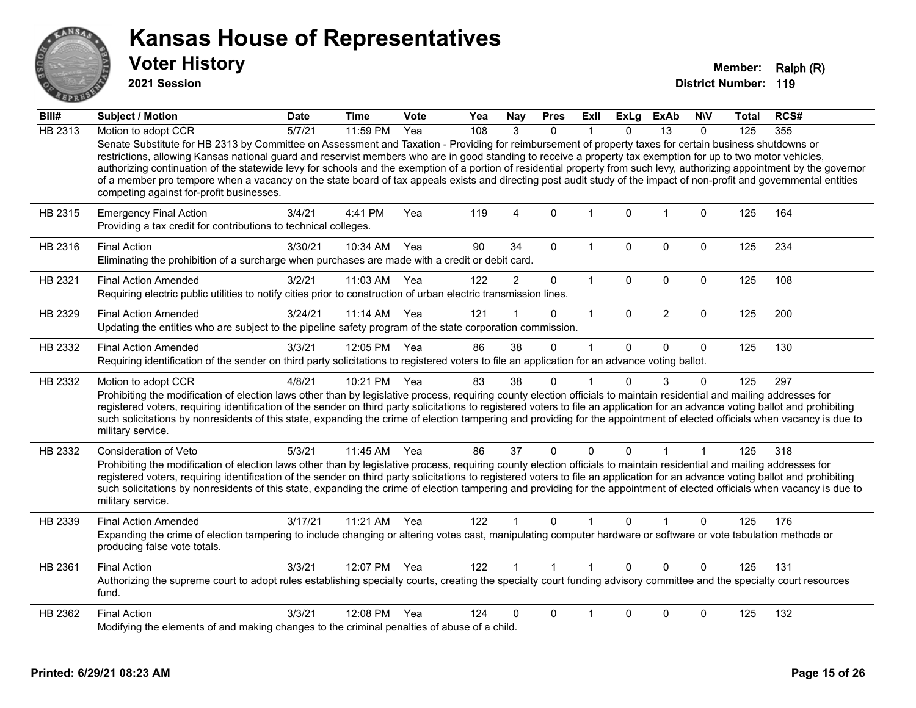

**2021 Session**

| Bill#   | <b>Subject / Motion</b>                                                                                                                                                                                                                                                                                                                                                                                                                                                                                                                                                                                                                                                                                                   | <b>Date</b> | <b>Time</b>  | Vote | Yea | Nay                  | <b>Pres</b>  | ExII         | <b>ExLg</b>  | ExAb           | <b>NIV</b>   | Total | RCS# |
|---------|---------------------------------------------------------------------------------------------------------------------------------------------------------------------------------------------------------------------------------------------------------------------------------------------------------------------------------------------------------------------------------------------------------------------------------------------------------------------------------------------------------------------------------------------------------------------------------------------------------------------------------------------------------------------------------------------------------------------------|-------------|--------------|------|-----|----------------------|--------------|--------------|--------------|----------------|--------------|-------|------|
| HB 2313 | Motion to adopt CCR                                                                                                                                                                                                                                                                                                                                                                                                                                                                                                                                                                                                                                                                                                       | 5/7/21      | 11:59 PM     | Yea  | 108 | 3                    | $\Omega$     |              | $\Omega$     | 13             | $\Omega$     | 125   | 355  |
|         | Senate Substitute for HB 2313 by Committee on Assessment and Taxation - Providing for reimbursement of property taxes for certain business shutdowns or<br>restrictions, allowing Kansas national guard and reservist members who are in good standing to receive a property tax exemption for up to two motor vehicles,<br>authorizing continuation of the statewide levy for schools and the exemption of a portion of residential property from such levy, authorizing appointment by the governor<br>of a member pro tempore when a vacancy on the state board of tax appeals exists and directing post audit study of the impact of non-profit and governmental entities<br>competing against for-profit businesses. |             |              |      |     |                      |              |              |              |                |              |       |      |
| HB 2315 | <b>Emergency Final Action</b><br>Providing a tax credit for contributions to technical colleges.                                                                                                                                                                                                                                                                                                                                                                                                                                                                                                                                                                                                                          | 3/4/21      | 4:41 PM      | Yea  | 119 | 4                    | $\mathbf 0$  | 1            | $\Omega$     | $\mathbf 1$    | $\mathbf 0$  | 125   | 164  |
| HB 2316 | <b>Final Action</b><br>Eliminating the prohibition of a surcharge when purchases are made with a credit or debit card.                                                                                                                                                                                                                                                                                                                                                                                                                                                                                                                                                                                                    | 3/30/21     | 10:34 AM     | Yea  | 90  | 34                   | $\mathbf{0}$ | $\mathbf 1$  | $\Omega$     | $\Omega$       | $\mathbf{0}$ | 125   | 234  |
| HB 2321 | <b>Final Action Amended</b><br>Requiring electric public utilities to notify cities prior to construction of urban electric transmission lines.                                                                                                                                                                                                                                                                                                                                                                                                                                                                                                                                                                           | 3/2/21      | 11:03 AM     | Yea  | 122 | $\overline{2}$       | 0            | $\mathbf{1}$ | 0            | 0              | $\mathbf 0$  | 125   | 108  |
| HB 2329 | <b>Final Action Amended</b><br>Updating the entities who are subject to the pipeline safety program of the state corporation commission.                                                                                                                                                                                                                                                                                                                                                                                                                                                                                                                                                                                  | 3/24/21     | 11:14 AM     | Yea  | 121 |                      | $\Omega$     | $\mathbf{1}$ | $\mathbf{0}$ | $\overline{2}$ | $\mathbf{0}$ | 125   | 200  |
| HB 2332 | <b>Final Action Amended</b><br>Requiring identification of the sender on third party solicitations to registered voters to file an application for an advance voting ballot.                                                                                                                                                                                                                                                                                                                                                                                                                                                                                                                                              | 3/3/21      | 12:05 PM Yea |      | 86  | 38                   | $\mathbf 0$  | $\mathbf 1$  | $\Omega$     | 0              | $\Omega$     | 125   | 130  |
| HB 2332 | Motion to adopt CCR<br>Prohibiting the modification of election laws other than by legislative process, requiring county election officials to maintain residential and mailing addresses for<br>registered voters, requiring identification of the sender on third party solicitations to registered voters to file an application for an advance voting ballot and prohibiting<br>such solicitations by nonresidents of this state, expanding the crime of election tampering and providing for the appointment of elected officials when vacancy is due to<br>military service.                                                                                                                                        | 4/8/21      | 10:21 PM     | Yea  | 83  | 38                   | $\mathbf{0}$ |              | $\Omega$     | 3              | 0            | 125   | 297  |
| HB 2332 | <b>Consideration of Veto</b><br>Prohibiting the modification of election laws other than by legislative process, requiring county election officials to maintain residential and mailing addresses for<br>registered voters, requiring identification of the sender on third party solicitations to registered voters to file an application for an advance voting ballot and prohibiting<br>such solicitations by nonresidents of this state, expanding the crime of election tampering and providing for the appointment of elected officials when vacancy is due to<br>military service.                                                                                                                               | 5/3/21      | 11:45 AM     | Yea  | 86  | 37                   | $\mathbf 0$  | 0            | $\Omega$     | 1              |              | 125   | 318  |
| HB 2339 | <b>Final Action Amended</b><br>Expanding the crime of election tampering to include changing or altering votes cast, manipulating computer hardware or software or vote tabulation methods or<br>producing false vote totals.                                                                                                                                                                                                                                                                                                                                                                                                                                                                                             | 3/17/21     | 11:21 AM     | Yea  | 122 |                      | $\mathbf{0}$ |              | $\Omega$     |                | 0            | 125   | 176  |
| HB 2361 | <b>Final Action</b><br>Authorizing the supreme court to adopt rules establishing specialty courts, creating the specialty court funding advisory committee and the specialty court resources<br>fund.                                                                                                                                                                                                                                                                                                                                                                                                                                                                                                                     | 3/3/21      | 12:07 PM Yea |      | 122 | $\blacktriangleleft$ | $\mathbf{1}$ | $\mathbf{1}$ | $\Omega$     | $\Omega$       | $\Omega$     | 125   | 131  |
| HB 2362 | <b>Final Action</b><br>Modifying the elements of and making changes to the criminal penalties of abuse of a child.                                                                                                                                                                                                                                                                                                                                                                                                                                                                                                                                                                                                        | 3/3/21      | 12:08 PM     | Yea  | 124 | 0                    | $\Omega$     |              | $\Omega$     | $\Omega$       | 0            | 125   | 132  |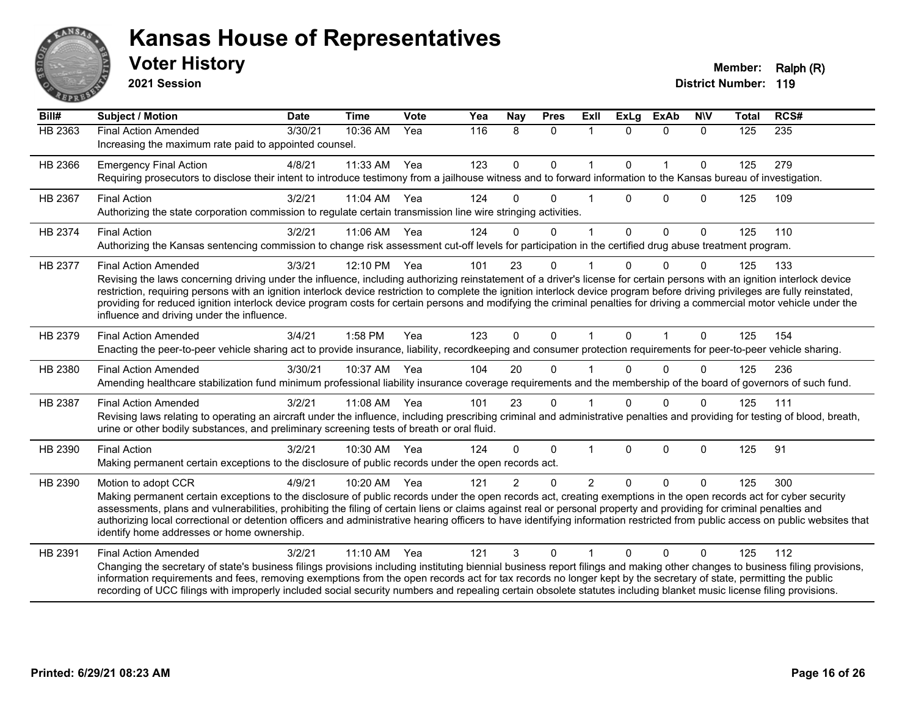

**2021 Session**

| Bill#          | <b>Subject / Motion</b>                                                                                                                                                                                                                                                                                                                                                                                                                                                                                                                                                                                             | <b>Date</b> | <b>Time</b> | <b>Vote</b> | Yea | <b>Nay</b>     | <b>Pres</b>  | <b>Exll</b>    | <b>ExLg</b>  | <b>ExAb</b>  | <b>NIV</b>   | <b>Total</b> | RCS#             |
|----------------|---------------------------------------------------------------------------------------------------------------------------------------------------------------------------------------------------------------------------------------------------------------------------------------------------------------------------------------------------------------------------------------------------------------------------------------------------------------------------------------------------------------------------------------------------------------------------------------------------------------------|-------------|-------------|-------------|-----|----------------|--------------|----------------|--------------|--------------|--------------|--------------|------------------|
| <b>HB 2363</b> | <b>Final Action Amended</b><br>Increasing the maximum rate paid to appointed counsel.                                                                                                                                                                                                                                                                                                                                                                                                                                                                                                                               | 3/30/21     | 10:36 AM    | Yea         | 116 | 8              | $\mathbf{0}$ | $\mathbf 1$    | $\Omega$     | $\mathbf{0}$ | $\Omega$     | 125          | $\overline{235}$ |
| HB 2366        | <b>Emergency Final Action</b><br>Requiring prosecutors to disclose their intent to introduce testimony from a jailhouse witness and to forward information to the Kansas bureau of investigation.                                                                                                                                                                                                                                                                                                                                                                                                                   | 4/8/21      | 11:33 AM    | Yea         | 123 | $\mathbf 0$    | $\mathbf 0$  | $\mathbf{1}$   | $\Omega$     | $\mathbf{1}$ | $\mathbf 0$  | 125          | 279              |
| HB 2367        | <b>Final Action</b><br>Authorizing the state corporation commission to regulate certain transmission line wire stringing activities.                                                                                                                                                                                                                                                                                                                                                                                                                                                                                | 3/2/21      | 11:04 AM    | Yea         | 124 | $\Omega$       | $\Omega$     |                | $\Omega$     | $\Omega$     | $\Omega$     | 125          | 109              |
| HB 2374        | <b>Final Action</b><br>Authorizing the Kansas sentencing commission to change risk assessment cut-off levels for participation in the certified drug abuse treatment program.                                                                                                                                                                                                                                                                                                                                                                                                                                       | 3/2/21      | 11:06 AM    | Yea         | 124 | $\Omega$       | $\mathbf 0$  | 1              | $\mathbf{0}$ | $\mathbf 0$  | $\mathbf{0}$ | 125          | 110              |
| HB 2377        | <b>Final Action Amended</b><br>Revising the laws concerning driving under the influence, including authorizing reinstatement of a driver's license for certain persons with an ignition interlock device<br>restriction, requiring persons with an ignition interlock device restriction to complete the ignition interlock device program before driving privileges are fully reinstated,<br>providing for reduced ignition interlock device program costs for certain persons and modifying the criminal penalties for driving a commercial motor vehicle under the<br>influence and driving under the influence. | 3/3/21      | 12:10 PM    | Yea         | 101 | 23             | $\Omega$     |                | U            | $\Omega$     | 0            | 125          | 133              |
| HB 2379        | <b>Final Action Amended</b><br>Enacting the peer-to-peer vehicle sharing act to provide insurance, liability, recordkeeping and consumer protection requirements for peer-to-peer vehicle sharing.                                                                                                                                                                                                                                                                                                                                                                                                                  | 3/4/21      | 1:58 PM     | Yea         | 123 | $\mathbf{0}$   | $\mathbf{0}$ | 1              | $\mathbf{0}$ | $\mathbf 1$  | $\Omega$     | 125          | 154              |
| HB 2380        | <b>Final Action Amended</b><br>Amending healthcare stabilization fund minimum professional liability insurance coverage requirements and the membership of the board of governors of such fund.                                                                                                                                                                                                                                                                                                                                                                                                                     | 3/30/21     | 10:37 AM    | Yea         | 104 | 20             | $\Omega$     |                |              | $\Omega$     | $\Omega$     | 125          | 236              |
| HB 2387        | <b>Final Action Amended</b><br>Revising laws relating to operating an aircraft under the influence, including prescribing criminal and administrative penalties and providing for testing of blood, breath,<br>urine or other bodily substances, and preliminary screening tests of breath or oral fluid.                                                                                                                                                                                                                                                                                                           | 3/2/21      | 11:08 AM    | Yea         | 101 | 23             | $\Omega$     |                | 0            | $\Omega$     | $\Omega$     | 125          | 111              |
| HB 2390        | <b>Final Action</b><br>Making permanent certain exceptions to the disclosure of public records under the open records act.                                                                                                                                                                                                                                                                                                                                                                                                                                                                                          | 3/2/21      | 10:30 AM    | Yea         | 124 | $\Omega$       | $\mathbf 0$  |                | $\Omega$     | $\mathbf 0$  | 0            | 125          | 91               |
| HB 2390        | Motion to adopt CCR<br>Making permanent certain exceptions to the disclosure of public records under the open records act, creating exemptions in the open records act for cyber security<br>assessments, plans and vulnerabilities, prohibiting the filing of certain liens or claims against real or personal property and providing for criminal penalties and<br>authorizing local correctional or detention officers and administrative hearing officers to have identifying information restricted from public access on public websites that<br>identify home addresses or home ownership.                   | 4/9/21      | 10:20 AM    | Yea         | 121 | $\overline{2}$ | $\Omega$     | $\overline{2}$ | $\Omega$     | $\Omega$     | $\Omega$     | 125          | 300              |
| HB 2391        | <b>Final Action Amended</b><br>Changing the secretary of state's business filings provisions including instituting biennial business report filings and making other changes to business filing provisions,<br>information requirements and fees, removing exemptions from the open records act for tax records no longer kept by the secretary of state, permitting the public<br>recording of UCC filings with improperly included social security numbers and repealing certain obsolete statutes including blanket music license filing provisions.                                                             | 3/2/21      | 11:10 AM    | Yea         | 121 | 3              | $\Omega$     |                | $\Omega$     | $\Omega$     | 0            | 125          | 112              |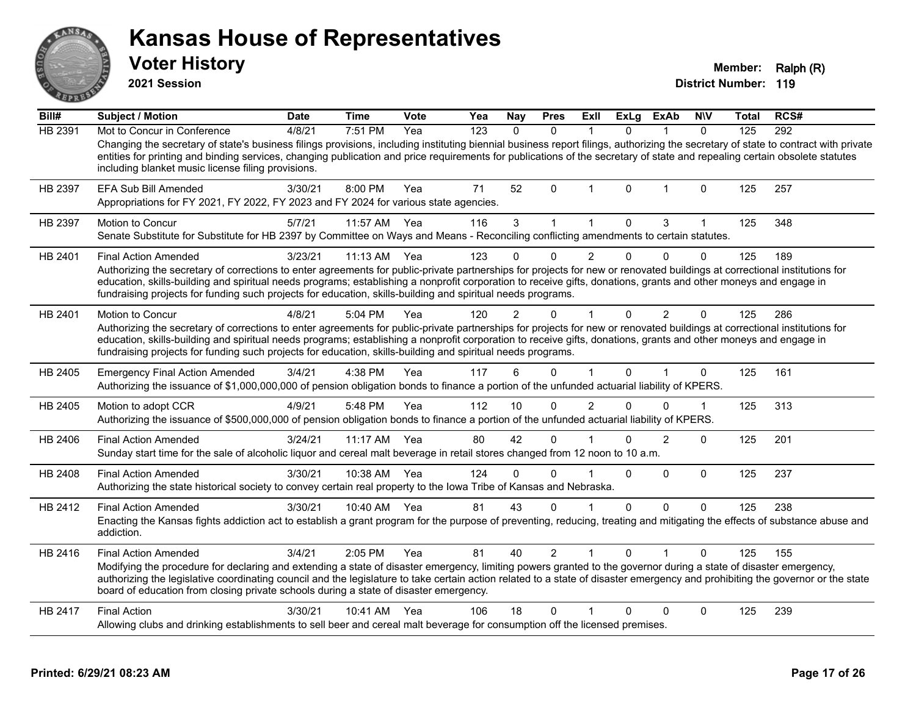**2021 Session**

**Voter History Member: Ralph (R)** 

| Bill#          | <b>Subject / Motion</b>                                                                                                                                                                                                                                                                                                                                                                                                                                      | <b>Date</b> | <b>Time</b> | Vote | Yea | <b>Nay</b> | <b>Pres</b>  | ExII           | <b>ExLg</b>    | <b>ExAb</b>    | <b>NIV</b>   | Total | RCS# |
|----------------|--------------------------------------------------------------------------------------------------------------------------------------------------------------------------------------------------------------------------------------------------------------------------------------------------------------------------------------------------------------------------------------------------------------------------------------------------------------|-------------|-------------|------|-----|------------|--------------|----------------|----------------|----------------|--------------|-------|------|
| <b>HB 2391</b> | Mot to Concur in Conference                                                                                                                                                                                                                                                                                                                                                                                                                                  | 4/8/21      | 7:51 PM     | Yea  | 123 | $\Omega$   | $\mathbf{0}$ |                | 0              | 1              | $\Omega$     | 125   | 292  |
|                | Changing the secretary of state's business filings provisions, including instituting biennial business report filings, authorizing the secretary of state to contract with private<br>entities for printing and binding services, changing publication and price requirements for publications of the secretary of state and repealing certain obsolete statutes<br>including blanket music license filing provisions.                                       |             |             |      |     |            |              |                |                |                |              |       |      |
| HB 2397        | <b>EFA Sub Bill Amended</b><br>Appropriations for FY 2021, FY 2022, FY 2023 and FY 2024 for various state agencies.                                                                                                                                                                                                                                                                                                                                          | 3/30/21     | 8:00 PM     | Yea  | 71  | 52         | $\mathbf{0}$ | $\overline{1}$ | 0              | $\mathbf 1$    | $\mathbf{0}$ | 125   | 257  |
| HB 2397        | Motion to Concur<br>Senate Substitute for Substitute for HB 2397 by Committee on Ways and Means - Reconciling conflicting amendments to certain statutes.                                                                                                                                                                                                                                                                                                    | 5/7/21      | 11:57 AM    | Yea  | 116 | 3          |              |                | $\Omega$       | 3              |              | 125   | 348  |
| HB 2401        | <b>Final Action Amended</b>                                                                                                                                                                                                                                                                                                                                                                                                                                  | 3/23/21     | 11:13 AM    | Yea  | 123 |            | $\Omega$     | $\overline{2}$ | $\Omega$       | $\Omega$       | $\Omega$     | 125   | 189  |
|                | Authorizing the secretary of corrections to enter agreements for public-private partnerships for projects for new or renovated buildings at correctional institutions for<br>education, skills-building and spiritual needs programs; establishing a nonprofit corporation to receive gifts, donations, grants and other moneys and engage in<br>fundraising projects for funding such projects for education, skills-building and spiritual needs programs. |             |             |      |     |            |              |                |                |                |              |       |      |
| HB 2401        | Motion to Concur                                                                                                                                                                                                                                                                                                                                                                                                                                             | 4/8/21      | 5:04 PM     | Yea  | 120 | 2          | U            |                | 0              | 2              | 0            | 125   | 286  |
|                | Authorizing the secretary of corrections to enter agreements for public-private partnerships for projects for new or renovated buildings at correctional institutions for<br>education, skills-building and spiritual needs programs; establishing a nonprofit corporation to receive gifts, donations, grants and other moneys and engage in<br>fundraising projects for funding such projects for education, skills-building and spiritual needs programs. |             |             |      |     |            |              |                |                |                |              |       |      |
| HB 2405        | <b>Emergency Final Action Amended</b><br>Authorizing the issuance of \$1,000,000,000 of pension obligation bonds to finance a portion of the unfunded actuarial liability of KPERS.                                                                                                                                                                                                                                                                          | 3/4/21      | 4:38 PM     | Yea  | 117 | 6          | $\Omega$     |                | $\overline{0}$ | $\mathbf{1}$   | $\mathbf 0$  | 125   | 161  |
| HB 2405        | Motion to adopt CCR<br>Authorizing the issuance of \$500,000,000 of pension obligation bonds to finance a portion of the unfunded actuarial liability of KPERS.                                                                                                                                                                                                                                                                                              | 4/9/21      | 5:48 PM     | Yea  | 112 | 10         | $\mathbf{0}$ | $\overline{2}$ | $\Omega$       | $\mathbf{0}$   | $\mathbf 1$  | 125   | 313  |
| HB 2406        | <b>Final Action Amended</b><br>Sunday start time for the sale of alcoholic liquor and cereal malt beverage in retail stores changed from 12 noon to 10 a.m.                                                                                                                                                                                                                                                                                                  | 3/24/21     | 11:17 AM    | Yea  | 80  | 42         | $\Omega$     |                | U              | $\overline{2}$ | $\mathbf{0}$ | 125   | 201  |
| HB 2408        | <b>Final Action Amended</b><br>Authorizing the state historical society to convey certain real property to the Iowa Tribe of Kansas and Nebraska.                                                                                                                                                                                                                                                                                                            | 3/30/21     | 10:38 AM    | Yea  | 124 | $\Omega$   | $\mathbf 0$  |                | 0              | 0              | $\mathbf 0$  | 125   | 237  |
| HB 2412        | <b>Final Action Amended</b>                                                                                                                                                                                                                                                                                                                                                                                                                                  | 3/30/21     | 10:40 AM    | Yea  | 81  | 43         | $\Omega$     |                | $\Omega$       | $\Omega$       | $\Omega$     | 125   | 238  |
|                | Enacting the Kansas fights addiction act to establish a grant program for the purpose of preventing, reducing, treating and mitigating the effects of substance abuse and<br>addiction.                                                                                                                                                                                                                                                                      |             |             |      |     |            |              |                |                |                |              |       |      |
| HB 2416        | <b>Final Action Amended</b>                                                                                                                                                                                                                                                                                                                                                                                                                                  | 3/4/21      | 2:05 PM     | Yea  | 81  | 40         | 2            |                | 0              |                | 0            | 125   | 155  |
|                | Modifying the procedure for declaring and extending a state of disaster emergency, limiting powers granted to the governor during a state of disaster emergency,<br>authorizing the legislative coordinating council and the legislature to take certain action related to a state of disaster emergency and prohibiting the governor or the state<br>board of education from closing private schools during a state of disaster emergency.                  |             |             |      |     |            |              |                |                |                |              |       |      |
| HB 2417        | <b>Final Action</b>                                                                                                                                                                                                                                                                                                                                                                                                                                          | 3/30/21     | 10:41 AM    | Yea  | 106 | 18         | $\mathbf{0}$ |                | 0              | $\mathbf{0}$   | $\mathbf 0$  | 125   | 239  |
|                | Allowing clubs and drinking establishments to sell beer and cereal malt beverage for consumption off the licensed premises.                                                                                                                                                                                                                                                                                                                                  |             |             |      |     |            |              |                |                |                |              |       |      |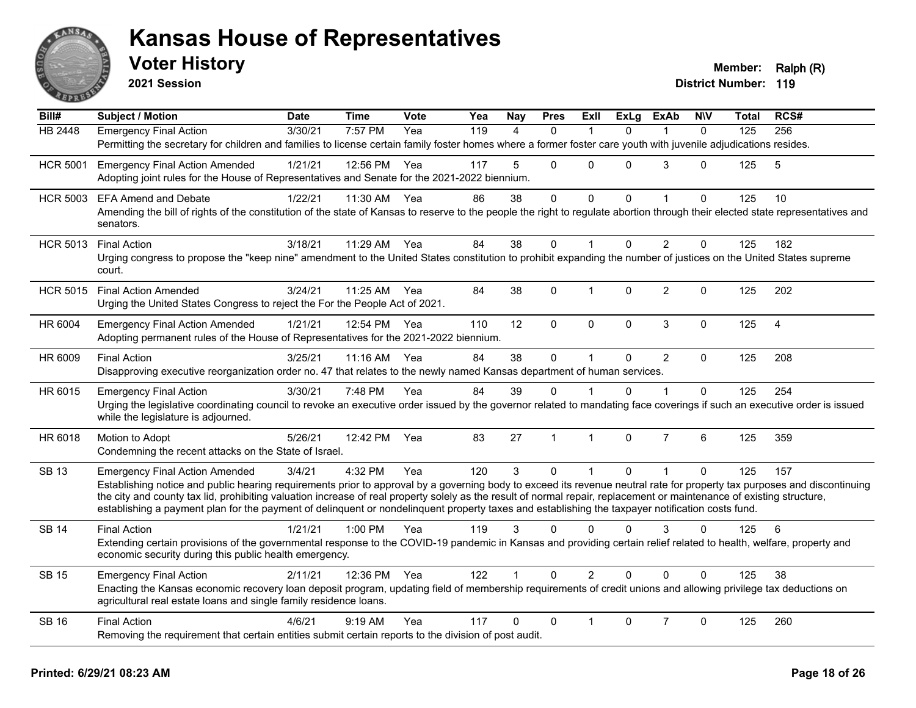

**2021 Session**

| Bill#           | <b>Subject / Motion</b>                                                                                                                                                                     | <b>Date</b> | <b>Time</b>  | <b>Vote</b> | Yea | <b>Nay</b>  | <b>Pres</b>    | <b>Exll</b>    | <b>ExLg</b> | <b>ExAb</b>    | <b>N\V</b>   | Total | RCS#           |
|-----------------|---------------------------------------------------------------------------------------------------------------------------------------------------------------------------------------------|-------------|--------------|-------------|-----|-------------|----------------|----------------|-------------|----------------|--------------|-------|----------------|
| <b>HB 2448</b>  | <b>Emergency Final Action</b>                                                                                                                                                               | 3/30/21     | 7:57 PM      | Yea         | 119 | 4           | $\mathbf{0}$   | -1             | $\Omega$    | 1              | $\mathbf{0}$ | 125   | 256            |
|                 | Permitting the secretary for children and families to license certain family foster homes where a former foster care youth with juvenile adjudications resides.                             |             |              |             |     |             |                |                |             |                |              |       |                |
| <b>HCR 5001</b> | <b>Emergency Final Action Amended</b>                                                                                                                                                       | 1/21/21     | 12:56 PM     | Yea         | 117 | 5           | $\mathbf 0$    | $\Omega$       | $\Omega$    | 3              | $\Omega$     | 125   | 5              |
|                 | Adopting joint rules for the House of Representatives and Senate for the 2021-2022 biennium.                                                                                                |             |              |             |     |             |                |                |             |                |              |       |                |
| <b>HCR 5003</b> | <b>EFA Amend and Debate</b>                                                                                                                                                                 | 1/22/21     | 11:30 AM     | Yea         | 86  | 38          | $\mathbf 0$    | 0              | $\Omega$    |                | $\Omega$     | 125   | 10             |
|                 | Amending the bill of rights of the constitution of the state of Kansas to reserve to the people the right to regulate abortion through their elected state representatives and<br>senators. |             |              |             |     |             |                |                |             |                |              |       |                |
|                 |                                                                                                                                                                                             | 3/18/21     | 11:29 AM     | Yea         | 84  | 38          | $\mathbf 0$    | 1              | $\Omega$    | $\overline{2}$ | $\mathbf 0$  | 125   | 182            |
| <b>HCR 5013</b> | <b>Final Action</b><br>Urging congress to propose the "keep nine" amendment to the United States constitution to prohibit expanding the number of justices on the United States supreme     |             |              |             |     |             |                |                |             |                |              |       |                |
|                 | court.                                                                                                                                                                                      |             |              |             |     |             |                |                |             |                |              |       |                |
| <b>HCR 5015</b> | <b>Final Action Amended</b>                                                                                                                                                                 | 3/24/21     | 11:25 AM Yea |             | 84  | 38          | $\Omega$       | 1              | $\Omega$    | $\overline{2}$ | $\Omega$     | 125   | 202            |
|                 | Urging the United States Congress to reject the For the People Act of 2021.                                                                                                                 |             |              |             |     |             |                |                |             |                |              |       |                |
| HR 6004         | <b>Emergency Final Action Amended</b>                                                                                                                                                       | 1/21/21     | 12:54 PM     | Yea         | 110 | 12          | $\mathbf 0$    | 0              | 0           | $\mathbf{3}$   | $\mathbf 0$  | 125   | $\overline{4}$ |
|                 | Adopting permanent rules of the House of Representatives for the 2021-2022 biennium.                                                                                                        |             |              |             |     |             |                |                |             |                |              |       |                |
| HR 6009         | <b>Final Action</b>                                                                                                                                                                         | 3/25/21     | 11:16 AM     | Yea         | 84  | 38          | $\pmb{0}$      | $\mathbf{1}$   | $\Omega$    | $\overline{2}$ | $\mathbf{0}$ | 125   | 208            |
|                 | Disapproving executive reorganization order no. 47 that relates to the newly named Kansas department of human services.                                                                     |             |              |             |     |             |                |                |             |                |              |       |                |
| HR 6015         | <b>Emergency Final Action</b>                                                                                                                                                               | 3/30/21     | 7:48 PM      | Yea         | 84  | 39          | 0              |                | 0           |                | $\Omega$     | 125   | 254            |
|                 | Urging the legislative coordinating council to revoke an executive order issued by the governor related to mandating face coverings if such an executive order is issued                    |             |              |             |     |             |                |                |             |                |              |       |                |
|                 | while the legislature is adjourned.                                                                                                                                                         |             |              |             |     |             |                |                |             |                |              |       |                |
| HR 6018         | Motion to Adopt                                                                                                                                                                             | 5/26/21     | 12:42 PM     | Yea         | 83  | 27          | $\overline{1}$ | $\mathbf{1}$   | $\Omega$    | $\overline{7}$ | 6            | 125   | 359            |
|                 | Condemning the recent attacks on the State of Israel.                                                                                                                                       |             |              |             |     |             |                |                |             |                |              |       |                |
| <b>SB 13</b>    | <b>Emergency Final Action Amended</b>                                                                                                                                                       | 3/4/21      | 4:32 PM      | Yea         | 120 | 3           | $\mathbf{0}$   | 1              | $\Omega$    | $\mathbf{1}$   | $\mathbf{0}$ | 125   | 157            |
|                 | Establishing notice and public hearing requirements prior to approval by a governing body to exceed its revenue neutral rate for property tax purposes and discontinuing                    |             |              |             |     |             |                |                |             |                |              |       |                |
|                 | the city and county tax lid, prohibiting valuation increase of real property solely as the result of normal repair, replacement or maintenance of existing structure,                       |             |              |             |     |             |                |                |             |                |              |       |                |
|                 | establishing a payment plan for the payment of delinquent or nondelinquent property taxes and establishing the taxpayer notification costs fund.                                            |             |              |             |     |             |                |                |             |                |              |       |                |
| <b>SB 14</b>    | <b>Final Action</b>                                                                                                                                                                         | 1/21/21     | $1:00$ PM    | Yea         | 119 | 3           | $\Omega$       | $\Omega$       | $\Omega$    | 3              | 0            | 125   | 6              |
|                 | Extending certain provisions of the governmental response to the COVID-19 pandemic in Kansas and providing certain relief related to health, welfare, property and                          |             |              |             |     |             |                |                |             |                |              |       |                |
|                 | economic security during this public health emergency.                                                                                                                                      |             |              |             |     |             |                |                |             |                |              |       |                |
| <b>SB 15</b>    | <b>Emergency Final Action</b>                                                                                                                                                               | 2/11/21     | 12:36 PM     | Yea         | 122 | $\mathbf 1$ | $\Omega$       | $\overline{2}$ | $\Omega$    | $\Omega$       | $\Omega$     | 125   | 38             |
|                 | Enacting the Kansas economic recovery loan deposit program, updating field of membership requirements of credit unions and allowing privilege tax deductions on                             |             |              |             |     |             |                |                |             |                |              |       |                |
|                 | agricultural real estate loans and single family residence loans.                                                                                                                           |             |              |             |     |             |                |                |             |                |              |       |                |
| <b>SB 16</b>    | <b>Final Action</b>                                                                                                                                                                         | 4/6/21      | 9:19 AM      | Yea         | 117 | 0           | $\Omega$       | 1              | $\Omega$    | $\overline{7}$ | $\Omega$     | 125   | 260            |
|                 | Removing the requirement that certain entities submit certain reports to the division of post audit.                                                                                        |             |              |             |     |             |                |                |             |                |              |       |                |
|                 |                                                                                                                                                                                             |             |              |             |     |             |                |                |             |                |              |       |                |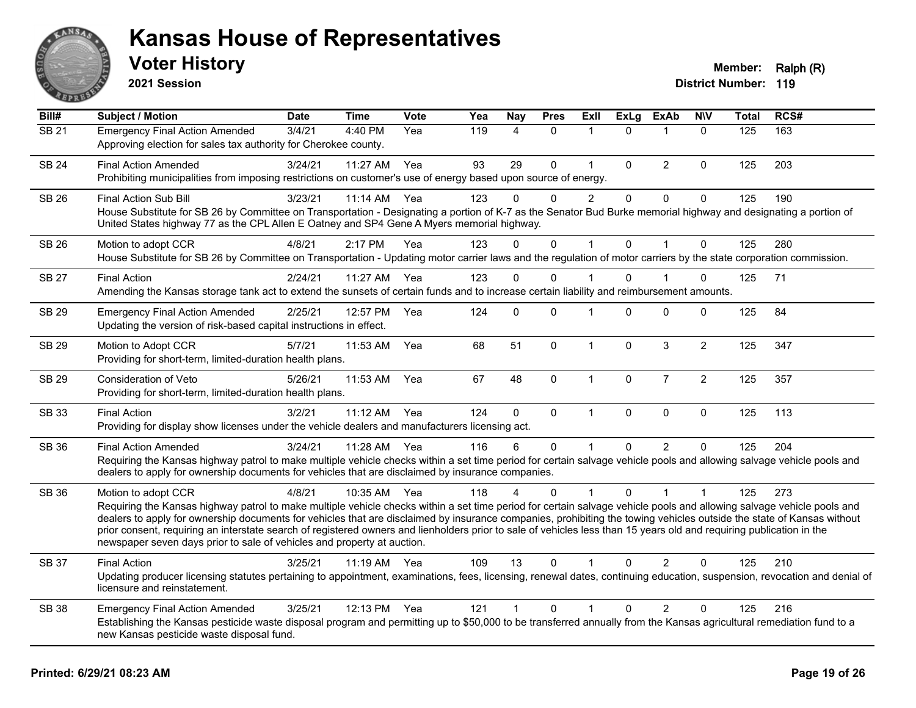

**2021 Session**

| Bill#        | <b>Subject / Motion</b>                                                                                                                                                                                                                                                                                                                                                                                                                                                                                                                                                                                                  | <b>Date</b> | <b>Time</b> | Vote | Yea | Nay            | <b>Pres</b>  | ExII           | <b>ExLg</b> | <b>ExAb</b>    | <b>NIV</b>     | <b>Total</b> | RCS# |
|--------------|--------------------------------------------------------------------------------------------------------------------------------------------------------------------------------------------------------------------------------------------------------------------------------------------------------------------------------------------------------------------------------------------------------------------------------------------------------------------------------------------------------------------------------------------------------------------------------------------------------------------------|-------------|-------------|------|-----|----------------|--------------|----------------|-------------|----------------|----------------|--------------|------|
| SB21         | <b>Emergency Final Action Amended</b><br>Approving election for sales tax authority for Cherokee county.                                                                                                                                                                                                                                                                                                                                                                                                                                                                                                                 | 3/4/21      | 4:40 PM     | Yea  | 119 | 4              | $\mathbf{0}$ | 1              | $\Omega$    | $\mathbf{1}$   | $\mathbf{0}$   | 125          | 163  |
| <b>SB 24</b> | <b>Final Action Amended</b><br>Prohibiting municipalities from imposing restrictions on customer's use of energy based upon source of energy.                                                                                                                                                                                                                                                                                                                                                                                                                                                                            | 3/24/21     | 11:27 AM    | Yea  | 93  | 29             | $\mathbf 0$  | $\mathbf{1}$   | $\Omega$    | $\overline{2}$ | 0              | 125          | 203  |
| <b>SB 26</b> | Final Action Sub Bill<br>House Substitute for SB 26 by Committee on Transportation - Designating a portion of K-7 as the Senator Bud Burke memorial highway and designating a portion of<br>United States highway 77 as the CPL Allen E Oatney and SP4 Gene A Myers memorial highway.                                                                                                                                                                                                                                                                                                                                    | 3/23/21     | 11:14 AM    | Yea  | 123 | 0              | 0            | $\overline{c}$ | $\mathbf 0$ | 0              | 0              | 125          | 190  |
| <b>SB 26</b> | Motion to adopt CCR<br>House Substitute for SB 26 by Committee on Transportation - Updating motor carrier laws and the regulation of motor carriers by the state corporation commission.                                                                                                                                                                                                                                                                                                                                                                                                                                 | 4/8/21      | 2:17 PM     | Yea  | 123 | $\Omega$       | $\mathbf 0$  | $\mathbf{1}$   | $\Omega$    | $\overline{1}$ | $\mathbf 0$    | 125          | 280  |
| <b>SB 27</b> | <b>Final Action</b><br>Amending the Kansas storage tank act to extend the sunsets of certain funds and to increase certain liability and reimbursement amounts.                                                                                                                                                                                                                                                                                                                                                                                                                                                          | 2/24/21     | 11:27 AM    | Yea  | 123 | $\Omega$       | 0            |                | $\Omega$    |                | 0              | 125          | 71   |
| <b>SB 29</b> | <b>Emergency Final Action Amended</b><br>Updating the version of risk-based capital instructions in effect.                                                                                                                                                                                                                                                                                                                                                                                                                                                                                                              | 2/25/21     | 12:57 PM    | Yea  | 124 | $\Omega$       | $\Omega$     | $\mathbf 1$    | $\Omega$    | $\Omega$       | 0              | 125          | 84   |
| <b>SB 29</b> | Motion to Adopt CCR<br>Providing for short-term, limited-duration health plans.                                                                                                                                                                                                                                                                                                                                                                                                                                                                                                                                          | 5/7/21      | 11:53 AM    | Yea  | 68  | 51             | $\mathbf 0$  | $\mathbf{1}$   | $\mathbf 0$ | 3              | $\overline{2}$ | 125          | 347  |
| SB 29        | Consideration of Veto<br>Providing for short-term, limited-duration health plans.                                                                                                                                                                                                                                                                                                                                                                                                                                                                                                                                        | 5/26/21     | 11:53 AM    | Yea  | 67  | 48             | 0            | $\mathbf{1}$   | 0           | $\overline{7}$ | $\overline{c}$ | 125          | 357  |
| <b>SB 33</b> | <b>Final Action</b><br>Providing for display show licenses under the vehicle dealers and manufacturers licensing act.                                                                                                                                                                                                                                                                                                                                                                                                                                                                                                    | 3/2/21      | 11:12 AM    | Yea  | 124 | $\mathbf 0$    | $\mathbf 0$  | $\mathbf{1}$   | $\mathbf 0$ | $\mathbf 0$    | $\mathbf 0$    | 125          | 113  |
| <b>SB 36</b> | <b>Final Action Amended</b><br>Requiring the Kansas highway patrol to make multiple vehicle checks within a set time period for certain salvage vehicle pools and allowing salvage vehicle pools and<br>dealers to apply for ownership documents for vehicles that are disclaimed by insurance companies.                                                                                                                                                                                                                                                                                                                | 3/24/21     | 11:28 AM    | Yea  | 116 | 6              | 0            | $\mathbf 1$    | $\Omega$    | 2              | 0              | 125          | 204  |
| <b>SB 36</b> | Motion to adopt CCR<br>Requiring the Kansas highway patrol to make multiple vehicle checks within a set time period for certain salvage vehicle pools and allowing salvage vehicle pools and<br>dealers to apply for ownership documents for vehicles that are disclaimed by insurance companies, prohibiting the towing vehicles outside the state of Kansas without<br>prior consent, requiring an interstate search of registered owners and lienholders prior to sale of vehicles less than 15 years old and requiring publication in the<br>newspaper seven days prior to sale of vehicles and property at auction. | 4/8/21      | 10:35 AM    | Yea  | 118 | 4              | $\Omega$     | $\mathbf 1$    | $\Omega$    | 1              | $\mathbf 1$    | 125          | 273  |
| <b>SB 37</b> | <b>Final Action</b><br>Updating producer licensing statutes pertaining to appointment, examinations, fees, licensing, renewal dates, continuing education, suspension, revocation and denial of<br>licensure and reinstatement.                                                                                                                                                                                                                                                                                                                                                                                          | 3/25/21     | 11:19 AM    | Yea  | 109 | 13             | 0            | 1              | $\Omega$    | $\overline{2}$ | 0              | 125          | 210  |
| <b>SB 38</b> | <b>Emergency Final Action Amended</b><br>Establishing the Kansas pesticide waste disposal program and permitting up to \$50,000 to be transferred annually from the Kansas agricultural remediation fund to a<br>new Kansas pesticide waste disposal fund.                                                                                                                                                                                                                                                                                                                                                               | 3/25/21     | 12:13 PM    | Yea  | 121 | $\overline{1}$ | 0            | $\mathbf{1}$   | $\Omega$    | $\overline{2}$ | 0              | 125          | 216  |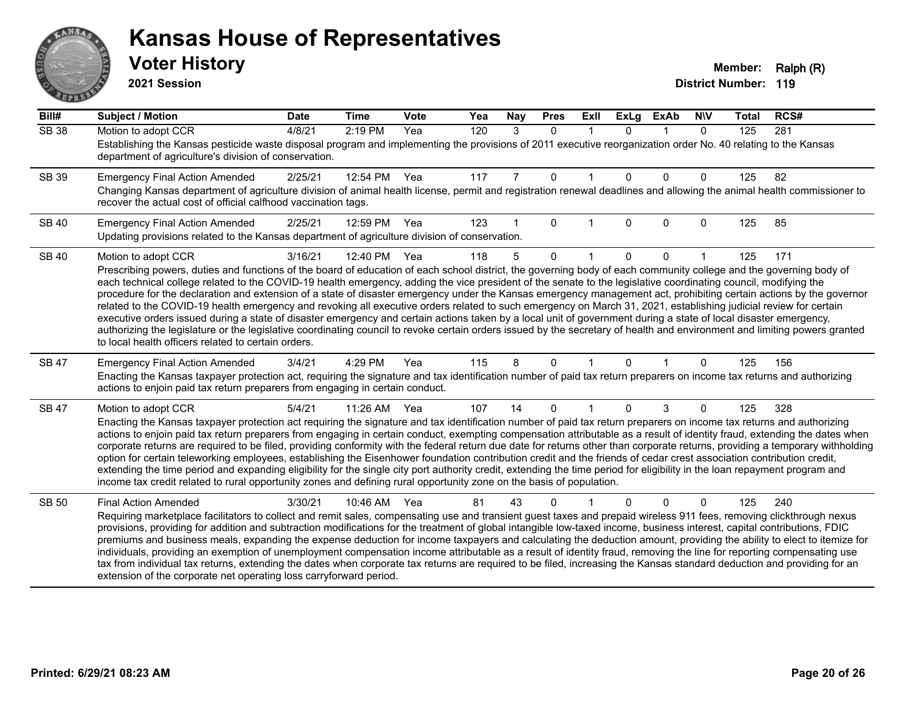# ANS **PARTIE**

#### **Kansas House of Representatives**

**2021 Session**

| Bill#        | <b>Subject / Motion</b>                                                                                                                                                                                                                                                                                                                                    | <b>Date</b> | <b>Time</b> | Vote | Yea | Nay | <b>Pres</b> | ExII        | <b>ExLg</b> | <b>ExAb</b> | <b>NIV</b>   | <b>Total</b> | RCS# |
|--------------|------------------------------------------------------------------------------------------------------------------------------------------------------------------------------------------------------------------------------------------------------------------------------------------------------------------------------------------------------------|-------------|-------------|------|-----|-----|-------------|-------------|-------------|-------------|--------------|--------------|------|
| <b>SB 38</b> | Motion to adopt CCR                                                                                                                                                                                                                                                                                                                                        | 4/8/21      | 2:19 PM     | Yea  | 120 | 3   | $\Omega$    | $\mathbf 1$ | $\Omega$    | $\mathbf 1$ | $\mathbf{0}$ | 125          | 281  |
|              | Establishing the Kansas pesticide waste disposal program and implementing the provisions of 2011 executive reorganization order No. 40 relating to the Kansas<br>department of agriculture's division of conservation.                                                                                                                                     |             |             |      |     |     |             |             |             |             |              |              |      |
| SB 39        | <b>Emergency Final Action Amended</b>                                                                                                                                                                                                                                                                                                                      | 2/25/21     | 12:54 PM    | Yea  | 117 | 7   | 0           |             | $\Omega$    | $\Omega$    | 0            | 125          | 82   |
|              | Changing Kansas department of agriculture division of animal health license, permit and registration renewal deadlines and allowing the animal health commissioner to<br>recover the actual cost of official calfhood vaccination tags.                                                                                                                    |             |             |      |     |     |             |             |             |             |              |              |      |
| <b>SB 40</b> | <b>Emergency Final Action Amended</b>                                                                                                                                                                                                                                                                                                                      | 2/25/21     | 12:59 PM    | Yea  | 123 |     | 0           |             | 0           | $\Omega$    | 0            | 125          | 85   |
|              | Updating provisions related to the Kansas department of agriculture division of conservation.                                                                                                                                                                                                                                                              |             |             |      |     |     |             |             |             |             |              |              |      |
| <b>SB 40</b> | Motion to adopt CCR                                                                                                                                                                                                                                                                                                                                        | 3/16/21     | 12:40 PM    | Yea  | 118 | 5   | $\Omega$    |             | $\Omega$    | $\Omega$    |              | 125          | 171  |
|              | Prescribing powers, duties and functions of the board of education of each school district, the governing body of each community college and the governing body of                                                                                                                                                                                         |             |             |      |     |     |             |             |             |             |              |              |      |
|              | each technical college related to the COVID-19 health emergency, adding the vice president of the senate to the legislative coordinating council, modifying the<br>procedure for the declaration and extension of a state of disaster emergency under the Kansas emergency management act, prohibiting certain actions by the governor                     |             |             |      |     |     |             |             |             |             |              |              |      |
|              | related to the COVID-19 health emergency and revoking all executive orders related to such emergency on March 31, 2021, establishing judicial review for certain                                                                                                                                                                                           |             |             |      |     |     |             |             |             |             |              |              |      |
|              | executive orders issued during a state of disaster emergency and certain actions taken by a local unit of government during a state of local disaster emergency,<br>authorizing the legislature or the legislative coordinating council to revoke certain orders issued by the secretary of health and environment and limiting powers granted             |             |             |      |     |     |             |             |             |             |              |              |      |
|              | to local health officers related to certain orders.                                                                                                                                                                                                                                                                                                        |             |             |      |     |     |             |             |             |             |              |              |      |
| SB 47        | <b>Emergency Final Action Amended</b>                                                                                                                                                                                                                                                                                                                      | 3/4/21      | 4:29 PM     | Yea  | 115 | 8   | 0           |             | 0           |             | 0            | 125          | 156  |
|              | Enacting the Kansas taxpayer protection act, requiring the signature and tax identification number of paid tax return preparers on income tax returns and authorizing<br>actions to enjoin paid tax return preparers from engaging in certain conduct.                                                                                                     |             |             |      |     |     |             |             |             |             |              |              |      |
| <b>SB 47</b> | Motion to adopt CCR                                                                                                                                                                                                                                                                                                                                        | 5/4/21      | 11:26 AM    | Yea  | 107 | 14  | 0           |             | $\Omega$    | 3           | 0            | 125          | 328  |
|              | Enacting the Kansas taxpayer protection act requiring the signature and tax identification number of paid tax return preparers on income tax returns and authorizing                                                                                                                                                                                       |             |             |      |     |     |             |             |             |             |              |              |      |
|              | actions to enjoin paid tax return preparers from engaging in certain conduct, exempting compensation attributable as a result of identity fraud, extending the dates when<br>corporate returns are required to be filed, providing conformity with the federal return due date for returns other than corporate returns, providing a temporary withholding |             |             |      |     |     |             |             |             |             |              |              |      |
|              | option for certain teleworking employees, establishing the Eisenhower foundation contribution credit and the friends of cedar crest association contribution credit,                                                                                                                                                                                       |             |             |      |     |     |             |             |             |             |              |              |      |
|              | extending the time period and expanding eligibility for the single city port authority credit, extending the time period for eligibility in the loan repayment program and<br>income tax credit related to rural opportunity zones and defining rural opportunity zone on the basis of population.                                                         |             |             |      |     |     |             |             |             |             |              |              |      |
|              |                                                                                                                                                                                                                                                                                                                                                            |             |             |      |     |     |             |             |             |             |              |              |      |
| <b>SB 50</b> | <b>Final Action Amended</b><br>Requiring marketplace facilitators to collect and remit sales, compensating use and transient guest taxes and prepaid wireless 911 fees, removing clickthrough nexus                                                                                                                                                        | 3/30/21     | 10:46 AM    | Yea  | 81  | 43  | N           |             |             | $\Omega$    | 0            | 125          | 240  |
|              | provisions, providing for addition and subtraction modifications for the treatment of global intangible low-taxed income, business interest, capital contributions, FDIC                                                                                                                                                                                   |             |             |      |     |     |             |             |             |             |              |              |      |
|              | premiums and business meals, expanding the expense deduction for income taxpayers and calculating the deduction amount, providing the ability to elect to itemize for                                                                                                                                                                                      |             |             |      |     |     |             |             |             |             |              |              |      |
|              | individuals, providing an exemption of unemployment compensation income attributable as a result of identity fraud, removing the line for reporting compensating use<br>tax from individual tax returns, extending the dates when corporate tax returns are required to be filed, increasing the Kansas standard deduction and providing for an            |             |             |      |     |     |             |             |             |             |              |              |      |
|              | extension of the corporate net operating loss carryforward period.                                                                                                                                                                                                                                                                                         |             |             |      |     |     |             |             |             |             |              |              |      |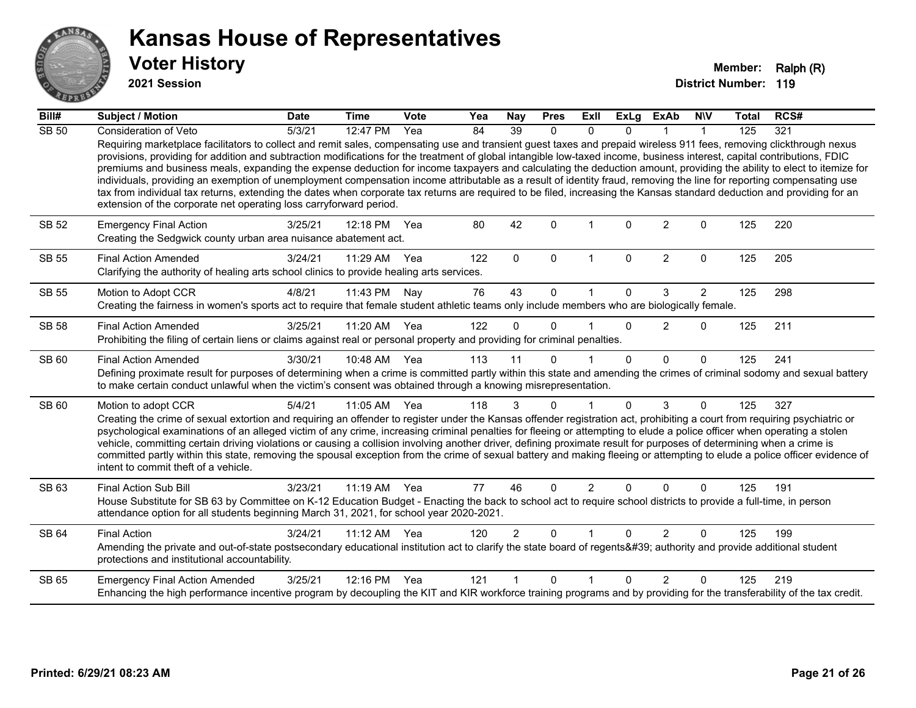

**2021 Session**

| Bill#        | <b>Subject / Motion</b>                                                                                                                                                                                                                                                                                                                                                                                                                                                                                                                                                                                                                                                                                                                                                                                                                                                                                                                            | <b>Date</b> | <b>Time</b>  | <b>Vote</b> | Yea | Nay            | <b>Pres</b>  | Exll                 | <b>ExLg</b>  | <b>ExAb</b>    | <b>NIV</b>     | <b>Total</b> | RCS# |
|--------------|----------------------------------------------------------------------------------------------------------------------------------------------------------------------------------------------------------------------------------------------------------------------------------------------------------------------------------------------------------------------------------------------------------------------------------------------------------------------------------------------------------------------------------------------------------------------------------------------------------------------------------------------------------------------------------------------------------------------------------------------------------------------------------------------------------------------------------------------------------------------------------------------------------------------------------------------------|-------------|--------------|-------------|-----|----------------|--------------|----------------------|--------------|----------------|----------------|--------------|------|
| <b>SB 50</b> | Consideration of Veto                                                                                                                                                                                                                                                                                                                                                                                                                                                                                                                                                                                                                                                                                                                                                                                                                                                                                                                              | 5/3/21      | 12:47 PM     | Yea         | 84  | 39             | $\mathbf{0}$ | $\Omega$             | $\Omega$     |                | 1              | 125          | 321  |
|              | Requiring marketplace facilitators to collect and remit sales, compensating use and transient guest taxes and prepaid wireless 911 fees, removing clickthrough nexus<br>provisions, providing for addition and subtraction modifications for the treatment of global intangible low-taxed income, business interest, capital contributions, FDIC<br>premiums and business meals, expanding the expense deduction for income taxpayers and calculating the deduction amount, providing the ability to elect to itemize for<br>individuals, providing an exemption of unemployment compensation income attributable as a result of identity fraud, removing the line for reporting compensating use<br>tax from individual tax returns, extending the dates when corporate tax returns are required to be filed, increasing the Kansas standard deduction and providing for an<br>extension of the corporate net operating loss carryforward period. |             |              |             |     |                |              |                      |              |                |                |              |      |
| <b>SB 52</b> | <b>Emergency Final Action</b><br>Creating the Sedgwick county urban area nuisance abatement act.                                                                                                                                                                                                                                                                                                                                                                                                                                                                                                                                                                                                                                                                                                                                                                                                                                                   | 3/25/21     | 12:18 PM     | Yea         | 80  | 42             | $\Omega$     |                      | $\Omega$     | $\overline{2}$ | $\mathbf{0}$   | 125          | 220  |
| <b>SB 55</b> | <b>Final Action Amended</b><br>Clarifying the authority of healing arts school clinics to provide healing arts services.                                                                                                                                                                                                                                                                                                                                                                                                                                                                                                                                                                                                                                                                                                                                                                                                                           | 3/24/21     | 11:29 AM     | Yea         | 122 | $\mathbf{0}$   | $\Omega$     | $\mathbf 1$          | $\mathbf{0}$ | $\overline{2}$ | $\Omega$       | 125          | 205  |
| <b>SB 55</b> | Motion to Adopt CCR                                                                                                                                                                                                                                                                                                                                                                                                                                                                                                                                                                                                                                                                                                                                                                                                                                                                                                                                | 4/8/21      | 11:43 PM     | Nay         | 76  | 43             | $\Omega$     |                      | $\Omega$     | 3              | $\overline{2}$ | 125          | 298  |
|              | Creating the fairness in women's sports act to require that female student athletic teams only include members who are biologically female.                                                                                                                                                                                                                                                                                                                                                                                                                                                                                                                                                                                                                                                                                                                                                                                                        |             |              |             |     |                |              |                      |              |                |                |              |      |
| <b>SB 58</b> | <b>Final Action Amended</b>                                                                                                                                                                                                                                                                                                                                                                                                                                                                                                                                                                                                                                                                                                                                                                                                                                                                                                                        | 3/25/21     | 11:20 AM     | Yea         | 122 | $\Omega$       | $\Omega$     |                      | $\Omega$     | 2              | 0              | 125          | 211  |
|              | Prohibiting the filing of certain liens or claims against real or personal property and providing for criminal penalties.                                                                                                                                                                                                                                                                                                                                                                                                                                                                                                                                                                                                                                                                                                                                                                                                                          |             |              |             |     |                |              |                      |              |                |                |              |      |
| SB 60        | <b>Final Action Amended</b>                                                                                                                                                                                                                                                                                                                                                                                                                                                                                                                                                                                                                                                                                                                                                                                                                                                                                                                        | 3/30/21     | 10:48 AM Yea |             | 113 | 11             | $\Omega$     |                      | $\Omega$     | $\Omega$       | $\Omega$       | 125          | 241  |
|              | Defining proximate result for purposes of determining when a crime is committed partly within this state and amending the crimes of criminal sodomy and sexual battery<br>to make certain conduct unlawful when the victim's consent was obtained through a knowing misrepresentation.                                                                                                                                                                                                                                                                                                                                                                                                                                                                                                                                                                                                                                                             |             |              |             |     |                |              |                      |              |                |                |              |      |
| SB 60        | Motion to adopt CCR                                                                                                                                                                                                                                                                                                                                                                                                                                                                                                                                                                                                                                                                                                                                                                                                                                                                                                                                | 5/4/21      | 11:05 AM Yea |             | 118 | 3              | $\mathbf{0}$ | 1                    | $\Omega$     | 3              | $\Omega$       | 125          | 327  |
|              | Creating the crime of sexual extortion and requiring an offender to register under the Kansas offender registration act, prohibiting a court from requiring psychiatric or<br>psychological examinations of an alleged victim of any crime, increasing criminal penalties for fleeing or attempting to elude a police officer when operating a stolen<br>vehicle, committing certain driving violations or causing a collision involving another driver, defining proximate result for purposes of determining when a crime is<br>committed partly within this state, removing the spousal exception from the crime of sexual battery and making fleeing or attempting to elude a police officer evidence of<br>intent to commit theft of a vehicle.                                                                                                                                                                                               |             |              |             |     |                |              |                      |              |                |                |              |      |
| SB 63        | <b>Final Action Sub Bill</b>                                                                                                                                                                                                                                                                                                                                                                                                                                                                                                                                                                                                                                                                                                                                                                                                                                                                                                                       | 3/23/21     | 11:19 AM     | Yea         | 77  | 46             | $\Omega$     | $\overline{2}$       | $\Omega$     | $\Omega$       | $\Omega$       | 125          | 191  |
|              | House Substitute for SB 63 by Committee on K-12 Education Budget - Enacting the back to school act to require school districts to provide a full-time, in person<br>attendance option for all students beginning March 31, 2021, for school year 2020-2021.                                                                                                                                                                                                                                                                                                                                                                                                                                                                                                                                                                                                                                                                                        |             |              |             |     |                |              |                      |              |                |                |              |      |
| SB 64        | <b>Final Action</b>                                                                                                                                                                                                                                                                                                                                                                                                                                                                                                                                                                                                                                                                                                                                                                                                                                                                                                                                | 3/24/21     | 11:12 AM     | Yea         | 120 | $\overline{2}$ | $\Omega$     | $\blacktriangleleft$ | $\Omega$     | $\overline{2}$ | $\Omega$       | 125          | 199  |
|              | Amending the private and out-of-state postsecondary educational institution act to clarify the state board of regents' authority and provide additional student<br>protections and institutional accountability.                                                                                                                                                                                                                                                                                                                                                                                                                                                                                                                                                                                                                                                                                                                                   |             |              |             |     |                |              |                      |              |                |                |              |      |
| SB 65        | <b>Emergency Final Action Amended</b>                                                                                                                                                                                                                                                                                                                                                                                                                                                                                                                                                                                                                                                                                                                                                                                                                                                                                                              | 3/25/21     | 12:16 PM     | Yea         | 121 |                | $\Omega$     | 1                    | $\Omega$     | $\mathfrak{p}$ | $\Omega$       | 125          | 219  |
|              | Enhancing the high performance incentive program by decoupling the KIT and KIR workforce training programs and by providing for the transferability of the tax credit.                                                                                                                                                                                                                                                                                                                                                                                                                                                                                                                                                                                                                                                                                                                                                                             |             |              |             |     |                |              |                      |              |                |                |              |      |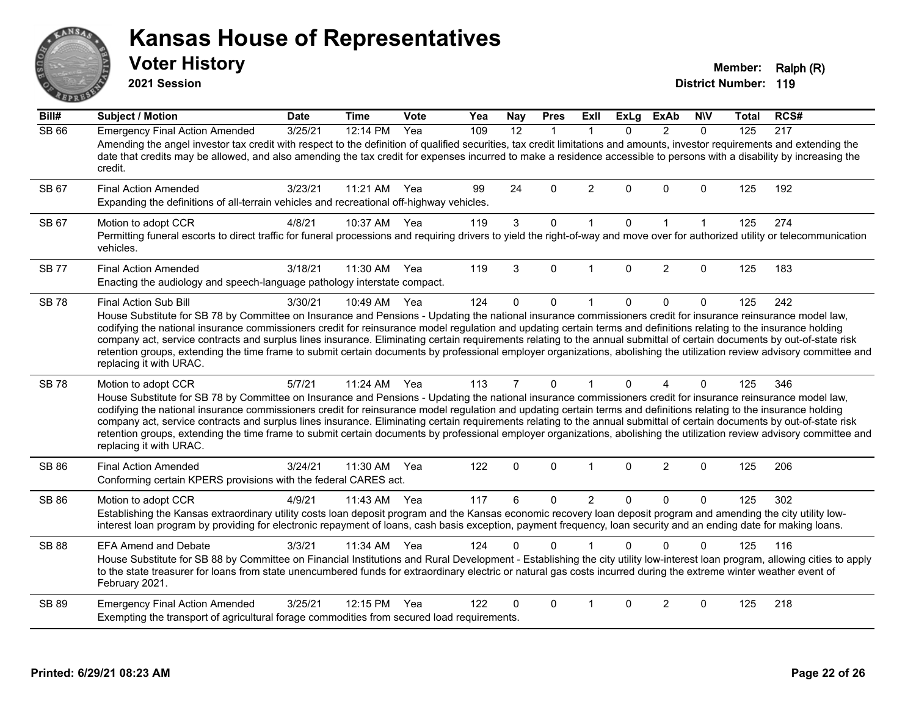# ANS Erry

#### **Kansas House of Representatives**

**2021 Session**

**Voter History Member: Ralph (R)** 

| Bill#        | <b>Subject / Motion</b>                                                                                                                                                                                                                                                                                                                                                                                                                                                                                                                                                                                                                                                                                                                        | <b>Date</b> | <b>Time</b> | Vote | Yea | Nay            | <b>Pres</b>  | <b>ExII</b>    | <b>ExLg</b> | <b>ExAb</b>    | <b>NIV</b>   | Total | RCS# |
|--------------|------------------------------------------------------------------------------------------------------------------------------------------------------------------------------------------------------------------------------------------------------------------------------------------------------------------------------------------------------------------------------------------------------------------------------------------------------------------------------------------------------------------------------------------------------------------------------------------------------------------------------------------------------------------------------------------------------------------------------------------------|-------------|-------------|------|-----|----------------|--------------|----------------|-------------|----------------|--------------|-------|------|
| <b>SB 66</b> | <b>Emergency Final Action Amended</b><br>Amending the angel investor tax credit with respect to the definition of qualified securities, tax credit limitations and amounts, investor requirements and extending the<br>date that credits may be allowed, and also amending the tax credit for expenses incurred to make a residence accessible to persons with a disability by increasing the<br>credit.                                                                                                                                                                                                                                                                                                                                       | 3/25/21     | 12:14 PM    | Yea  | 109 | 12             | $\mathbf{1}$ | $\mathbf{1}$   | $\Omega$    | 2              | $\Omega$     | 125   | 217  |
| SB 67        | <b>Final Action Amended</b><br>Expanding the definitions of all-terrain vehicles and recreational off-highway vehicles.                                                                                                                                                                                                                                                                                                                                                                                                                                                                                                                                                                                                                        | 3/23/21     | 11:21 AM    | Yea  | 99  | 24             | $\Omega$     | $\overline{2}$ | $\Omega$    | $\Omega$       | $\Omega$     | 125   | 192  |
| SB 67        | Motion to adopt CCR<br>Permitting funeral escorts to direct traffic for funeral processions and requiring drivers to yield the right-of-way and move over for authorized utility or telecommunication<br>vehicles.                                                                                                                                                                                                                                                                                                                                                                                                                                                                                                                             | 4/8/21      | 10:37 AM    | Yea  | 119 | $\mathbf{3}$   | 0            | $\mathbf{1}$   | $\mathbf 0$ | $\mathbf{1}$   | $\mathbf{1}$ | 125   | 274  |
| <b>SB77</b>  | <b>Final Action Amended</b><br>Enacting the audiology and speech-language pathology interstate compact.                                                                                                                                                                                                                                                                                                                                                                                                                                                                                                                                                                                                                                        | 3/18/21     | 11:30 AM    | Yea  | 119 | 3              | $\Omega$     | 1              | $\Omega$    | 2              | $\Omega$     | 125   | 183  |
| <b>SB78</b>  | Final Action Sub Bill<br>House Substitute for SB 78 by Committee on Insurance and Pensions - Updating the national insurance commissioners credit for insurance reinsurance model law,<br>codifying the national insurance commissioners credit for reinsurance model regulation and updating certain terms and definitions relating to the insurance holding<br>company act, service contracts and surplus lines insurance. Eliminating certain requirements relating to the annual submittal of certain documents by out-of-state risk<br>retention groups, extending the time frame to submit certain documents by professional employer organizations, abolishing the utilization review advisory committee and<br>replacing it with URAC. | 3/30/21     | 10:49 AM    | Yea  | 124 | $\mathbf 0$    | $\mathbf 0$  | 1              | $\Omega$    | $\mathbf 0$    | $\mathbf 0$  | 125   | 242  |
| <b>SB78</b>  | Motion to adopt CCR<br>House Substitute for SB 78 by Committee on Insurance and Pensions - Updating the national insurance commissioners credit for insurance reinsurance model law,<br>codifying the national insurance commissioners credit for reinsurance model regulation and updating certain terms and definitions relating to the insurance holding<br>company act, service contracts and surplus lines insurance. Eliminating certain requirements relating to the annual submittal of certain documents by out-of-state risk<br>retention groups, extending the time frame to submit certain documents by professional employer organizations, abolishing the utilization review advisory committee and<br>replacing it with URAC.   | 5/7/21      | $11:24$ AM  | Yea  | 113 | $\overline{7}$ | 0            | $\mathbf{1}$   | $\Omega$    | $\overline{A}$ | $\Omega$     | 125   | 346  |
| SB 86        | <b>Final Action Amended</b><br>Conforming certain KPERS provisions with the federal CARES act.                                                                                                                                                                                                                                                                                                                                                                                                                                                                                                                                                                                                                                                 | 3/24/21     | 11:30 AM    | Yea  | 122 | $\mathbf 0$    | $\mathbf 0$  | $\mathbf 1$    | 0           | 2              | $\mathbf 0$  | 125   | 206  |
| <b>SB 86</b> | Motion to adopt CCR<br>Establishing the Kansas extraordinary utility costs loan deposit program and the Kansas economic recovery loan deposit program and amending the city utility low-<br>interest loan program by providing for electronic repayment of loans, cash basis exception, payment frequency, loan security and an ending date for making loans.                                                                                                                                                                                                                                                                                                                                                                                  | 4/9/21      | 11:43 AM    | Yea  | 117 | 6              | 0            | $\overline{2}$ | $\Omega$    | $\mathbf{0}$   | $\Omega$     | 125   | 302  |
| <b>SB 88</b> | <b>EFA Amend and Debate</b><br>House Substitute for SB 88 by Committee on Financial Institutions and Rural Development - Establishing the city utility low-interest loan program, allowing cities to apply<br>to the state treasurer for loans from state unencumbered funds for extraordinary electric or natural gas costs incurred during the extreme winter weather event of<br>February 2021.                                                                                                                                                                                                                                                                                                                                             | 3/3/21      | 11:34 AM    | Yea  | 124 | 0              | $\Omega$     |                | $\Omega$    | $\Omega$       | $\mathbf{0}$ | 125   | 116  |
| SB 89        | <b>Emergency Final Action Amended</b><br>Exempting the transport of agricultural forage commodities from secured load requirements.                                                                                                                                                                                                                                                                                                                                                                                                                                                                                                                                                                                                            | 3/25/21     | 12:15 PM    | Yea  | 122 | 0              | $\Omega$     | 1              | $\Omega$    | 2              | $\Omega$     | 125   | 218  |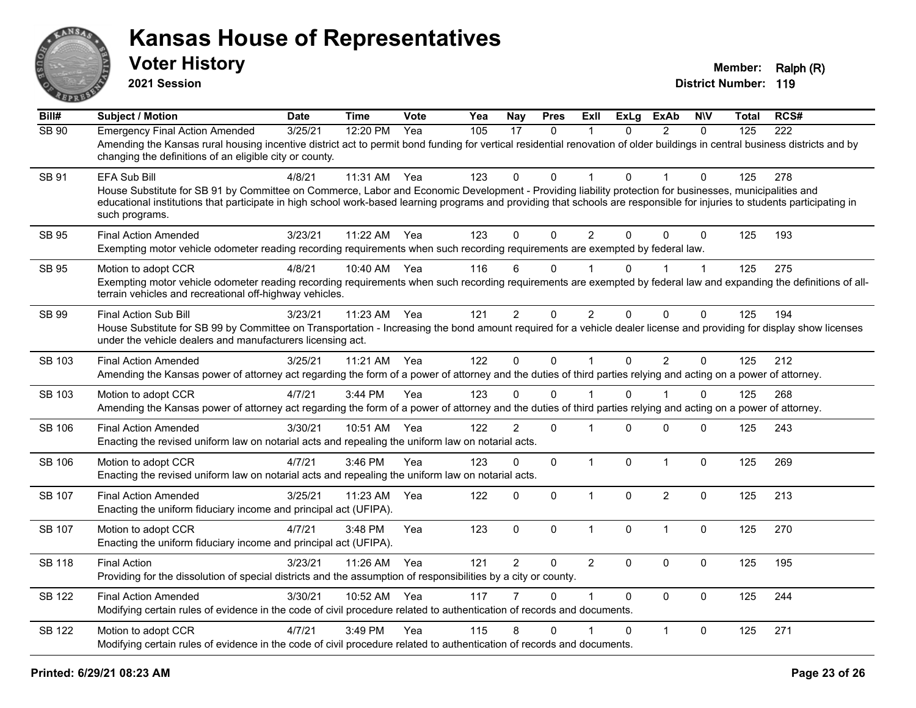

**2021 Session**

| Bill#         | <b>Subject / Motion</b>                                                                                                                                                                                                                                                                                                                                                        | <b>Date</b> | <b>Time</b> | Vote | Yea | <b>Nay</b>     | <b>Pres</b>  | <b>ExII</b>    | <b>ExLg</b>  | <b>ExAb</b>    | <b>N\V</b>   | <b>Total</b> | RCS# |
|---------------|--------------------------------------------------------------------------------------------------------------------------------------------------------------------------------------------------------------------------------------------------------------------------------------------------------------------------------------------------------------------------------|-------------|-------------|------|-----|----------------|--------------|----------------|--------------|----------------|--------------|--------------|------|
| SB 90         | <b>Emergency Final Action Amended</b><br>Amending the Kansas rural housing incentive district act to permit bond funding for vertical residential renovation of older buildings in central business districts and by<br>changing the definitions of an eligible city or county.                                                                                                | 3/25/21     | 12:20 PM    | Yea  | 105 | 17             | 0            | 1              | $\mathbf{0}$ | $\overline{2}$ | $\Omega$     | 125          | 222  |
| SB 91         | <b>EFA Sub Bill</b><br>House Substitute for SB 91 by Committee on Commerce, Labor and Economic Development - Providing liability protection for businesses, municipalities and<br>educational institutions that participate in high school work-based learning programs and providing that schools are responsible for injuries to students participating in<br>such programs. | 4/8/21      | 11:31 AM    | Yea  | 123 | $\Omega$       | $\Omega$     | 1              | $\Omega$     |                | $\Omega$     | 125          | 278  |
| <b>SB 95</b>  | <b>Final Action Amended</b><br>Exempting motor vehicle odometer reading recording requirements when such recording requirements are exempted by federal law.                                                                                                                                                                                                                   | 3/23/21     | 11:22 AM    | Yea  | 123 | $\Omega$       | $\mathbf{0}$ | $\overline{2}$ | $\Omega$     | $\Omega$       | $\mathbf{0}$ | 125          | 193  |
| SB 95         | Motion to adopt CCR<br>Exempting motor vehicle odometer reading recording requirements when such recording requirements are exempted by federal law and expanding the definitions of all-<br>terrain vehicles and recreational off-highway vehicles.                                                                                                                           | 4/8/21      | 10:40 AM    | Yea  | 116 | 6              | 0            |                | 0            |                | $\mathbf 1$  | 125          | 275  |
| SB 99         | <b>Final Action Sub Bill</b><br>House Substitute for SB 99 by Committee on Transportation - Increasing the bond amount required for a vehicle dealer license and providing for display show licenses<br>under the vehicle dealers and manufacturers licensing act.                                                                                                             | 3/23/21     | 11:23 AM    | Yea  | 121 | $\overline{2}$ | 0            | $\overline{2}$ | $\Omega$     | $\mathbf{0}$   | 0            | 125          | 194  |
| <b>SB 103</b> | <b>Final Action Amended</b><br>Amending the Kansas power of attorney act regarding the form of a power of attorney and the duties of third parties relying and acting on a power of attorney.                                                                                                                                                                                  | 3/25/21     | 11:21 AM    | Yea  | 122 | $\mathbf 0$    | $\mathbf 0$  | $\mathbf{1}$   | $\mathbf 0$  | $\overline{2}$ | $\mathbf 0$  | 125          | 212  |
| SB 103        | Motion to adopt CCR<br>Amending the Kansas power of attorney act regarding the form of a power of attorney and the duties of third parties relying and acting on a power of attorney.                                                                                                                                                                                          | 4/7/21      | 3:44 PM     | Yea  | 123 | 0              | $\Omega$     |                | 0            |                | 0            | 125          | 268  |
| <b>SB 106</b> | <b>Final Action Amended</b><br>Enacting the revised uniform law on notarial acts and repealing the uniform law on notarial acts.                                                                                                                                                                                                                                               | 3/30/21     | 10:51 AM    | Yea  | 122 | $\overline{2}$ | $\mathbf 0$  | 1              | $\Omega$     | $\mathbf 0$    | 0            | 125          | 243  |
| <b>SB 106</b> | Motion to adopt CCR<br>Enacting the revised uniform law on notarial acts and repealing the uniform law on notarial acts.                                                                                                                                                                                                                                                       | 4/7/21      | 3:46 PM     | Yea  | 123 | 0              | 0            | $\mathbf{1}$   | $\Omega$     | $\mathbf{1}$   | 0            | 125          | 269  |
| <b>SB 107</b> | <b>Final Action Amended</b><br>Enacting the uniform fiduciary income and principal act (UFIPA).                                                                                                                                                                                                                                                                                | 3/25/21     | 11:23 AM    | Yea  | 122 | $\Omega$       | $\mathbf 0$  | $\mathbf{1}$   | $\Omega$     | $\overline{2}$ | $\Omega$     | 125          | 213  |
| <b>SB 107</b> | Motion to adopt CCR<br>Enacting the uniform fiduciary income and principal act (UFIPA).                                                                                                                                                                                                                                                                                        | 4/7/21      | 3:48 PM     | Yea  | 123 | $\mathbf 0$    | 0            | $\mathbf{1}$   | 0            | $\mathbf{1}$   | $\mathbf 0$  | 125          | 270  |
| <b>SB 118</b> | <b>Final Action</b><br>Providing for the dissolution of special districts and the assumption of responsibilities by a city or county.                                                                                                                                                                                                                                          | 3/23/21     | 11:26 AM    | Yea  | 121 | $\overline{2}$ | $\Omega$     | $\overline{2}$ | $\Omega$     | $\mathbf{0}$   | $\mathbf 0$  | 125          | 195  |
| <b>SB 122</b> | <b>Final Action Amended</b><br>Modifying certain rules of evidence in the code of civil procedure related to authentication of records and documents.                                                                                                                                                                                                                          | 3/30/21     | 10:52 AM    | Yea  | 117 |                | $\Omega$     | $\mathbf 1$    | $\Omega$     | $\mathbf{0}$   | $\mathbf 0$  | 125          | 244  |
| <b>SB 122</b> | Motion to adopt CCR<br>Modifying certain rules of evidence in the code of civil procedure related to authentication of records and documents.                                                                                                                                                                                                                                  | 4/7/21      | 3:49 PM     | Yea  | 115 | 8              | $\Omega$     |                | $\Omega$     | $\mathbf{1}$   | $\Omega$     | 125          | 271  |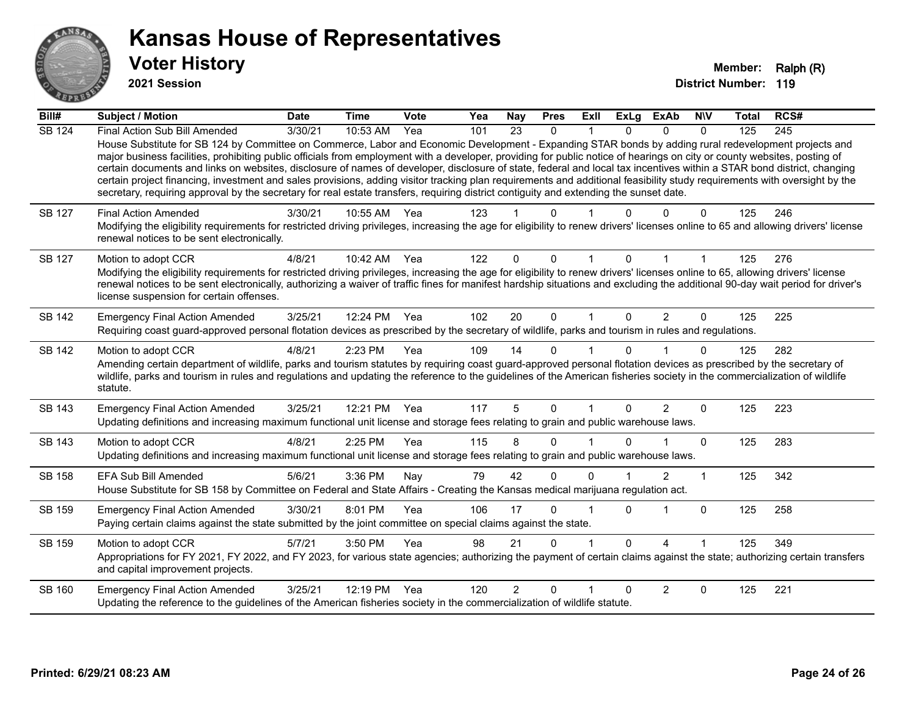

**2021 Session**

| Bill#         | <b>Subject / Motion</b>                                                                                                                                                                                                                                                                                                                                                                                                                                                                                                                                                                                                                                                                                                                                                                                                                                              | <b>Date</b> | <b>Time</b> | Vote | Yea | <b>Nay</b>      | <b>Pres</b>  | <b>Exll</b> | <b>ExLg</b> | <b>ExAb</b>    | <b>NIV</b>   | Total | RCS# |
|---------------|----------------------------------------------------------------------------------------------------------------------------------------------------------------------------------------------------------------------------------------------------------------------------------------------------------------------------------------------------------------------------------------------------------------------------------------------------------------------------------------------------------------------------------------------------------------------------------------------------------------------------------------------------------------------------------------------------------------------------------------------------------------------------------------------------------------------------------------------------------------------|-------------|-------------|------|-----|-----------------|--------------|-------------|-------------|----------------|--------------|-------|------|
| <b>SB 124</b> | Final Action Sub Bill Amended<br>House Substitute for SB 124 by Committee on Commerce, Labor and Economic Development - Expanding STAR bonds by adding rural redevelopment projects and<br>major business facilities, prohibiting public officials from employment with a developer, providing for public notice of hearings on city or county websites, posting of<br>certain documents and links on websites, disclosure of names of developer, disclosure of state, federal and local tax incentives within a STAR bond district, changing<br>certain project financing, investment and sales provisions, adding visitor tracking plan requirements and additional feasibility study requirements with oversight by the<br>secretary, requiring approval by the secretary for real estate transfers, requiring district contiguity and extending the sunset date. | 3/30/21     | 10:53 AM    | Yea  | 101 | $\overline{23}$ | $\mathbf{0}$ |             | $\Omega$    | $\mathbf{0}$   | $\mathbf{0}$ | 125   | 245  |
| <b>SB 127</b> | <b>Final Action Amended</b><br>Modifying the eligibility requirements for restricted driving privileges, increasing the age for eligibility to renew drivers' licenses online to 65 and allowing drivers' license<br>renewal notices to be sent electronically.                                                                                                                                                                                                                                                                                                                                                                                                                                                                                                                                                                                                      | 3/30/21     | 10:55 AM    | Yea  | 123 |                 | 0            |             |             |                | 0            | 125   | 246  |
| <b>SB 127</b> | Motion to adopt CCR<br>Modifying the eligibility requirements for restricted driving privileges, increasing the age for eligibility to renew drivers' licenses online to 65, allowing drivers' license<br>renewal notices to be sent electronically, authorizing a waiver of traffic fines for manifest hardship situations and excluding the additional 90-day wait period for driver's<br>license suspension for certain offenses.                                                                                                                                                                                                                                                                                                                                                                                                                                 | 4/8/21      | 10:42 AM    | Yea  | 122 | $\Omega$        | $\Omega$     |             | $\Omega$    |                |              | 125   | 276  |
| <b>SB 142</b> | <b>Emergency Final Action Amended</b><br>Requiring coast guard-approved personal flotation devices as prescribed by the secretary of wildlife, parks and tourism in rules and regulations.                                                                                                                                                                                                                                                                                                                                                                                                                                                                                                                                                                                                                                                                           | 3/25/21     | 12:24 PM    | Yea  | 102 | 20              | $\Omega$     |             | $\Omega$    | 2              | $\Omega$     | 125   | 225  |
| <b>SB 142</b> | Motion to adopt CCR<br>Amending certain department of wildlife, parks and tourism statutes by requiring coast guard-approved personal flotation devices as prescribed by the secretary of<br>wildlife, parks and tourism in rules and regulations and updating the reference to the guidelines of the American fisheries society in the commercialization of wildlife<br>statute.                                                                                                                                                                                                                                                                                                                                                                                                                                                                                    | 4/8/21      | 2:23 PM     | Yea  | 109 | 14              | $\Omega$     |             |             |                | $\Omega$     | 125   | 282  |
| SB 143        | <b>Emergency Final Action Amended</b><br>Updating definitions and increasing maximum functional unit license and storage fees relating to grain and public warehouse laws.                                                                                                                                                                                                                                                                                                                                                                                                                                                                                                                                                                                                                                                                                           | 3/25/21     | 12:21 PM    | Yea  | 117 | 5               | $\mathbf{0}$ |             | $\Omega$    | $\overline{2}$ | $\Omega$     | 125   | 223  |
| SB 143        | Motion to adopt CCR<br>Updating definitions and increasing maximum functional unit license and storage fees relating to grain and public warehouse laws.                                                                                                                                                                                                                                                                                                                                                                                                                                                                                                                                                                                                                                                                                                             | 4/8/21      | 2:25 PM     | Yea  | 115 | 8               | 0            |             |             |                | $\Omega$     | 125   | 283  |
| SB 158        | EFA Sub Bill Amended<br>House Substitute for SB 158 by Committee on Federal and State Affairs - Creating the Kansas medical marijuana regulation act.                                                                                                                                                                                                                                                                                                                                                                                                                                                                                                                                                                                                                                                                                                                | 5/6/21      | 3:36 PM     | Nay  | 79  | 42              | $\Omega$     | $\Omega$    |             | $\overline{2}$ | 1            | 125   | 342  |
| SB 159        | <b>Emergency Final Action Amended</b><br>Paying certain claims against the state submitted by the joint committee on special claims against the state.                                                                                                                                                                                                                                                                                                                                                                                                                                                                                                                                                                                                                                                                                                               | 3/30/21     | 8:01 PM     | Yea  | 106 | 17              | 0            |             | $\Omega$    |                | $\mathbf 0$  | 125   | 258  |
| SB 159        | Motion to adopt CCR<br>Appropriations for FY 2021, FY 2022, and FY 2023, for various state agencies; authorizing the payment of certain claims against the state; authorizing certain transfers<br>and capital improvement projects.                                                                                                                                                                                                                                                                                                                                                                                                                                                                                                                                                                                                                                 | 5/7/21      | 3:50 PM     | Yea  | 98  | 21              | 0            |             | $\Omega$    | Δ              |              | 125   | 349  |
| SB 160        | <b>Emergency Final Action Amended</b><br>Updating the reference to the guidelines of the American fisheries society in the commercialization of wildlife statute.                                                                                                                                                                                                                                                                                                                                                                                                                                                                                                                                                                                                                                                                                                    | 3/25/21     | 12:19 PM    | Yea  | 120 | $\overline{2}$  | $\Omega$     |             |             | $\overline{2}$ | $\Omega$     | 125   | 221  |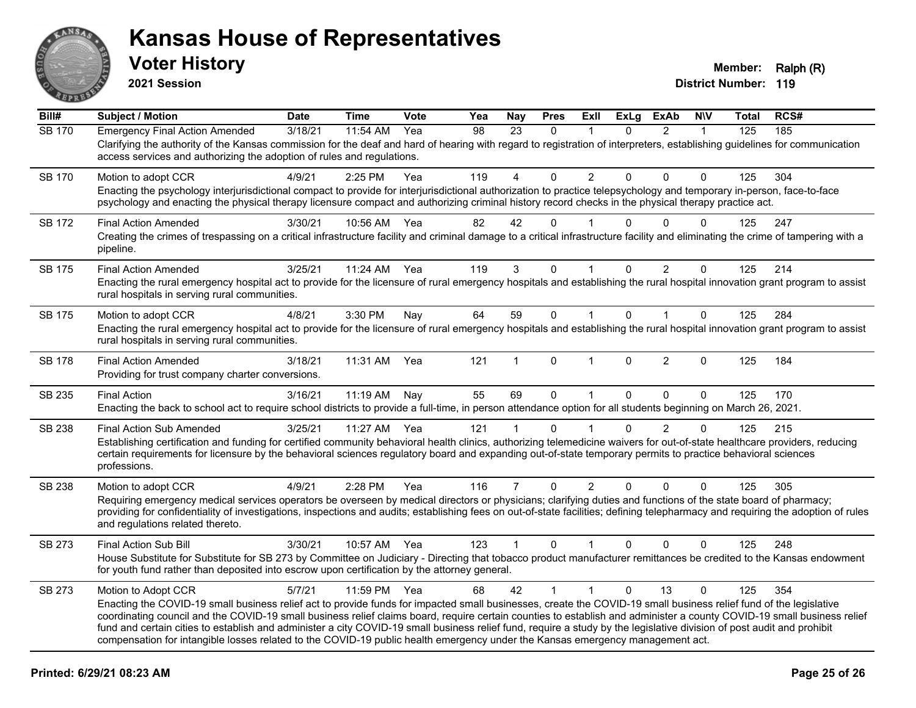

**2021 Session**

| Bill#         | <b>Subject / Motion</b>                                                                                                                                                                                                                                                                                                                                                                                                                                                                                                                                                                                                                                                       | <b>Date</b> | <b>Time</b> | Vote | Yea | <b>Nay</b>     | <b>Pres</b>  | ExIl           | <b>ExLg</b> | <b>ExAb</b>    | <b>NIV</b>   | <b>Total</b> | RCS# |
|---------------|-------------------------------------------------------------------------------------------------------------------------------------------------------------------------------------------------------------------------------------------------------------------------------------------------------------------------------------------------------------------------------------------------------------------------------------------------------------------------------------------------------------------------------------------------------------------------------------------------------------------------------------------------------------------------------|-------------|-------------|------|-----|----------------|--------------|----------------|-------------|----------------|--------------|--------------|------|
| <b>SB 170</b> | <b>Emergency Final Action Amended</b><br>Clarifying the authority of the Kansas commission for the deaf and hard of hearing with regard to registration of interpreters, establishing guidelines for communication<br>access services and authorizing the adoption of rules and regulations.                                                                                                                                                                                                                                                                                                                                                                                  | 3/18/21     | 11:54 AM    | Yea  | 98  | 23             | $\Omega$     | $\mathbf 1$    | $\Omega$    | $\overline{2}$ | $\mathbf{1}$ | 125          | 185  |
| <b>SB 170</b> | Motion to adopt CCR<br>Enacting the psychology interjurisdictional compact to provide for interjurisdictional authorization to practice telepsychology and temporary in-person, face-to-face<br>psychology and enacting the physical therapy licensure compact and authorizing criminal history record checks in the physical therapy practice act.                                                                                                                                                                                                                                                                                                                           | 4/9/21      | 2:25 PM     | Yea  | 119 | 4              | $\Omega$     | $\overline{2}$ | 0           | $\mathbf{0}$   | 0            | 125          | 304  |
| <b>SB 172</b> | <b>Final Action Amended</b><br>Creating the crimes of trespassing on a critical infrastructure facility and criminal damage to a critical infrastructure facility and eliminating the crime of tampering with a<br>pipeline.                                                                                                                                                                                                                                                                                                                                                                                                                                                  | 3/30/21     | 10:56 AM    | Yea  | 82  | 42             | $\mathbf{0}$ |                | U           | $\Omega$       | $\Omega$     | 125          | 247  |
| SB 175        | <b>Final Action Amended</b><br>Enacting the rural emergency hospital act to provide for the licensure of rural emergency hospitals and establishing the rural hospital innovation grant program to assist<br>rural hospitals in serving rural communities.                                                                                                                                                                                                                                                                                                                                                                                                                    | 3/25/21     | 11:24 AM    | Yea  | 119 | 3              | 0            | 1              | 0           | $\overline{2}$ | 0            | 125          | 214  |
| <b>SB 175</b> | Motion to adopt CCR<br>Enacting the rural emergency hospital act to provide for the licensure of rural emergency hospitals and establishing the rural hospital innovation grant program to assist<br>rural hospitals in serving rural communities.                                                                                                                                                                                                                                                                                                                                                                                                                            | 4/8/21      | 3:30 PM     | Nay  | 64  | 59             | $\mathbf 0$  | $\mathbf{1}$   | $\Omega$    | $\mathbf{1}$   | $\mathbf{0}$ | 125          | 284  |
| <b>SB 178</b> | <b>Final Action Amended</b><br>Providing for trust company charter conversions.                                                                                                                                                                                                                                                                                                                                                                                                                                                                                                                                                                                               | 3/18/21     | 11:31 AM    | Yea  | 121 | 1              | 0            | 1              | $\Omega$    | $\overline{2}$ | $\Omega$     | 125          | 184  |
| SB 235        | <b>Final Action</b><br>Enacting the back to school act to require school districts to provide a full-time, in person attendance option for all students beginning on March 26, 2021.                                                                                                                                                                                                                                                                                                                                                                                                                                                                                          | 3/16/21     | 11:19 AM    | Nay  | 55  | 69             | $\mathbf 0$  | $\mathbf{1}$   | 0           | $\Omega$       | $\mathbf{0}$ | 125          | 170  |
| <b>SB 238</b> | <b>Final Action Sub Amended</b><br>Establishing certification and funding for certified community behavioral health clinics, authorizing telemedicine waivers for out-of-state healthcare providers, reducing<br>certain requirements for licensure by the behavioral sciences regulatory board and expanding out-of-state temporary permits to practice behavioral sciences<br>professions.                                                                                                                                                                                                                                                                                  | 3/25/21     | 11:27 AM    | Yea  | 121 | 1              | $\mathbf 0$  |                | $\Omega$    | $\overline{2}$ | $\mathbf 0$  | 125          | 215  |
| <b>SB 238</b> | Motion to adopt CCR<br>Requiring emergency medical services operators be overseen by medical directors or physicians; clarifying duties and functions of the state board of pharmacy;<br>providing for confidentiality of investigations, inspections and audits; establishing fees on out-of-state facilities; defining telepharmacy and requiring the adoption of rules<br>and regulations related thereto.                                                                                                                                                                                                                                                                 | 4/9/21      | 2:28 PM     | Yea  | 116 | $\overline{7}$ | $\mathbf 0$  | 2              | $\Omega$    | $\Omega$       | $\Omega$     | 125          | 305  |
| SB 273        | Final Action Sub Bill<br>House Substitute for Substitute for SB 273 by Committee on Judiciary - Directing that tobacco product manufacturer remittances be credited to the Kansas endowment<br>for youth fund rather than deposited into escrow upon certification by the attorney general.                                                                                                                                                                                                                                                                                                                                                                                   | 3/30/21     | 10:57 AM    | Yea  | 123 | $\mathbf{1}$   | $\mathbf{0}$ | $\mathbf 1$    | $\Omega$    | $\Omega$       | $\Omega$     | 125          | 248  |
| SB 273        | Motion to Adopt CCR<br>Enacting the COVID-19 small business relief act to provide funds for impacted small businesses, create the COVID-19 small business relief fund of the legislative<br>coordinating council and the COVID-19 small business relief claims board, require certain counties to establish and administer a county COVID-19 small business relief<br>fund and certain cities to establish and administer a city COVID-19 small business relief fund, require a study by the legislative division of post audit and prohibit<br>compensation for intangible losses related to the COVID-19 public health emergency under the Kansas emergency management act. | 5/7/21      | 11:59 PM    | Yea  | 68  | 42             | $\mathbf{1}$ | $\mathbf{1}$   | $\Omega$    | 13             | $\Omega$     | 125          | 354  |